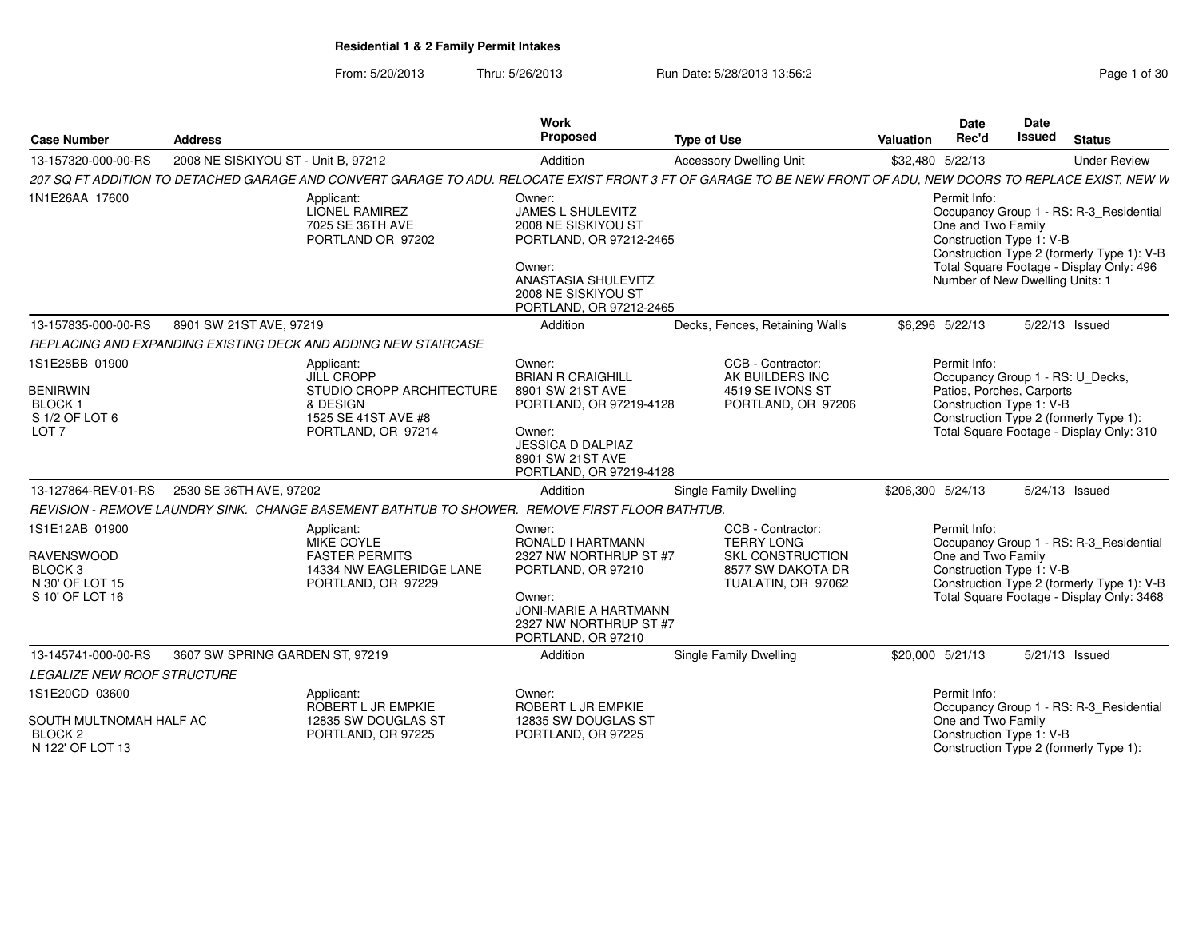#### From: 5/20/2013Thru: 5/26/2013 Run Date: 5/28/2013 13:56:2

| <b>Case Number</b>                                                                              | <b>Address</b>                      |                                                                                                                                                                | Work<br><b>Proposed</b>                                                                                                                                               | <b>Type of Use</b>                                                                                           | Valuation | Date<br>Rec'd                                                                                     | Date<br>Issued | <b>Status</b>                                                                                                                      |
|-------------------------------------------------------------------------------------------------|-------------------------------------|----------------------------------------------------------------------------------------------------------------------------------------------------------------|-----------------------------------------------------------------------------------------------------------------------------------------------------------------------|--------------------------------------------------------------------------------------------------------------|-----------|---------------------------------------------------------------------------------------------------|----------------|------------------------------------------------------------------------------------------------------------------------------------|
| 13-157320-000-00-RS                                                                             | 2008 NE SISKIYOU ST - Unit B, 97212 |                                                                                                                                                                | Addition                                                                                                                                                              | <b>Accessory Dwelling Unit</b>                                                                               |           | \$32,480 5/22/13                                                                                  |                | <b>Under Review</b>                                                                                                                |
|                                                                                                 |                                     | 207 SQ FT ADDITION TO DETACHED GARAGE AND CONVERT GARAGE TO ADU. RELOCATE EXIST FRONT 3 FT OF GARAGE TO BE NEW FRONT OF ADU, NEW DOORS TO REPLACE EXIST, NEW W |                                                                                                                                                                       |                                                                                                              |           |                                                                                                   |                |                                                                                                                                    |
| 1N1E26AA 17600                                                                                  |                                     | Applicant:<br><b>LIONEL RAMIREZ</b><br>7025 SE 36TH AVE<br>PORTLAND OR 97202                                                                                   | Owner:<br>JAMES L SHULEVITZ<br>2008 NE SISKIYOU ST<br>PORTLAND, OR 97212-2465<br>Owner:<br>ANASTASIA SHULEVITZ<br>2008 NE SISKIYOU ST<br>PORTLAND, OR 97212-2465      |                                                                                                              |           | Permit Info:<br>One and Two Family<br>Construction Type 1: V-B<br>Number of New Dwelling Units: 1 |                | Occupancy Group 1 - RS: R-3_Residential<br>Construction Type 2 (formerly Type 1): V-B<br>Total Square Footage - Display Only: 496  |
| 13-157835-000-00-RS                                                                             | 8901 SW 21ST AVE, 97219             |                                                                                                                                                                | Addition                                                                                                                                                              | Decks, Fences, Retaining Walls                                                                               |           | \$6.296 5/22/13                                                                                   |                | 5/22/13 Issued                                                                                                                     |
|                                                                                                 |                                     | REPLACING AND EXPANDING EXISTING DECK AND ADDING NEW STAIRCASE                                                                                                 |                                                                                                                                                                       |                                                                                                              |           |                                                                                                   |                |                                                                                                                                    |
| 1S1E28BB 01900<br><b>BENIRWIN</b><br><b>BLOCK1</b><br>S 1/2 OF LOT 6<br>LOT <sub>7</sub>        |                                     | Applicant:<br><b>JILL CROPP</b><br>STUDIO CROPP ARCHITECTURE<br>& DESIGN<br>1525 SE 41ST AVE #8<br>PORTLAND, OR 97214                                          | Owner:<br><b>BRIAN R CRAIGHILL</b><br>8901 SW 21ST AVE<br>PORTLAND, OR 97219-4128<br>Owner:<br>JESSICA D DALPIAZ<br>8901 SW 21ST AVE<br>PORTLAND, OR 97219-4128       | CCB - Contractor:<br>AK BUILDERS INC<br>4519 SE IVONS ST<br>PORTLAND, OR 97206                               |           | Permit Info:<br>Patios, Porches, Carports<br>Construction Type 1: V-B                             |                | Occupancy Group 1 - RS: U Decks,<br>Construction Type 2 (formerly Type 1):<br>Total Square Footage - Display Only: 310             |
| 13-127864-REV-01-RS                                                                             | 2530 SE 36TH AVE, 97202             |                                                                                                                                                                | Addition                                                                                                                                                              | Single Family Dwelling                                                                                       |           | \$206,300 5/24/13                                                                                 |                | 5/24/13 Issued                                                                                                                     |
|                                                                                                 |                                     | REVISION - REMOVE LAUNDRY SINK. CHANGE BASEMENT BATHTUB TO SHOWER. REMOVE FIRST FLOOR BATHTUB.                                                                 |                                                                                                                                                                       |                                                                                                              |           |                                                                                                   |                |                                                                                                                                    |
| 1S1E12AB 01900<br><b>RAVENSWOOD</b><br>BLOCK <sub>3</sub><br>N 30' OF LOT 15<br>S 10' OF LOT 16 |                                     | Applicant:<br>MIKE COYLE<br><b>FASTER PERMITS</b><br>14334 NW EAGLERIDGE LANE<br>PORTLAND, OR 97229                                                            | Owner:<br>RONALD I HARTMANN<br>2327 NW NORTHRUP ST #7<br>PORTLAND, OR 97210<br>Owner:<br><b>JONI-MARIE A HARTMANN</b><br>2327 NW NORTHRUP ST #7<br>PORTLAND, OR 97210 | CCB - Contractor:<br><b>TERRY LONG</b><br><b>SKL CONSTRUCTION</b><br>8577 SW DAKOTA DR<br>TUALATIN, OR 97062 |           | Permit Info:<br>One and Two Family<br>Construction Type 1: V-B                                    |                | Occupancy Group 1 - RS: R-3_Residential<br>Construction Type 2 (formerly Type 1): V-B<br>Total Square Footage - Display Only: 3468 |
| 13-145741-000-00-RS                                                                             | 3607 SW SPRING GARDEN ST, 97219     |                                                                                                                                                                | Addition                                                                                                                                                              | Single Family Dwelling                                                                                       |           | \$20,000 5/21/13                                                                                  |                | 5/21/13 Issued                                                                                                                     |
| <b>LEGALIZE NEW ROOF STRUCTURE</b>                                                              |                                     |                                                                                                                                                                |                                                                                                                                                                       |                                                                                                              |           |                                                                                                   |                |                                                                                                                                    |
| 1S1E20CD 03600<br>SOUTH MULTNOMAH HALF AC<br>BLOCK <sub>2</sub><br>N 122' OF LOT 13             |                                     | Applicant:<br>ROBERT L JR EMPKIE<br>12835 SW DOUGLAS ST<br>PORTLAND, OR 97225                                                                                  | Owner:<br>ROBERT L JR EMPKIE<br>12835 SW DOUGLAS ST<br>PORTLAND, OR 97225                                                                                             |                                                                                                              |           | Permit Info:<br>One and Two Family<br>Construction Type 1: V-B                                    |                | Occupancy Group 1 - RS: R-3_Residential<br>Construction Type 2 (formerly Type 1):                                                  |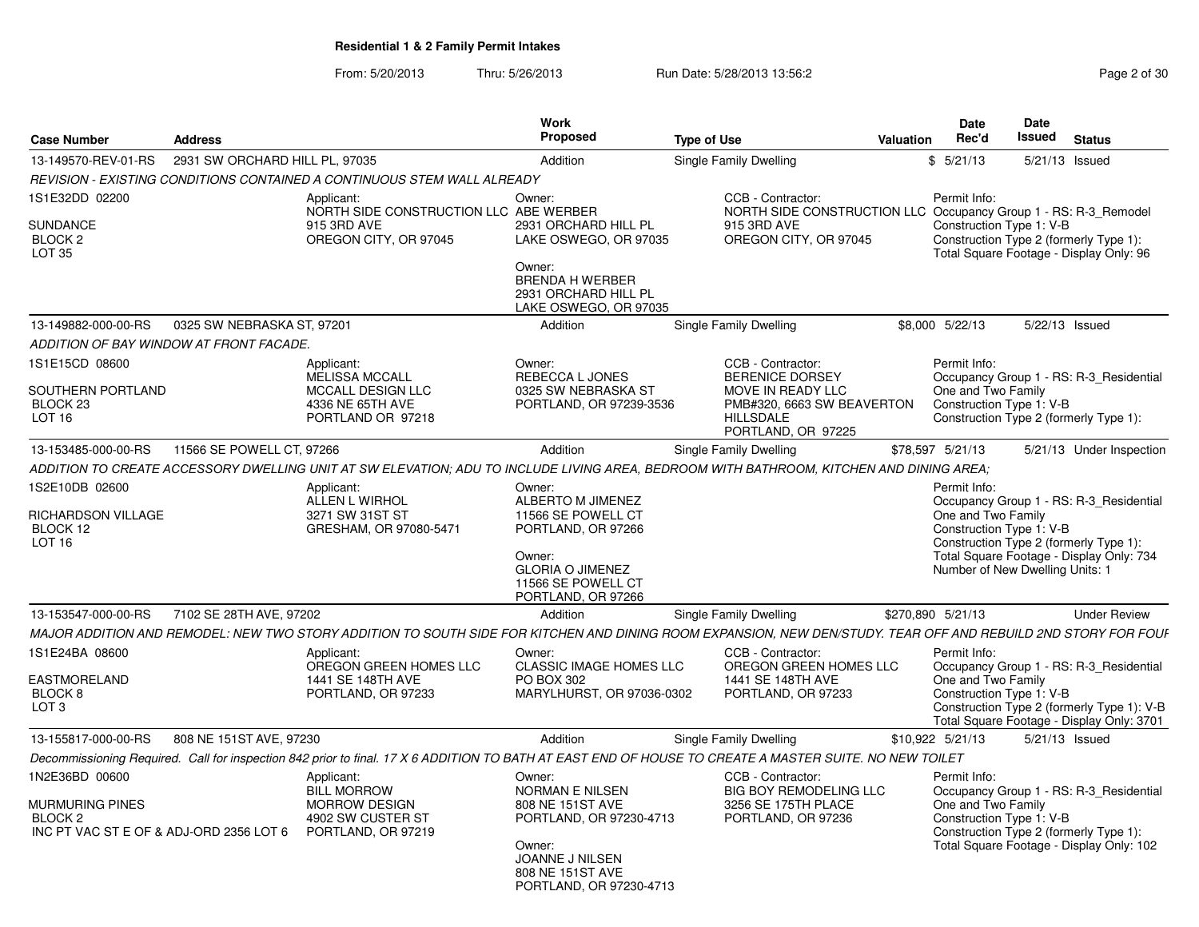From: 5/20/2013Thru: 5/26/2013 **Run Date: 5/28/2013 13:56:2** Page 2 of 30

| Case Number                                                                     | Address                                 |                                                                                                                                                                | Work<br>Proposed                                                                                                                                            | <b>Type of Use</b>                                                                                                                       | <b>Valuation</b>  | Date<br>Rec'd                      | <b>Date</b><br>Issued                                       | <b>Status</b>                                                                                                                      |
|---------------------------------------------------------------------------------|-----------------------------------------|----------------------------------------------------------------------------------------------------------------------------------------------------------------|-------------------------------------------------------------------------------------------------------------------------------------------------------------|------------------------------------------------------------------------------------------------------------------------------------------|-------------------|------------------------------------|-------------------------------------------------------------|------------------------------------------------------------------------------------------------------------------------------------|
| 13-149570-REV-01-RS                                                             | 2931 SW ORCHARD HILL PL, 97035          |                                                                                                                                                                | Addition                                                                                                                                                    | <b>Single Family Dwelling</b>                                                                                                            |                   | \$5/21/13                          |                                                             | 5/21/13 Issued                                                                                                                     |
|                                                                                 |                                         | REVISION - EXISTING CONDITIONS CONTAINED A CONTINUOUS STEM WALL ALREADY                                                                                        |                                                                                                                                                             |                                                                                                                                          |                   |                                    |                                                             |                                                                                                                                    |
| 1S1E32DD 02200<br>SUNDANCE<br>BLOCK 2<br>LOT 35                                 |                                         | Applicant:<br>NORTH SIDE CONSTRUCTION LLC ABE WERBER<br>915 3RD AVE<br>OREGON CITY, OR 97045                                                                   | Owner:<br>2931 ORCHARD HILL PL<br>LAKE OSWEGO, OR 97035<br>Owner:<br><b>BRENDA H WERBER</b><br>2931 ORCHARD HILL PL<br>LAKE OSWEGO, OR 97035                | CCB - Contractor:<br>NORTH SIDE CONSTRUCTION LLC Occupancy Group 1 - RS: R-3 Remodel<br>915 3RD AVE<br>OREGON CITY, OR 97045             |                   | Permit Info:                       | Construction Type 1: V-B                                    | Construction Type 2 (formerly Type 1):<br>Total Square Footage - Display Only: 96                                                  |
| 13-149882-000-00-RS                                                             | 0325 SW NEBRASKA ST, 97201              |                                                                                                                                                                | Addition                                                                                                                                                    | <b>Single Family Dwelling</b>                                                                                                            |                   | \$8,000 5/22/13                    |                                                             | 5/22/13 Issued                                                                                                                     |
|                                                                                 | ADDITION OF BAY WINDOW AT FRONT FACADE. |                                                                                                                                                                |                                                                                                                                                             |                                                                                                                                          |                   |                                    |                                                             |                                                                                                                                    |
| 1S1E15CD 08600<br>SOUTHERN PORTLAND<br>BLOCK <sub>23</sub><br>LOT <sub>16</sub> |                                         | Applicant:<br>MELISSA MCCALL<br><b>MCCALL DESIGN LLC</b><br>4336 NE 65TH AVE<br>PORTLAND OR 97218                                                              | Owner:<br>REBECCA L JONES<br>0325 SW NEBRASKA ST<br>PORTLAND, OR 97239-3536                                                                                 | CCB - Contractor:<br><b>BERENICE DORSEY</b><br>MOVE IN READY LLC<br>PMB#320, 6663 SW BEAVERTON<br><b>HILLSDALE</b><br>PORTLAND, OR 97225 |                   | Permit Info:<br>One and Two Family | Construction Type 1: V-B                                    | Occupancy Group 1 - RS: R-3_Residential<br>Construction Type 2 (formerly Type 1):                                                  |
| 13-153485-000-00-RS                                                             | 11566 SE POWELL CT, 97266               |                                                                                                                                                                | Addition                                                                                                                                                    | Single Family Dwelling                                                                                                                   | \$78,597 5/21/13  |                                    |                                                             | 5/21/13 Under Inspection                                                                                                           |
|                                                                                 |                                         | ADDITION TO CREATE ACCESSORY DWELLING UNIT AT SW ELEVATION: ADU TO INCLUDE LIVING AREA. BEDROOM WITH BATHROOM, KITCHEN AND DINING AREA:                        |                                                                                                                                                             |                                                                                                                                          |                   |                                    |                                                             |                                                                                                                                    |
| 1S2E10DB 02600<br>RICHARDSON VILLAGE<br>BLOCK 12<br><b>LOT 16</b>               |                                         | Applicant:<br>ALLEN L WIRHOL<br>3271 SW 31ST ST<br>GRESHAM, OR 97080-5471                                                                                      | Owner:<br>ALBERTO M JIMENEZ<br>11566 SE POWELL CT<br>PORTLAND, OR 97266<br>Owner:<br><b>GLORIA O JIMENEZ</b><br>11566 SE POWELL CT<br>PORTLAND, OR 97266    |                                                                                                                                          |                   | Permit Info:<br>One and Two Family | Construction Type 1: V-B<br>Number of New Dwelling Units: 1 | Occupancy Group 1 - RS: R-3 Residential<br>Construction Type 2 (formerly Type 1):<br>Total Square Footage - Display Only: 734      |
| 13-153547-000-00-RS                                                             | 7102 SE 28TH AVE, 97202                 |                                                                                                                                                                | Addition                                                                                                                                                    | Single Family Dwelling                                                                                                                   | \$270,890 5/21/13 |                                    |                                                             | <b>Under Review</b>                                                                                                                |
|                                                                                 |                                         | MAJOR ADDITION AND REMODEL: NEW TWO STORY ADDITION TO SOUTH SIDE FOR KITCHEN AND DINING ROOM EXPANSION, NEW DEN/STUDY. TEAR OFF AND REBUILD 2ND STORY FOR FOUF |                                                                                                                                                             |                                                                                                                                          |                   |                                    |                                                             |                                                                                                                                    |
| 1S1E24BA 08600<br>EASTMORELAND<br>BLOCK 8<br>LOT <sub>3</sub>                   |                                         | Applicant:<br>OREGON GREEN HOMES LLC<br>1441 SE 148TH AVE<br>PORTLAND, OR 97233                                                                                | Owner:<br><b>CLASSIC IMAGE HOMES LLC</b><br><b>PO BOX 302</b><br>MARYLHURST, OR 97036-0302                                                                  | CCB - Contractor:<br>OREGON GREEN HOMES LLC<br>1441 SE 148TH AVE<br>PORTLAND, OR 97233                                                   |                   | Permit Info:<br>One and Two Family | Construction Type 1: V-B                                    | Occupancy Group 1 - RS: R-3 Residential<br>Construction Type 2 (formerly Type 1): V-B<br>Total Square Footage - Display Only: 3701 |
| 13-155817-000-00-RS                                                             | 808 NE 151ST AVE, 97230                 |                                                                                                                                                                | Addition                                                                                                                                                    | Single Family Dwelling                                                                                                                   | \$10,922 5/21/13  |                                    |                                                             | 5/21/13 Issued                                                                                                                     |
|                                                                                 |                                         | Decommissioning Required. Call for inspection 842 prior to final. 17 X 6 ADDITION TO BATH AT EAST END OF HOUSE TO CREATE A MASTER SUITE. NO NEW TOILET         |                                                                                                                                                             |                                                                                                                                          |                   |                                    |                                                             |                                                                                                                                    |
| 1N2E36BD 00600<br><b>MURMURING PINES</b><br>BLOCK 2                             | INC PT VAC ST E OF & ADJ-ORD 2356 LOT 6 | Applicant:<br><b>BILL MORROW</b><br><b>MORROW DESIGN</b><br>4902 SW CUSTER ST<br>PORTLAND, OR 97219                                                            | Owner:<br><b>NORMAN E NILSEN</b><br>808 NE 151ST AVE<br>PORTLAND, OR 97230-4713<br>Owner:<br>JOANNE J NILSEN<br>808 NE 151ST AVE<br>PORTLAND, OR 97230-4713 | CCB - Contractor:<br><b>BIG BOY REMODELING LLC</b><br>3256 SE 175TH PLACE<br>PORTLAND, OR 97236                                          |                   | Permit Info:<br>One and Two Family | Construction Type 1: V-B                                    | Occupancy Group 1 - RS: R-3_Residential<br>Construction Type 2 (formerly Type 1):<br>Total Square Footage - Display Only: 102      |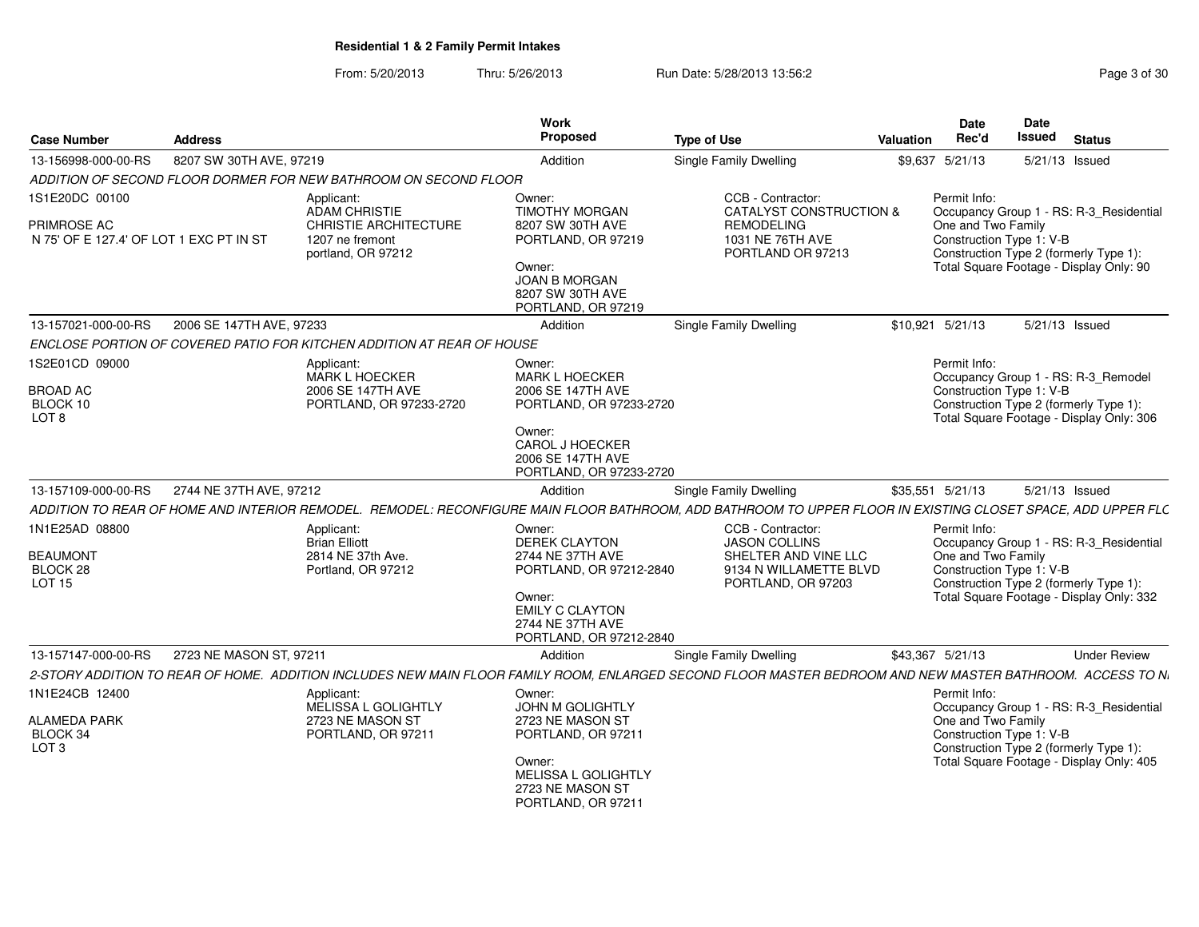From: 5/20/2013Thru: 5/26/2013 **Run Date: 5/28/2013 13:56:2 Page 3 of 30 of 31 of 31 of 31 of 31 of 31 of 31 of 31 of 31 of 31 of 31 of 31 of 31 of 31 of 31 of 31 of 31 of 31 of 31 of 31 of 31 of 31 of 31 of 31 of 31 of 31 of 31 of 31** 

| <b>Case Number</b>                                                | <b>Address</b>           |                                                                                               | Work<br>Proposed                                                                                                                                                 | <b>Type of Use</b>                                                                                                                                           | Valuation | <b>Date</b><br>Rec'd                                           | Date<br><b>Issued</b> | <b>Status</b>                                                                                                                 |
|-------------------------------------------------------------------|--------------------------|-----------------------------------------------------------------------------------------------|------------------------------------------------------------------------------------------------------------------------------------------------------------------|--------------------------------------------------------------------------------------------------------------------------------------------------------------|-----------|----------------------------------------------------------------|-----------------------|-------------------------------------------------------------------------------------------------------------------------------|
| 13-156998-000-00-RS                                               | 8207 SW 30TH AVE, 97219  |                                                                                               | Addition                                                                                                                                                         | Single Family Dwelling                                                                                                                                       |           | \$9,637 5/21/13                                                |                       | 5/21/13 Issued                                                                                                                |
|                                                                   |                          | ADDITION OF SECOND FLOOR DORMER FOR NEW BATHROOM ON SECOND FLOOR                              |                                                                                                                                                                  |                                                                                                                                                              |           |                                                                |                       |                                                                                                                               |
| 1S1E20DC 00100                                                    |                          | Applicant:                                                                                    | Owner:                                                                                                                                                           | CCB - Contractor:                                                                                                                                            |           | Permit Info:                                                   |                       |                                                                                                                               |
| PRIMROSE AC<br>N 75' OF E 127.4' OF LOT 1 EXC PT IN ST            |                          | <b>ADAM CHRISTIE</b><br><b>CHRISTIE ARCHITECTURE</b><br>1207 ne fremont<br>portland, OR 97212 | <b>TIMOTHY MORGAN</b><br>8207 SW 30TH AVE<br>PORTLAND, OR 97219<br>Owner:<br><b>JOAN B MORGAN</b><br>8207 SW 30TH AVE<br>PORTLAND, OR 97219                      | <b>CATALYST CONSTRUCTION &amp;</b><br><b>REMODELING</b><br>1031 NE 76TH AVE<br>PORTLAND OR 97213                                                             |           | One and Two Family<br>Construction Type 1: V-B                 |                       | Occupancy Group 1 - RS: R-3 Residential<br>Construction Type 2 (formerly Type 1):<br>Total Square Footage - Display Only: 90  |
| 13-157021-000-00-RS                                               | 2006 SE 147TH AVE, 97233 |                                                                                               | Addition                                                                                                                                                         | <b>Single Family Dwelling</b>                                                                                                                                |           | \$10.921 5/21/13                                               |                       | 5/21/13 Issued                                                                                                                |
|                                                                   |                          | ENCLOSE PORTION OF COVERED PATIO FOR KITCHEN ADDITION AT REAR OF HOUSE                        |                                                                                                                                                                  |                                                                                                                                                              |           |                                                                |                       |                                                                                                                               |
| 1S2E01CD 09000<br><b>BROAD AC</b><br>BLOCK 10<br>LOT <sub>8</sub> |                          | Applicant:<br><b>MARK L HOECKER</b><br>2006 SE 147TH AVE<br>PORTLAND, OR 97233-2720           | Owner:<br><b>MARK L HOECKER</b><br>2006 SE 147TH AVE<br>PORTLAND, OR 97233-2720<br>Owner:<br>CAROL J HOECKER<br>2006 SE 147TH AVE<br>PORTLAND, OR 97233-2720     |                                                                                                                                                              |           | Permit Info:<br>Construction Type 1: V-B                       |                       | Occupancy Group 1 - RS: R-3 Remodel<br>Construction Type 2 (formerly Type 1):<br>Total Square Footage - Display Only: 306     |
| 13-157109-000-00-RS                                               | 2744 NE 37TH AVE, 97212  |                                                                                               | Addition                                                                                                                                                         | <b>Single Family Dwelling</b>                                                                                                                                |           | \$35,551 5/21/13                                               |                       | 5/21/13 Issued                                                                                                                |
|                                                                   |                          |                                                                                               |                                                                                                                                                                  | ADDITION TO REAR OF HOME AND INTERIOR REMODEL. REMODEL: RECONFIGURE MAIN FLOOR BATHROOM, ADD BATHROOM TO UPPER FLOOR IN EXISTING CLOSET SPACE, ADD UPPER FLC |           |                                                                |                       |                                                                                                                               |
| 1N1E25AD 08800<br><b>BEAUMONT</b><br>BLOCK 28<br><b>LOT 15</b>    |                          | Applicant:<br><b>Brian Elliott</b><br>2814 NE 37th Ave.<br>Portland, OR 97212                 | Owner:<br><b>DEREK CLAYTON</b><br>2744 NE 37TH AVE<br>PORTLAND, OR 97212-2840<br>Owner:<br><b>EMILY C CLAYTON</b><br>2744 NE 37TH AVE<br>PORTLAND, OR 97212-2840 | CCB - Contractor:<br><b>JASON COLLINS</b><br>SHELTER AND VINE LLC<br>9134 N WILLAMETTE BLVD<br>PORTLAND, OR 97203                                            |           | Permit Info:<br>One and Two Family<br>Construction Type 1: V-B |                       | Occupancy Group 1 - RS: R-3_Residential<br>Construction Type 2 (formerly Type 1):<br>Total Square Footage - Display Only: 332 |
| 13-157147-000-00-RS                                               | 2723 NE MASON ST, 97211  |                                                                                               | Addition                                                                                                                                                         | <b>Single Family Dwelling</b>                                                                                                                                |           | \$43,367 5/21/13                                               |                       | <b>Under Review</b>                                                                                                           |
|                                                                   |                          |                                                                                               |                                                                                                                                                                  | 2-STORY ADDITION TO REAR OF HOME. ADDITION INCLUDES NEW MAIN FLOOR FAMILY ROOM, ENLARGED SECOND FLOOR MASTER BEDROOM AND NEW MASTER BATHROOM. ACCESS TO N.   |           |                                                                |                       |                                                                                                                               |
| 1N1E24CB 12400<br>ALAMEDA PARK<br>BLOCK 34<br>LOT <sub>3</sub>    |                          | Applicant:<br>MELISSA L GOLIGHTLY<br>2723 NE MASON ST<br>PORTLAND, OR 97211                   | Owner:<br>JOHN M GOLIGHTLY<br>2723 NE MASON ST<br>PORTLAND, OR 97211<br>Owner:<br>MELISSA L GOLIGHTLY<br>2723 NE MASON ST<br>PORTLAND, OR 97211                  |                                                                                                                                                              |           | Permit Info:<br>One and Two Family<br>Construction Type 1: V-B |                       | Occupancy Group 1 - RS: R-3_Residential<br>Construction Type 2 (formerly Type 1):<br>Total Square Footage - Display Only: 405 |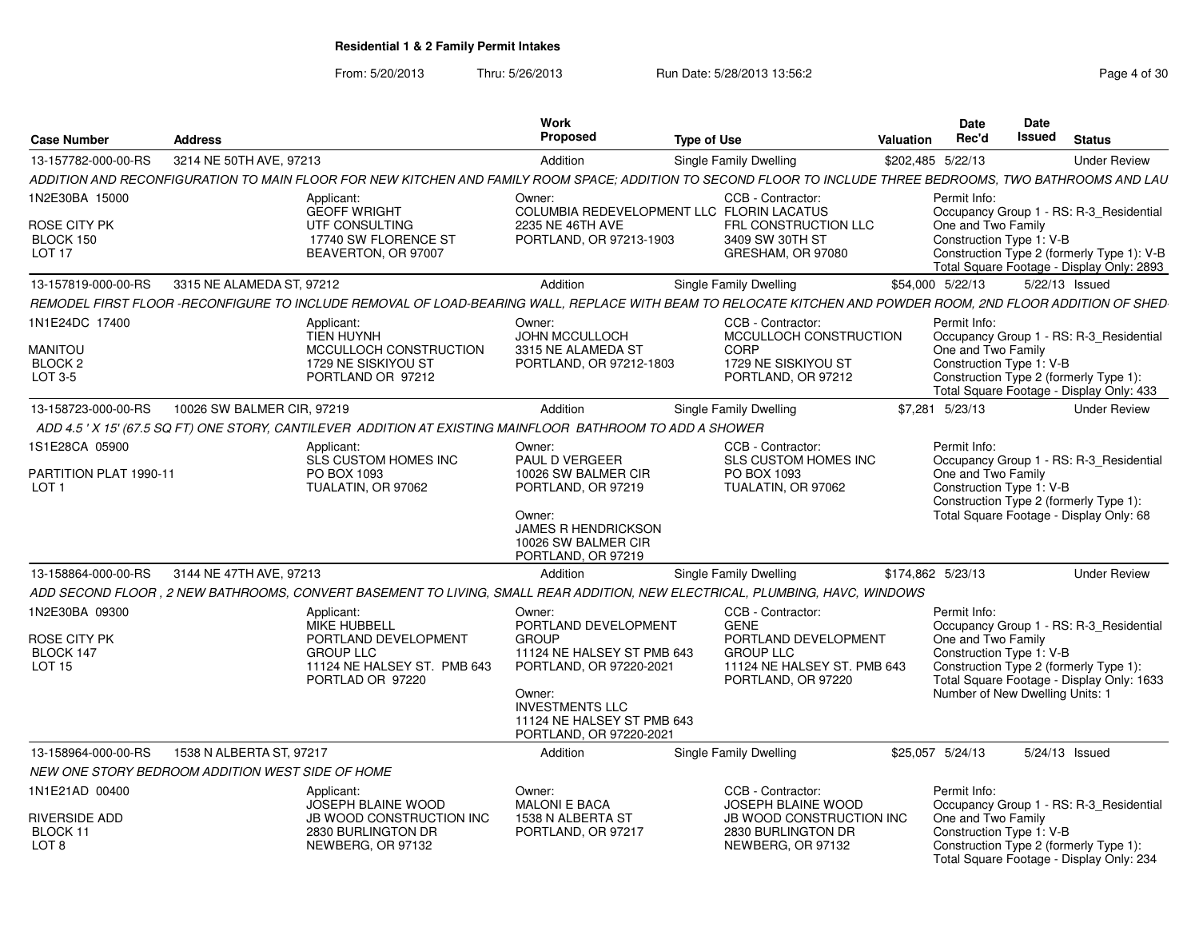From: 5/20/2013Thru: 5/26/2013 Run Date: 5/28/2013 13:56:2<br>
Page 4 of 30

| <b>Case Number</b>                                                     | <b>Address</b>             |                                                                                                                                                             | <b>Work</b><br>Proposed                                                                                                                                                                              | <b>Type of Use</b>                                                                                                                | Valuation | Date<br>Rec'd                                                                                                                                       | <b>Date</b><br>Issued | <b>Status</b>                                                                         |
|------------------------------------------------------------------------|----------------------------|-------------------------------------------------------------------------------------------------------------------------------------------------------------|------------------------------------------------------------------------------------------------------------------------------------------------------------------------------------------------------|-----------------------------------------------------------------------------------------------------------------------------------|-----------|-----------------------------------------------------------------------------------------------------------------------------------------------------|-----------------------|---------------------------------------------------------------------------------------|
| 13-157782-000-00-RS                                                    | 3214 NE 50TH AVE, 97213    |                                                                                                                                                             | Addition                                                                                                                                                                                             | Single Family Dwelling                                                                                                            |           | \$202,485 5/22/13                                                                                                                                   |                       | <b>Under Review</b>                                                                   |
|                                                                        |                            | ADDITION AND RECONFIGURATION TO MAIN FLOOR FOR NEW KITCHEN AND FAMILY ROOM SPACE; ADDITION TO SECOND FLOOR TO INCLUDE THREE BEDROOMS, TWO BATHROOMS AND LAU |                                                                                                                                                                                                      |                                                                                                                                   |           |                                                                                                                                                     |                       |                                                                                       |
| 1N2E30BA 15000<br>ROSE CITY PK<br>BLOCK 150<br>LOT <sub>17</sub>       |                            | Applicant:<br><b>GEOFF WRIGHT</b><br>UTF CONSULTING<br>17740 SW FLORENCE ST<br>BEAVERTON, OR 97007                                                          | Owner:<br>2235 NE 46TH AVE<br>PORTLAND, OR 97213-1903                                                                                                                                                | CCB - Contractor:<br>COLUMBIA REDEVELOPMENT LLC FLORIN LACATUS<br>FRL CONSTRUCTION LLC<br>3409 SW 30TH ST<br>GRESHAM, OR 97080    |           | Permit Info:<br>One and Two Family<br>Construction Type 1: V-B                                                                                      |                       | Occupancy Group 1 - RS: R-3_Residential<br>Construction Type 2 (formerly Type 1): V-B |
| 13-157819-000-00-RS                                                    | 3315 NE ALAMEDA ST. 97212  |                                                                                                                                                             | Addition                                                                                                                                                                                             | Single Family Dwelling                                                                                                            |           | \$54,000 5/22/13                                                                                                                                    | 5/22/13 Issued        | Total Square Footage - Display Only: 2893                                             |
|                                                                        |                            | REMODEL FIRST FLOOR -RECONFIGURE TO INCLUDE REMOVAL OF LOAD-BEARING WALL. REPLACE WITH BEAM TO RELOCATE KITCHEN AND POWDER ROOM. 2ND FLOOR ADDITION OF SHED |                                                                                                                                                                                                      |                                                                                                                                   |           |                                                                                                                                                     |                       |                                                                                       |
| 1N1E24DC 17400                                                         |                            |                                                                                                                                                             |                                                                                                                                                                                                      | CCB - Contractor:                                                                                                                 |           | Permit Info:                                                                                                                                        |                       |                                                                                       |
| MANITOU<br>BLOCK <sub>2</sub><br>LOT 3-5                               |                            | Applicant:<br><b>TIEN HUYNH</b><br>MCCULLOCH CONSTRUCTION<br>1729 NE SISKIYOU ST<br>PORTLAND OR 97212                                                       | Owner:<br><b>JOHN MCCULLOCH</b><br>3315 NE ALAMEDA ST<br>PORTLAND, OR 97212-1803                                                                                                                     | MCCULLOCH CONSTRUCTION<br>CORP<br>1729 NE SISKIYOU ST<br>PORTLAND, OR 97212                                                       |           | One and Two Family<br>Construction Type 1: V-B<br>Construction Type 2 (formerly Type 1):                                                            |                       | Occupancy Group 1 - RS: R-3 Residential<br>Total Square Footage - Display Only: 433   |
| 13-158723-000-00-RS                                                    | 10026 SW BALMER CIR, 97219 |                                                                                                                                                             | Addition                                                                                                                                                                                             | Single Family Dwelling                                                                                                            |           | \$7,281 5/23/13                                                                                                                                     |                       | <b>Under Review</b>                                                                   |
|                                                                        |                            | ADD 4.5 ' X 15' (67.5 SQ FT) ONE STORY, CANTILEVER ADDITION AT EXISTING MAINFLOOR BATHROOM TO ADD A SHOWER                                                  |                                                                                                                                                                                                      |                                                                                                                                   |           |                                                                                                                                                     |                       |                                                                                       |
| 1S1E28CA 05900<br>PARTITION PLAT 1990-11<br>LOT <sub>1</sub>           |                            | Applicant:<br><b>SLS CUSTOM HOMES INC</b><br>PO BOX 1093<br>TUALATIN, OR 97062                                                                              | Owner:<br><b>PAUL D VERGEER</b><br>10026 SW BALMER CIR<br>PORTLAND, OR 97219<br>Owner:<br><b>JAMES R HENDRICKSON</b><br>10026 SW BALMER CIR<br>PORTLAND, OR 97219                                    | CCB - Contractor:<br><b>SLS CUSTOM HOMES INC</b><br>PO BOX 1093<br>TUALATIN, OR 97062                                             |           | Permit Info:<br>One and Two Family<br>Construction Type 1: V-B<br>Construction Type 2 (formerly Type 1):<br>Total Square Footage - Display Only: 68 |                       | Occupancy Group 1 - RS: R-3 Residential                                               |
| 13-158864-000-00-RS                                                    | 3144 NE 47TH AVE, 97213    |                                                                                                                                                             | Addition                                                                                                                                                                                             | Single Family Dwelling                                                                                                            |           | \$174,862 5/23/13                                                                                                                                   |                       | <b>Under Review</b>                                                                   |
|                                                                        |                            | ADD SECOND FLOOR . 2 NEW BATHROOMS. CONVERT BASEMENT TO LIVING. SMALL REAR ADDITION. NEW ELECTRICAL. PLUMBING. HAVC. WINDOWS                                |                                                                                                                                                                                                      |                                                                                                                                   |           |                                                                                                                                                     |                       |                                                                                       |
| 1N2E30BA 09300<br>ROSE CITY PK<br>BLOCK 147<br><b>LOT 15</b>           |                            | Applicant:<br><b>MIKE HUBBELL</b><br>PORTLAND DEVELOPMENT<br><b>GROUP LLC</b><br>11124 NE HALSEY ST. PMB 643<br>PORTLAD OR 97220                            | Owner:<br>PORTLAND DEVELOPMENT<br><b>GROUP</b><br>11124 NE HALSEY ST PMB 643<br>PORTLAND, OR 97220-2021<br>Owner:<br><b>INVESTMENTS LLC</b><br>11124 NE HALSEY ST PMB 643<br>PORTLAND, OR 97220-2021 | CCB - Contractor:<br><b>GENE</b><br>PORTLAND DEVELOPMENT<br><b>GROUP LLC</b><br>11124 NE HALSEY ST. PMB 643<br>PORTLAND, OR 97220 |           | Permit Info:<br>One and Two Family<br>Construction Type 1: V-B<br>Construction Type 2 (formerly Type 1):<br>Number of New Dwelling Units: 1         |                       | Occupancy Group 1 - RS: R-3 Residential<br>Total Square Footage - Display Only: 1633  |
| 13-158964-000-00-RS                                                    | 1538 N ALBERTA ST, 97217   |                                                                                                                                                             | Addition                                                                                                                                                                                             | Single Family Dwelling                                                                                                            |           | \$25,057 5/24/13                                                                                                                                    | 5/24/13 Issued        |                                                                                       |
| NEW ONE STORY BEDROOM ADDITION WEST SIDE OF HOME                       |                            |                                                                                                                                                             |                                                                                                                                                                                                      |                                                                                                                                   |           |                                                                                                                                                     |                       |                                                                                       |
| 1N1E21AD 00400<br><b>RIVERSIDE ADD</b><br>BLOCK 11<br>LOT <sub>8</sub> |                            | Applicant:<br>JOSEPH BLAINE WOOD<br><b>JB WOOD CONSTRUCTION INC.</b><br>2830 BURLINGTON DR<br>NEWBERG, OR 97132                                             | Owner:<br><b>MALONI E BACA</b><br>1538 N ALBERTA ST<br>PORTLAND, OR 97217                                                                                                                            | CCB - Contractor:<br>JOSEPH BLAINE WOOD<br><b>JB WOOD CONSTRUCTION INC.</b><br>2830 BURLINGTON DR<br>NEWBERG, OR 97132            |           | Permit Info:<br>One and Two Family<br>Construction Type 1: V-B<br>Construction Type 2 (formerly Type 1):                                            |                       | Occupancy Group 1 - RS: R-3 Residential<br>Total Square Footage - Display Only: 234   |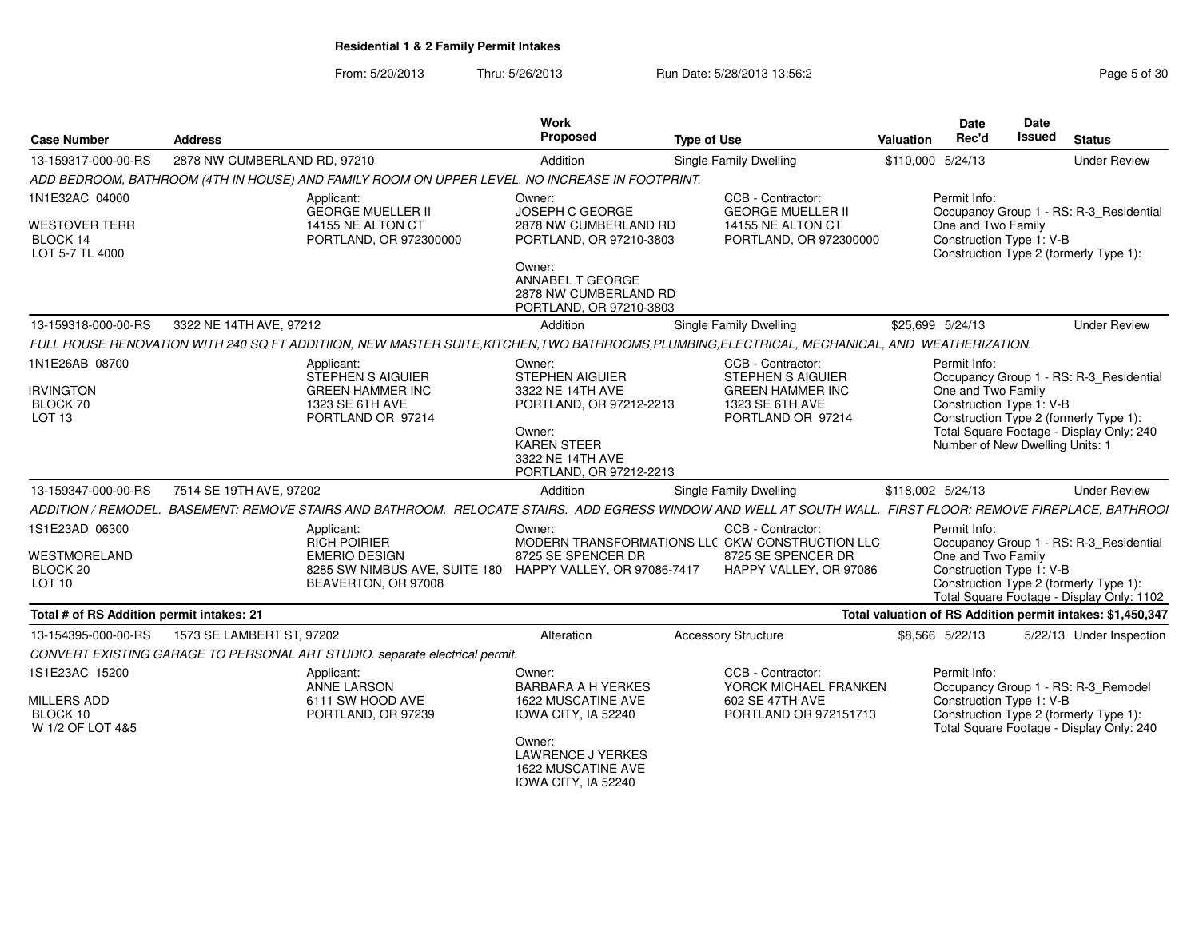From: 5/20/2013Thru: 5/26/2013 **Run Date: 5/28/2013 13:56:2** Page 5 of 30

| <b>Case Number</b>                        | <b>Address</b>               |                                                                                                | <b>Work</b><br><b>Proposed</b>                                                  | <b>Type of Use</b>                                                                                                                                           | Valuation         | Date<br>Rec'd                      | <b>Date</b><br><b>Issued</b> | <b>Status</b>                                                                       |
|-------------------------------------------|------------------------------|------------------------------------------------------------------------------------------------|---------------------------------------------------------------------------------|--------------------------------------------------------------------------------------------------------------------------------------------------------------|-------------------|------------------------------------|------------------------------|-------------------------------------------------------------------------------------|
| 13-159317-000-00-RS                       | 2878 NW CUMBERLAND RD. 97210 |                                                                                                | Addition                                                                        | Single Family Dwelling                                                                                                                                       | \$110,000 5/24/13 |                                    |                              | <b>Under Review</b>                                                                 |
|                                           |                              | ADD BEDROOM, BATHROOM (4TH IN HOUSE) AND FAMILY ROOM ON UPPER LEVEL. NO INCREASE IN FOOTPRINT. |                                                                                 |                                                                                                                                                              |                   |                                    |                              |                                                                                     |
| 1N1E32AC 04000<br>WESTOVER TERR           |                              | Applicant:<br><b>GEORGE MUELLER II</b><br>14155 NE ALTON CT                                    | Owner:<br><b>JOSEPH C GEORGE</b><br>2878 NW CUMBERLAND RD                       | CCB - Contractor:<br><b>GEORGE MUELLER II</b><br>14155 NE ALTON CT                                                                                           |                   | Permit Info:<br>One and Two Family |                              | Occupancy Group 1 - RS: R-3 Residential                                             |
| BLOCK 14<br>LOT 5-7 TL 4000               |                              | PORTLAND, OR 972300000                                                                         | PORTLAND, OR 97210-3803                                                         | PORTLAND, OR 972300000                                                                                                                                       |                   | Construction Type 1: V-B           |                              | Construction Type 2 (formerly Type 1):                                              |
|                                           |                              |                                                                                                | Owner:<br>ANNABEL T GEORGE<br>2878 NW CUMBERLAND RD<br>PORTLAND, OR 97210-3803  |                                                                                                                                                              |                   |                                    |                              |                                                                                     |
| 13-159318-000-00-RS                       | 3322 NE 14TH AVE, 97212      |                                                                                                | Addition                                                                        | Single Family Dwelling                                                                                                                                       | \$25,699 5/24/13  |                                    |                              | <b>Under Review</b>                                                                 |
|                                           |                              |                                                                                                |                                                                                 | FULL HOUSE RENOVATION WITH 240 SQ FT ADDITIION, NEW MASTER SUITE,KITCHEN,TWO BATHROOMS,PLUMBING,ELECTRICAL, MECHANICAL, AND WEATHERIZATION.                  |                   |                                    |                              |                                                                                     |
| 1N1E26AB 08700                            |                              | Applicant:<br>STEPHEN S AIGUIER                                                                | Owner:<br><b>STEPHEN AIGUIER</b>                                                | CCB - Contractor:<br><b>STEPHEN S AIGUIER</b>                                                                                                                |                   | Permit Info:                       |                              | Occupancy Group 1 - RS: R-3_Residential                                             |
| <b>IRVINGTON</b>                          |                              | <b>GREEN HAMMER INC</b>                                                                        | 3322 NE 14TH AVE                                                                | <b>GREEN HAMMER INC</b>                                                                                                                                      |                   | One and Two Family                 |                              |                                                                                     |
| BLOCK 70<br>LOT 13                        |                              | 1323 SE 6TH AVE<br>PORTLAND OR 97214                                                           | PORTLAND, OR 97212-2213                                                         | 1323 SE 6TH AVE<br>PORTLAND OR 97214                                                                                                                         |                   | Construction Type 1: V-B           |                              | Construction Type 2 (formerly Type 1):                                              |
|                                           |                              |                                                                                                | Owner:                                                                          |                                                                                                                                                              |                   |                                    |                              | Total Square Footage - Display Only: 240                                            |
|                                           |                              |                                                                                                | <b>KAREN STEER</b><br>3322 NE 14TH AVE                                          |                                                                                                                                                              |                   | Number of New Dwelling Units: 1    |                              |                                                                                     |
|                                           |                              |                                                                                                | PORTLAND, OR 97212-2213                                                         |                                                                                                                                                              |                   |                                    |                              |                                                                                     |
| 13-159347-000-00-RS                       | 7514 SE 19TH AVE, 97202      |                                                                                                | Addition                                                                        | Single Family Dwelling                                                                                                                                       | \$118,002 5/24/13 |                                    |                              | <b>Under Review</b>                                                                 |
|                                           |                              |                                                                                                |                                                                                 | ADDITION / REMODEL. BASEMENT: REMOVE STAIRS AND BATHROOM. RELOCATE STAIRS. ADD EGRESS WINDOW AND WELL AT SOUTH WALL. FIRST FLOOR: REMOVE FIREPLACE, BATHROOI |                   |                                    |                              |                                                                                     |
| 1S1E23AD 06300                            |                              | Applicant:<br><b>RICH POIRIER</b>                                                              | Owner:                                                                          | CCB - Contractor:<br>MODERN TRANSFORMATIONS LLC CKW CONSTRUCTION LLC                                                                                         |                   | Permit Info:                       |                              | Occupancy Group 1 - RS: R-3_Residential                                             |
| WESTMORELAND                              |                              | <b>EMERIO DESIGN</b>                                                                           | 8725 SE SPENCER DR                                                              | 8725 SE SPENCER DR                                                                                                                                           |                   | One and Two Family                 |                              |                                                                                     |
| BLOCK 20                                  |                              | 8285 SW NIMBUS AVE, SUITE 180 HAPPY VALLEY, OR 97086-7417                                      |                                                                                 | HAPPY VALLEY, OR 97086                                                                                                                                       |                   | Construction Type 1: V-B           |                              |                                                                                     |
| <b>LOT 10</b>                             |                              | BEAVERTON, OR 97008                                                                            |                                                                                 |                                                                                                                                                              |                   |                                    |                              | Construction Type 2 (formerly Type 1):<br>Total Square Footage - Display Only: 1102 |
| Total # of RS Addition permit intakes: 21 |                              |                                                                                                |                                                                                 |                                                                                                                                                              |                   |                                    |                              | Total valuation of RS Addition permit intakes: \$1,450,347                          |
| 13-154395-000-00-RS                       | 1573 SE LAMBERT ST, 97202    |                                                                                                | Alteration                                                                      | <b>Accessory Structure</b>                                                                                                                                   | \$8,566 5/22/13   |                                    |                              | 5/22/13 Under Inspection                                                            |
|                                           |                              | CONVERT EXISTING GARAGE TO PERSONAL ART STUDIO. separate electrical permit.                    |                                                                                 |                                                                                                                                                              |                   |                                    |                              |                                                                                     |
| 1S1E23AC 15200                            |                              | Applicant:                                                                                     | Owner:                                                                          | CCB - Contractor:                                                                                                                                            |                   | Permit Info:                       |                              |                                                                                     |
|                                           |                              | <b>ANNE LARSON</b>                                                                             | <b>BARBARA A H YERKES</b>                                                       | YORCK MICHAEL FRANKEN                                                                                                                                        |                   |                                    |                              | Occupancy Group 1 - RS: R-3_Remodel                                                 |
| MILLERS ADD                               |                              | 6111 SW HOOD AVE                                                                               | <b>1622 MUSCATINE AVE</b>                                                       | 602 SE 47TH AVE                                                                                                                                              |                   | Construction Type 1: V-B           |                              |                                                                                     |
| BLOCK 10<br>W 1/2 OF LOT 4&5              |                              | PORTLAND, OR 97239                                                                             | IOWA CITY, IA 52240                                                             | PORTLAND OR 972151713                                                                                                                                        |                   |                                    |                              | Construction Type 2 (formerly Type 1):<br>Total Square Footage - Display Only: 240  |
|                                           |                              |                                                                                                | Owner:<br><b>LAWRENCE J YERKES</b><br>1622 MUSCATINE AVE<br>IOWA CITY, IA 52240 |                                                                                                                                                              |                   |                                    |                              |                                                                                     |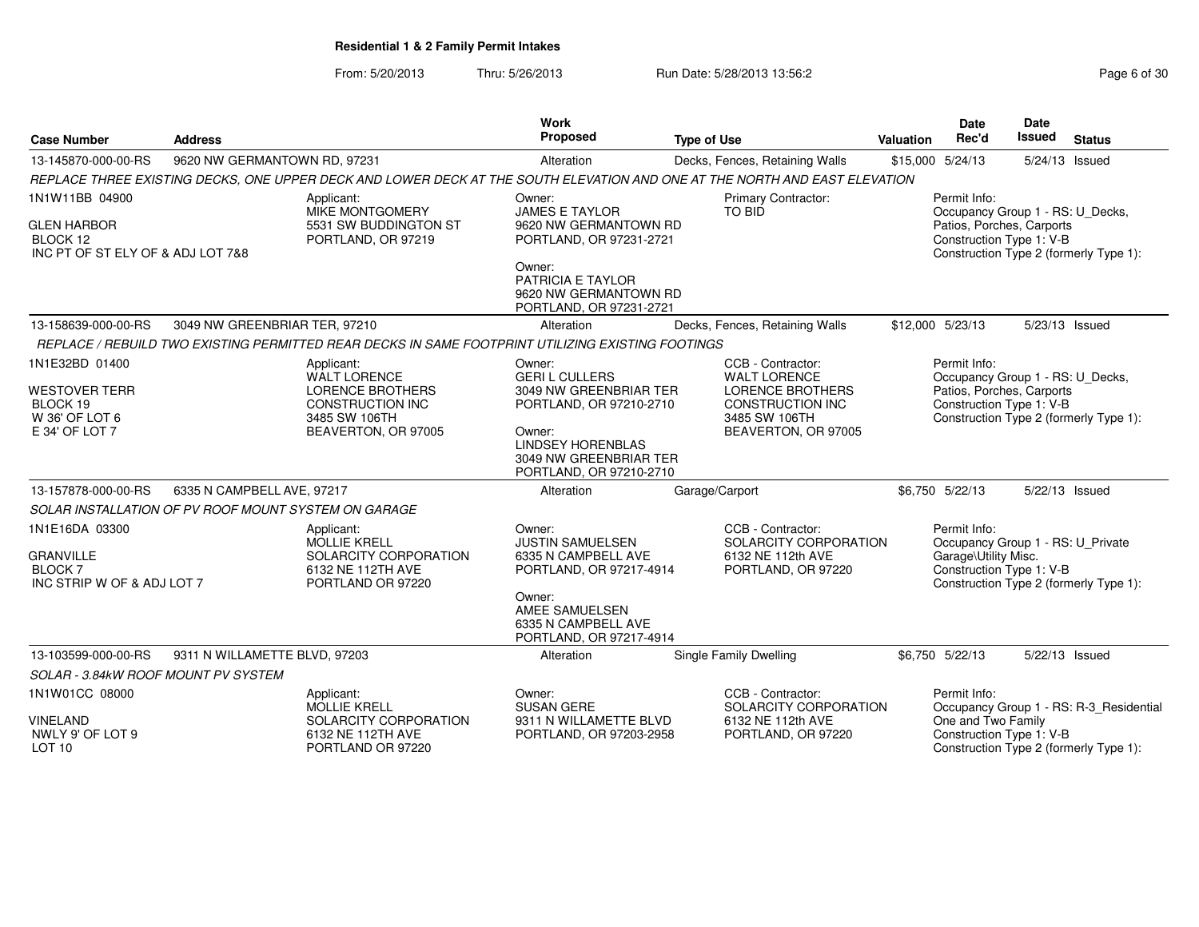From: 5/20/2013Thru: 5/26/2013 **Run Date: 5/28/2013 13:56:2** Page 6 of 30

| <b>Case Number</b><br><b>Address</b>                                                                                       |                               |                                                                                                                          | <b>Work</b><br>Proposed                                                                                                                                                        | <b>Type of Use</b>                                                                                                                     | Valuation        | <b>Date</b><br>Rec'd                                                                                      | <b>Date</b><br>Issued | <b>Status</b>                                                                     |
|----------------------------------------------------------------------------------------------------------------------------|-------------------------------|--------------------------------------------------------------------------------------------------------------------------|--------------------------------------------------------------------------------------------------------------------------------------------------------------------------------|----------------------------------------------------------------------------------------------------------------------------------------|------------------|-----------------------------------------------------------------------------------------------------------|-----------------------|-----------------------------------------------------------------------------------|
| 13-145870-000-00-RS                                                                                                        | 9620 NW GERMANTOWN RD, 97231  |                                                                                                                          | Alteration                                                                                                                                                                     | Decks, Fences, Retaining Walls                                                                                                         | \$15,000 5/24/13 |                                                                                                           | 5/24/13 Issued        |                                                                                   |
| REPLACE THREE EXISTING DECKS, ONE UPPER DECK AND LOWER DECK AT THE SOUTH ELEVATION AND ONE AT THE NORTH AND EAST ELEVATION |                               |                                                                                                                          |                                                                                                                                                                                |                                                                                                                                        |                  |                                                                                                           |                       |                                                                                   |
| 1N1W11BB 04900<br><b>GLEN HARBOR</b><br>BLOCK 12<br>INC PT OF ST ELY OF & ADJ LOT 7&8                                      |                               | Applicant:<br>MIKE MONTGOMERY<br>5531 SW BUDDINGTON ST<br>PORTLAND, OR 97219                                             | Owner:<br><b>JAMES E TAYLOR</b><br>9620 NW GERMANTOWN RD<br>PORTLAND, OR 97231-2721<br>Owner:<br>PATRICIA E TAYLOR<br>9620 NW GERMANTOWN RD<br>PORTLAND, OR 97231-2721         | Primary Contractor:<br>TO BID                                                                                                          |                  | Permit Info:<br>Occupancy Group 1 - RS: U_Decks,<br>Patios, Porches, Carports<br>Construction Type 1: V-B |                       | Construction Type 2 (formerly Type 1):                                            |
| 13-158639-000-00-RS                                                                                                        | 3049 NW GREENBRIAR TER, 97210 |                                                                                                                          | Alteration                                                                                                                                                                     | Decks, Fences, Retaining Walls                                                                                                         | \$12,000 5/23/13 |                                                                                                           | 5/23/13 Issued        |                                                                                   |
|                                                                                                                            |                               | REPLACE / REBUILD TWO EXISTING PERMITTED REAR DECKS IN SAME FOOTPRINT UTILIZING EXISTING FOOTINGS                        |                                                                                                                                                                                |                                                                                                                                        |                  |                                                                                                           |                       |                                                                                   |
| 1N1E32BD 01400<br>WESTOVER TERR<br>BLOCK 19<br>W 36' OF LOT 6<br>E 34' OF LOT 7                                            |                               | Applicant:<br>WALT LORENCE<br><b>LORENCE BROTHERS</b><br><b>CONSTRUCTION INC</b><br>3485 SW 106TH<br>BEAVERTON, OR 97005 | Owner:<br><b>GERIL CULLERS</b><br>3049 NW GREENBRIAR TER<br>PORTLAND, OR 97210-2710<br>Owner:<br><b>LINDSEY HORENBLAS</b><br>3049 NW GREENBRIAR TER<br>PORTLAND, OR 97210-2710 | CCB - Contractor:<br><b>WALT LORENCE</b><br><b>LORENCE BROTHERS</b><br><b>CONSTRUCTION INC</b><br>3485 SW 106TH<br>BEAVERTON, OR 97005 |                  | Permit Info:<br>Occupancy Group 1 - RS: U_Decks,<br>Patios, Porches, Carports<br>Construction Type 1: V-B |                       | Construction Type 2 (formerly Type 1):                                            |
| 13-157878-000-00-RS                                                                                                        | 6335 N CAMPBELL AVE, 97217    |                                                                                                                          | Alteration                                                                                                                                                                     | Garage/Carport                                                                                                                         |                  | \$6,750 5/22/13                                                                                           | 5/22/13 Issued        |                                                                                   |
| SOLAR INSTALLATION OF PV ROOF MOUNT SYSTEM ON GARAGE                                                                       |                               |                                                                                                                          |                                                                                                                                                                                |                                                                                                                                        |                  |                                                                                                           |                       |                                                                                   |
| 1N1E16DA 03300<br>GRANVILLE<br><b>BLOCK7</b><br>INC STRIP W OF & ADJ LOT 7                                                 |                               | Applicant:<br><b>MOLLIE KRELL</b><br>SOLARCITY CORPORATION<br>6132 NE 112TH AVE<br>PORTLAND OR 97220                     | Owner:<br><b>JUSTIN SAMUELSEN</b><br>6335 N CAMPBELL AVE<br>PORTLAND, OR 97217-4914<br>Owner:<br>AMEE SAMUELSEN<br>6335 N CAMPBELL AVE<br>PORTLAND, OR 97217-4914              | CCB - Contractor:<br>SOLARCITY CORPORATION<br>6132 NE 112th AVE<br>PORTLAND, OR 97220                                                  |                  | Permit Info:<br>Occupancy Group 1 - RS: U_Private<br>Garage\Utility Misc.<br>Construction Type 1: V-B     |                       | Construction Type 2 (formerly Type 1):                                            |
| 13-103599-000-00-RS                                                                                                        | 9311 N WILLAMETTE BLVD, 97203 |                                                                                                                          | Alteration                                                                                                                                                                     | <b>Single Family Dwelling</b>                                                                                                          |                  | \$6,750 5/22/13                                                                                           | 5/22/13 Issued        |                                                                                   |
| SOLAR - 3.84kW ROOF MOUNT PV SYSTEM                                                                                        |                               |                                                                                                                          |                                                                                                                                                                                |                                                                                                                                        |                  |                                                                                                           |                       |                                                                                   |
| 1N1W01CC 08000<br>VINELAND<br>NWLY 9' OF LOT 9<br><b>LOT 10</b>                                                            |                               | Applicant:<br><b>MOLLIE KRELL</b><br>SOLARCITY CORPORATION<br>6132 NE 112TH AVE<br>PORTLAND OR 97220                     | Owner:<br><b>SUSAN GERE</b><br>9311 N WILLAMETTE BLVD<br>PORTLAND, OR 97203-2958                                                                                               | CCB - Contractor:<br>SOLARCITY CORPORATION<br>6132 NE 112th AVE<br>PORTLAND, OR 97220                                                  |                  | Permit Info:<br>One and Two Family<br>Construction Type 1: V-B                                            |                       | Occupancy Group 1 - RS: R-3 Residential<br>Construction Type 2 (formerly Type 1): |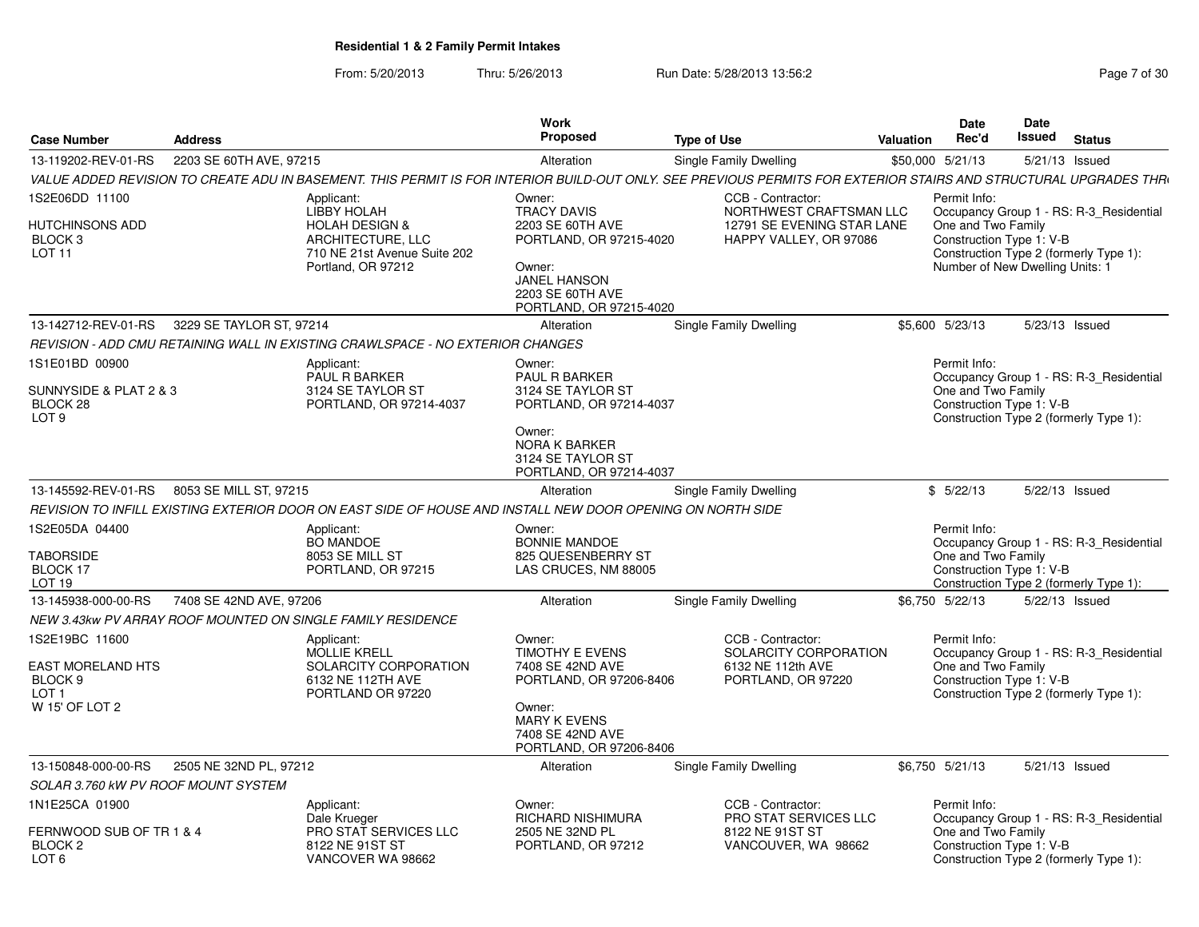From: 5/20/2013Thru: 5/26/2013 Run Date: 5/28/2013 13:56:2<br>
Rage 7 of 30

| <b>Case Number</b>                                                                             | <b>Address</b>           |                                                                                                                                          | <b>Work</b><br><b>Proposed</b>                                                                                                                                                                                                                                      | <b>Type of Use</b>                                                                                                                                               | Valuation | <b>Date</b><br>Rec'd                                           | Date<br>Issued | <b>Status</b>                                                                                                                          |  |  |
|------------------------------------------------------------------------------------------------|--------------------------|------------------------------------------------------------------------------------------------------------------------------------------|---------------------------------------------------------------------------------------------------------------------------------------------------------------------------------------------------------------------------------------------------------------------|------------------------------------------------------------------------------------------------------------------------------------------------------------------|-----------|----------------------------------------------------------------|----------------|----------------------------------------------------------------------------------------------------------------------------------------|--|--|
| 13-119202-REV-01-RS                                                                            | 2203 SE 60TH AVE, 97215  |                                                                                                                                          | Alteration                                                                                                                                                                                                                                                          | Single Family Dwelling                                                                                                                                           |           | \$50,000 5/21/13                                               |                | 5/21/13 Issued                                                                                                                         |  |  |
|                                                                                                |                          |                                                                                                                                          |                                                                                                                                                                                                                                                                     | VALUE ADDED REVISION TO CREATE ADU IN BASEMENT. THIS PERMIT IS FOR INTERIOR BUILD-OUT ONLY. SEE PREVIOUS PERMITS FOR EXTERIOR STAIRS AND STRUCTURAL UPGRADES THR |           |                                                                |                |                                                                                                                                        |  |  |
| 1S2E06DD 11100<br>HUTCHINSONS ADD<br>BLOCK <sub>3</sub><br>LOT <sub>11</sub>                   |                          | Applicant:<br><b>LIBBY HOLAH</b><br><b>HOLAH DESIGN &amp;</b><br>ARCHITECTURE, LLC<br>710 NE 21st Avenue Suite 202<br>Portland, OR 97212 | Owner:<br>CCB - Contractor:<br><b>TRACY DAVIS</b><br>NORTHWEST CRAFTSMAN LLC<br>2203 SE 60TH AVE<br>12791 SE EVENING STAR LANE<br>PORTLAND, OR 97215-4020<br>HAPPY VALLEY, OR 97086<br>Owner:<br><b>JANEL HANSON</b><br>2203 SE 60TH AVE<br>PORTLAND, OR 97215-4020 |                                                                                                                                                                  |           | Permit Info:<br>One and Two Family<br>Construction Type 1: V-B |                | Occupancy Group 1 - RS: R-3 Residential<br>Construction Type 2 (formerly Type 1):<br>Number of New Dwelling Units: 1<br>5/23/13 Issued |  |  |
| 13-142712-REV-01-RS                                                                            | 3229 SE TAYLOR ST, 97214 |                                                                                                                                          | Alteration                                                                                                                                                                                                                                                          | Single Family Dwelling                                                                                                                                           |           | \$5,600 5/23/13                                                |                |                                                                                                                                        |  |  |
|                                                                                                |                          | REVISION - ADD CMU RETAINING WALL IN EXISTING CRAWLSPACE - NO EXTERIOR CHANGES                                                           |                                                                                                                                                                                                                                                                     |                                                                                                                                                                  |           |                                                                |                |                                                                                                                                        |  |  |
| 1S1E01BD 00900<br>SUNNYSIDE & PLAT 2 & 3<br>BLOCK 28<br>LOT <sub>9</sub>                       |                          | Applicant:<br><b>PAUL R BARKER</b><br>3124 SE TAYLOR ST<br>PORTLAND, OR 97214-4037                                                       | Owner:<br>PAUL R BARKER<br>3124 SE TAYLOR ST<br>PORTLAND, OR 97214-4037<br>Owner:<br><b>NORA K BARKER</b><br>3124 SE TAYLOR ST<br>PORTLAND, OR 97214-4037                                                                                                           |                                                                                                                                                                  |           | Permit Info:<br>One and Two Family<br>Construction Type 1: V-B |                | Occupancy Group 1 - RS: R-3_Residential<br>Construction Type 2 (formerly Type 1):                                                      |  |  |
| 13-145592-REV-01-RS                                                                            | 8053 SE MILL ST, 97215   |                                                                                                                                          | Alteration                                                                                                                                                                                                                                                          | <b>Single Family Dwelling</b>                                                                                                                                    |           | \$5/22/13                                                      |                | 5/22/13 Issued                                                                                                                         |  |  |
|                                                                                                |                          | REVISION TO INFILL EXISTING EXTERIOR DOOR ON EAST SIDE OF HOUSE AND INSTALL NEW DOOR OPENING ON NORTH SIDE                               |                                                                                                                                                                                                                                                                     |                                                                                                                                                                  |           |                                                                |                |                                                                                                                                        |  |  |
| 1S2E05DA 04400<br><b>TABORSIDE</b><br>BLOCK 17<br>LOT <sub>19</sub>                            |                          | Applicant:<br><b>BO MANDOE</b><br>8053 SE MILL ST<br>PORTLAND, OR 97215                                                                  | Owner:<br><b>BONNIE MANDOE</b><br>825 QUESENBERRY ST<br>LAS CRUCES, NM 88005                                                                                                                                                                                        |                                                                                                                                                                  |           | Permit Info:<br>One and Two Family<br>Construction Type 1: V-B |                | Occupancy Group 1 - RS: R-3 Residential<br>Construction Type 2 (formerly Type 1):                                                      |  |  |
| 13-145938-000-00-RS                                                                            | 7408 SE 42ND AVE, 97206  |                                                                                                                                          | Alteration                                                                                                                                                                                                                                                          | Single Family Dwelling                                                                                                                                           |           | \$6,750 5/22/13                                                |                | 5/22/13 Issued                                                                                                                         |  |  |
|                                                                                                |                          | NEW 3.43kw PV ARRAY ROOF MOUNTED ON SINGLE FAMILY RESIDENCE                                                                              |                                                                                                                                                                                                                                                                     |                                                                                                                                                                  |           |                                                                |                |                                                                                                                                        |  |  |
| 1S2E19BC 11600<br><b>EAST MORELAND HTS</b><br>BLOCK <sub>9</sub><br>$1$ OT 1<br>W 15' OF LOT 2 |                          | Applicant:<br><b>MOLLIE KRELL</b><br>SOLARCITY CORPORATION<br>6132 NE 112TH AVE<br>PORTLAND OR 97220                                     | Owner:<br><b>TIMOTHY E EVENS</b><br>7408 SE 42ND AVE<br>PORTLAND, OR 97206-8406<br>Owner:<br><b>MARY K EVENS</b><br>7408 SE 42ND AVE<br>PORTLAND, OR 97206-8406                                                                                                     | CCB - Contractor:<br>SOLARCITY CORPORATION<br>6132 NE 112th AVE<br>PORTLAND, OR 97220                                                                            |           | Permit Info:<br>One and Two Family<br>Construction Type 1: V-B |                | Occupancy Group 1 - RS: R-3_Residential<br>Construction Type 2 (formerly Type 1):                                                      |  |  |
| 13-150848-000-00-RS                                                                            | 2505 NE 32ND PL, 97212   |                                                                                                                                          | Alteration                                                                                                                                                                                                                                                          | Single Family Dwelling                                                                                                                                           |           | \$6,750 5/21/13                                                |                | 5/21/13 Issued                                                                                                                         |  |  |
| SOLAR 3.760 KW PV ROOF MOUNT SYSTEM                                                            |                          |                                                                                                                                          |                                                                                                                                                                                                                                                                     |                                                                                                                                                                  |           |                                                                |                |                                                                                                                                        |  |  |
| 1N1E25CA 01900<br>FERNWOOD SUB OF TR 1 & 4<br>BLOCK <sub>2</sub><br>LOT <sub>6</sub>           |                          | Applicant:<br>Dale Krueger<br>PRO STAT SERVICES LLC<br>8122 NE 91ST ST<br>VANCOVER WA 98662                                              | Owner:<br><b>RICHARD NISHIMURA</b><br>2505 NE 32ND PL<br>PORTLAND, OR 97212                                                                                                                                                                                         | CCB - Contractor:<br><b>PRO STAT SERVICES LLC</b><br>8122 NE 91ST ST<br>VANCOUVER, WA 98662                                                                      |           | Permit Info:<br>One and Two Family<br>Construction Type 1: V-B |                | Occupancy Group 1 - RS: R-3 Residential<br>Construction Type 2 (formerly Type 1):                                                      |  |  |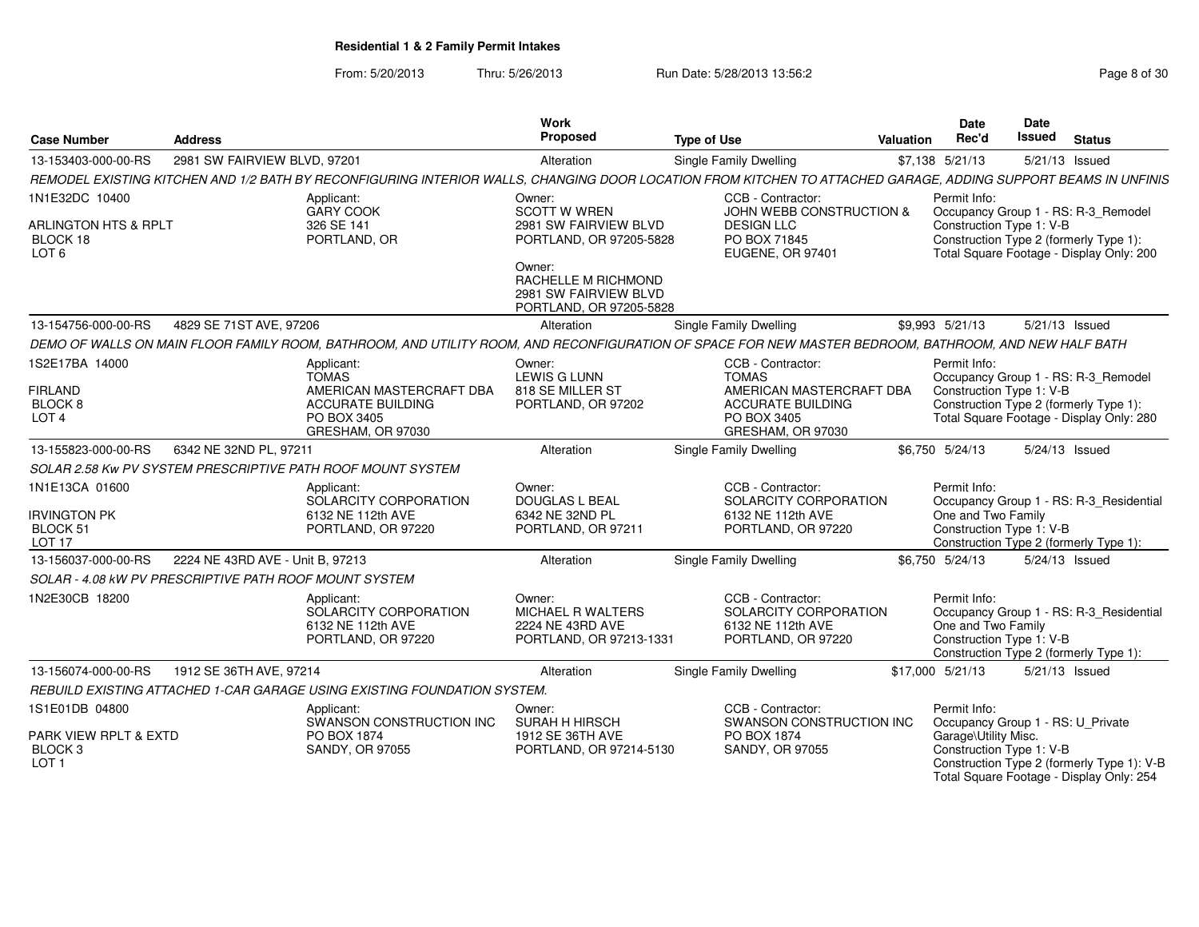From: 5/20/2013Thru: 5/26/2013 Run Date: 5/28/2013 13:56:2<br>
Rage 8 of 30

| <b>Case Number</b>                                                                | <b>Address</b>                                              |                                                                                                                        | Work<br>Proposed                                                                  | <b>Type of Use</b>                                                                                                                                             | <b>Valuation</b> | <b>Date</b><br>Rec'd                                           | <b>Date</b><br>Issued | <b>Status</b>                                                                                                             |
|-----------------------------------------------------------------------------------|-------------------------------------------------------------|------------------------------------------------------------------------------------------------------------------------|-----------------------------------------------------------------------------------|----------------------------------------------------------------------------------------------------------------------------------------------------------------|------------------|----------------------------------------------------------------|-----------------------|---------------------------------------------------------------------------------------------------------------------------|
| 13-153403-000-00-RS                                                               | 2981 SW FAIRVIEW BLVD, 97201                                |                                                                                                                        | Alteration                                                                        | Single Family Dwelling                                                                                                                                         |                  | \$7,138 5/21/13                                                |                       | 5/21/13 Issued                                                                                                            |
|                                                                                   |                                                             |                                                                                                                        |                                                                                   | REMODEL EXISTING KITCHEN AND 1/2 BATH BY RECONFIGURING INTERIOR WALLS, CHANGING DOOR LOCATION FROM KITCHEN TO ATTACHED GARAGE, ADDING SUPPORT BEAMS IN UNFINIS |                  |                                                                |                       |                                                                                                                           |
| 1N1E32DC 10400<br><b>ARLINGTON HTS &amp; RPLT</b><br>BLOCK 18<br>LOT <sub>6</sub> |                                                             | Applicant:<br><b>GARY COOK</b><br>326 SE 141<br>PORTLAND, OR                                                           | Owner:<br><b>SCOTT W WREN</b><br>2981 SW FAIRVIEW BLVD<br>PORTLAND, OR 97205-5828 | CCB - Contractor:<br><b>JOHN WEBB CONSTRUCTION &amp;</b><br><b>DESIGN LLC</b><br>PO BOX 71845<br><b>EUGENE, OR 97401</b>                                       |                  | Permit Info:<br>Construction Type 1: V-B                       |                       | Occupancy Group 1 - RS: R-3_Remodel<br>Construction Type 2 (formerly Type 1):<br>Total Square Footage - Display Only: 200 |
|                                                                                   |                                                             |                                                                                                                        | Owner:<br>RACHELLE M RICHMOND<br>2981 SW FAIRVIEW BLVD<br>PORTLAND, OR 97205-5828 |                                                                                                                                                                |                  |                                                                |                       |                                                                                                                           |
| 13-154756-000-00-RS                                                               | 4829 SE 71ST AVE, 97206                                     |                                                                                                                        | Alteration                                                                        | Single Family Dwelling                                                                                                                                         |                  | \$9,993 5/21/13                                                |                       | 5/21/13 Issued                                                                                                            |
|                                                                                   |                                                             |                                                                                                                        |                                                                                   | DEMO OF WALLS ON MAIN FLOOR FAMILY ROOM. BATHROOM. AND UTILITY ROOM. AND RECONFIGURATION OF SPACE FOR NEW MASTER BEDROOM. BATHROOM. AND NEW HALF BATH          |                  |                                                                |                       |                                                                                                                           |
| 1S2E17BA 14000<br><b>FIRLAND</b><br>BLOCK <sub>8</sub><br>LOT <sub>4</sub>        |                                                             | Applicant:<br><b>TOMAS</b><br>AMERICAN MASTERCRAFT DBA<br><b>ACCURATE BUILDING</b><br>PO BOX 3405<br>GRESHAM, OR 97030 | Owner:<br><b>LEWIS G LUNN</b><br>818 SE MILLER ST<br>PORTLAND, OR 97202           | CCB - Contractor:<br><b>TOMAS</b><br>AMERICAN MASTERCRAFT DBA<br><b>ACCURATE BUILDING</b><br>PO BOX 3405<br>GRESHAM, OR 97030                                  |                  | Permit Info:<br>Construction Type 1: V-B                       |                       | Occupancy Group 1 - RS: R-3_Remodel<br>Construction Type 2 (formerly Type 1):<br>Total Square Footage - Display Only: 280 |
| 13-155823-000-00-RS                                                               | 6342 NE 32ND PL, 97211                                      |                                                                                                                        | Alteration                                                                        | Single Family Dwelling                                                                                                                                         |                  | \$6.750 5/24/13                                                |                       | 5/24/13 Issued                                                                                                            |
|                                                                                   | SOLAR 2.58 Kw PV SYSTEM PRESCRIPTIVE PATH ROOF MOUNT SYSTEM |                                                                                                                        |                                                                                   |                                                                                                                                                                |                  |                                                                |                       |                                                                                                                           |
| 1N1E13CA 01600<br><b>IRVINGTON PK</b><br>BLOCK 51<br>LOT <sub>17</sub>            |                                                             | Applicant:<br>SOLARCITY CORPORATION<br>6132 NE 112th AVE<br>PORTLAND, OR 97220                                         | Owner:<br>DOUGLAS L BEAL<br>6342 NE 32ND PL<br>PORTLAND, OR 97211                 | CCB - Contractor:<br>SOLARCITY CORPORATION<br>6132 NE 112th AVE<br>PORTLAND, OR 97220                                                                          |                  | Permit Info:<br>One and Two Family<br>Construction Type 1: V-B |                       | Occupancy Group 1 - RS: R-3 Residential<br>Construction Type 2 (formerly Type 1):                                         |
| 13-156037-000-00-RS                                                               | 2224 NE 43RD AVE - Unit B. 97213                            |                                                                                                                        | Alteration                                                                        | Single Family Dwelling                                                                                                                                         |                  | \$6.750 5/24/13                                                |                       | 5/24/13 Issued                                                                                                            |
|                                                                                   | SOLAR - 4.08 KW PV PRESCRIPTIVE PATH ROOF MOUNT SYSTEM      |                                                                                                                        |                                                                                   |                                                                                                                                                                |                  |                                                                |                       |                                                                                                                           |
| 1N2E30CB 18200                                                                    |                                                             | Applicant:<br>SOLARCITY CORPORATION<br>6132 NE 112th AVE<br>PORTLAND, OR 97220                                         | Owner:<br><b>MICHAEL R WALTERS</b><br>2224 NE 43RD AVE<br>PORTLAND, OR 97213-1331 | CCB - Contractor:<br>SOLARCITY CORPORATION<br>6132 NE 112th AVE<br>PORTLAND, OR 97220                                                                          |                  | Permit Info:<br>One and Two Family<br>Construction Type 1: V-B |                       | Occupancy Group 1 - RS: R-3_Residential<br>Construction Type 2 (formerly Type 1):                                         |
| 13-156074-000-00-RS                                                               | 1912 SE 36TH AVE, 97214                                     |                                                                                                                        | Alteration                                                                        | Single Family Dwelling                                                                                                                                         |                  | \$17,000 5/21/13                                               |                       | 5/21/13 Issued                                                                                                            |
|                                                                                   |                                                             | REBUILD EXISTING ATTACHED 1-CAR GARAGE USING EXISTING FOUNDATION SYSTEM.                                               |                                                                                   |                                                                                                                                                                |                  |                                                                |                       |                                                                                                                           |
| 1S1E01DB 04800                                                                    |                                                             | Applicant:<br>SWANSON CONSTRUCTION INC                                                                                 | Owner:<br><b>SURAH H HIRSCH</b>                                                   | CCB - Contractor:<br>SWANSON CONSTRUCTION INC                                                                                                                  |                  | Permit Info:                                                   |                       | Occupancy Group 1 - RS: U_Private                                                                                         |
| PARK VIEW RPLT & EXTD<br>BLOCK <sub>3</sub><br>LOT <sub>1</sub>                   |                                                             | PO BOX 1874<br>SANDY, OR 97055                                                                                         | 1912 SE 36TH AVE<br>PORTLAND, OR 97214-5130                                       | PO BOX 1874<br>SANDY, OR 97055                                                                                                                                 |                  | Garage\Utility Misc.<br>Construction Type 1: V-B               |                       | Construction Type 2 (formerly Type 1): V-B<br>Total Square Footage - Display Only: 254                                    |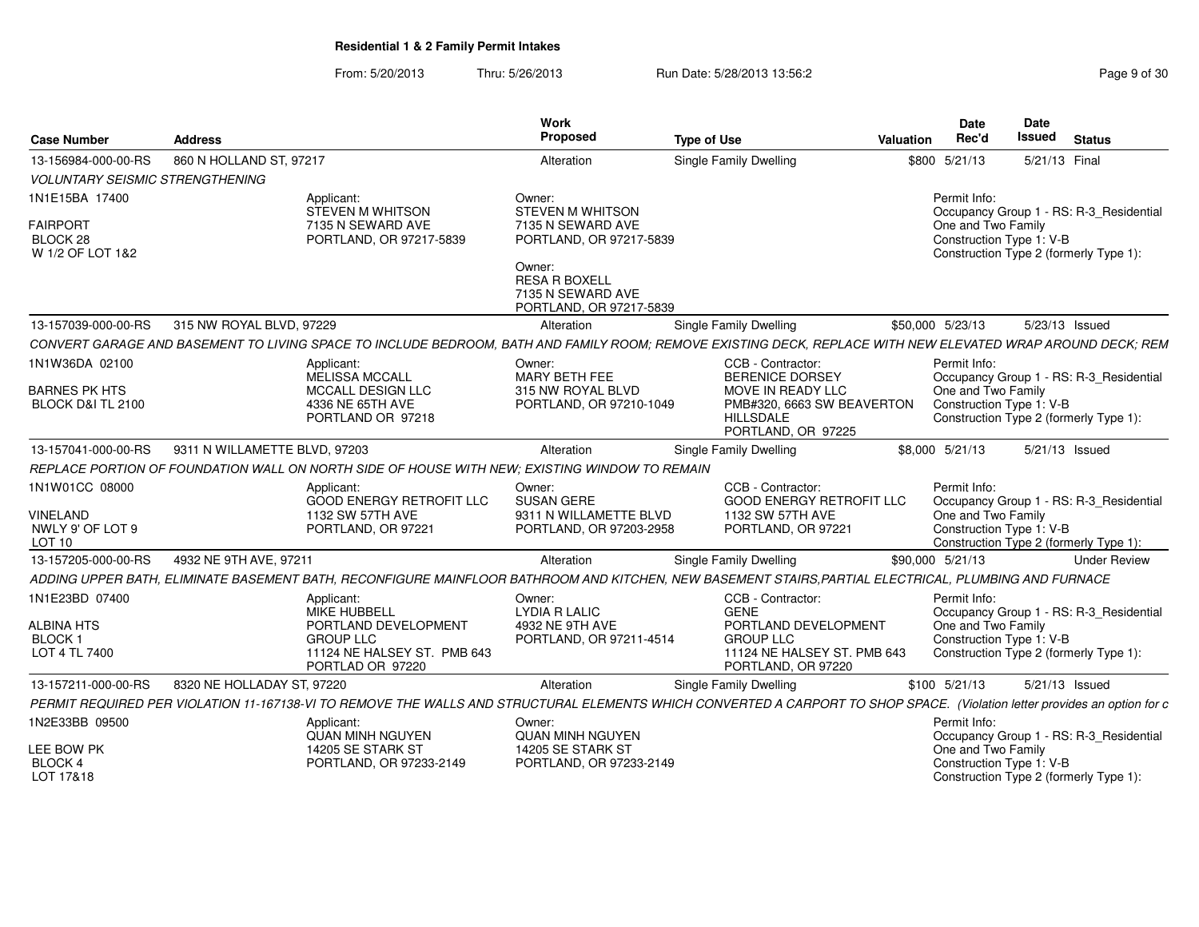From: 5/20/2013Thru: 5/26/2013 Run Date: 5/28/2013 13:56:2<br>
Rage 9 of 30

| <b>Case Number</b>                                       | <b>Address</b>                                                                                                                                                             | Work<br>Proposed                                                               | <b>Type of Use</b>                                                                        | <b>Valuation</b> | Date<br>Rec'd                                                                            | Date<br>Issued | <b>Status</b>                           |
|----------------------------------------------------------|----------------------------------------------------------------------------------------------------------------------------------------------------------------------------|--------------------------------------------------------------------------------|-------------------------------------------------------------------------------------------|------------------|------------------------------------------------------------------------------------------|----------------|-----------------------------------------|
| 13-156984-000-00-RS                                      | 860 N HOLLAND ST, 97217                                                                                                                                                    | Alteration                                                                     | <b>Single Family Dwelling</b>                                                             |                  | \$800 5/21/13                                                                            | 5/21/13 Final  |                                         |
| <b>VOLUNTARY SEISMIC STRENGTHENING</b>                   |                                                                                                                                                                            |                                                                                |                                                                                           |                  |                                                                                          |                |                                         |
| 1N1E15BA 17400                                           | Applicant:<br><b>STEVEN M WHITSON</b>                                                                                                                                      | Owner:<br><b>STEVEN M WHITSON</b>                                              |                                                                                           |                  | Permit Info:                                                                             |                | Occupancy Group 1 - RS: R-3 Residential |
| <b>FAIRPORT</b><br>BLOCK 28<br>W 1/2 OF LOT 1&2          | 7135 N SEWARD AVE<br>PORTLAND, OR 97217-5839                                                                                                                               | 7135 N SEWARD AVE<br>PORTLAND, OR 97217-5839                                   |                                                                                           |                  | One and Two Family<br>Construction Type 1: V-B                                           |                | Construction Type 2 (formerly Type 1):  |
|                                                          |                                                                                                                                                                            | Owner:<br><b>RESA R BOXELL</b><br>7135 N SEWARD AVE<br>PORTLAND, OR 97217-5839 |                                                                                           |                  |                                                                                          |                |                                         |
| 13-157039-000-00-RS                                      | 315 NW ROYAL BLVD, 97229                                                                                                                                                   | Alteration                                                                     | Single Family Dwelling                                                                    |                  | \$50,000 5/23/13                                                                         | 5/23/13 Issued |                                         |
|                                                          | CONVERT GARAGE AND BASEMENT TO LIVING SPACE TO INCLUDE BEDROOM, BATH AND FAMILY ROOM; REMOVE EXISTING DECK, REPLACE WITH NEW ELEVATED WRAP AROUND DECK; REM                |                                                                                |                                                                                           |                  |                                                                                          |                |                                         |
| 1N1W36DA 02100                                           | Applicant:<br>MELISSA MCCALL                                                                                                                                               | Owner:<br><b>MARY BETH FEE</b>                                                 | CCB - Contractor:<br>BERENICE DORSEY                                                      |                  | Permit Info:                                                                             |                | Occupancy Group 1 - RS: R-3_Residential |
| <b>BARNES PK HTS</b><br>BLOCK D&I TL 2100                | <b>MCCALL DESIGN LLC</b><br>4336 NE 65TH AVE<br>PORTLAND OR 97218                                                                                                          | 315 NW ROYAL BLVD<br>PORTLAND, OR 97210-1049                                   | MOVE IN READY LLC<br>PMB#320, 6663 SW BEAVERTON<br><b>HILLSDALE</b><br>PORTLAND, OR 97225 |                  | One and Two Family<br>Construction Type 1: V-B<br>Construction Type 2 (formerly Type 1): |                |                                         |
| 13-157041-000-00-RS                                      | 9311 N WILLAMETTE BLVD, 97203                                                                                                                                              | Alteration                                                                     | <b>Single Family Dwelling</b>                                                             |                  | \$8,000 5/21/13                                                                          | 5/21/13 Issued |                                         |
|                                                          | REPLACE PORTION OF FOUNDATION WALL ON NORTH SIDE OF HOUSE WITH NEW: EXISTING WINDOW TO REMAIN                                                                              |                                                                                |                                                                                           |                  |                                                                                          |                |                                         |
| 1N1W01CC 08000                                           | Applicant:<br><b>GOOD ENERGY RETROFIT LLC</b>                                                                                                                              | Owner:<br><b>SUSAN GERE</b>                                                    | CCB - Contractor:<br><b>GOOD ENERGY RETROFIT LLC</b>                                      |                  | Permit Info:                                                                             |                | Occupancy Group 1 - RS: R-3_Residential |
| <b>VINELAND</b><br>NWLY 9' OF LOT 9<br>LOT <sub>10</sub> | 1132 SW 57TH AVE<br>PORTLAND, OR 97221                                                                                                                                     | 9311 N WILLAMETTE BLVD<br>PORTLAND, OR 97203-2958                              | 1132 SW 57TH AVE<br>PORTLAND, OR 97221                                                    |                  | One and Two Family<br>Construction Type 1: V-B<br>Construction Type 2 (formerly Type 1): |                |                                         |
| 13-157205-000-00-RS                                      | 4932 NE 9TH AVE, 97211                                                                                                                                                     | Alteration                                                                     | <b>Single Family Dwelling</b>                                                             |                  | \$90,000 5/21/13                                                                         |                | <b>Under Review</b>                     |
|                                                          | ADDING UPPER BATH, ELIMINATE BASEMENT BATH, RECONFIGURE MAINFLOOR BATHROOM AND KITCHEN, NEW BASEMENT STAIRS,PARTIAL ELECTRICAL, PLUMBING AND FURNACE                       |                                                                                |                                                                                           |                  |                                                                                          |                |                                         |
| 1N1E23BD 07400                                           | Applicant:<br><b>MIKE HUBBELL</b>                                                                                                                                          | Owner:<br><b>LYDIA R LALIC</b>                                                 | CCB - Contractor:<br><b>GENE</b>                                                          |                  | Permit Info:                                                                             |                | Occupancy Group 1 - RS: R-3_Residential |
| ALBINA HTS                                               | PORTLAND DEVELOPMENT                                                                                                                                                       | 4932 NE 9TH AVE                                                                | PORTLAND DEVELOPMENT                                                                      |                  | One and Two Family                                                                       |                |                                         |
| <b>BLOCK1</b><br>LOT 4 TL 7400                           | <b>GROUP LLC</b><br>11124 NE HALSEY ST. PMB 643<br>PORTLAD OR 97220                                                                                                        | PORTLAND, OR 97211-4514                                                        | <b>GROUP LLC</b><br>11124 NE HALSEY ST. PMB 643<br>PORTLAND, OR 97220                     |                  | Construction Type 1: V-B<br>Construction Type 2 (formerly Type 1):                       |                |                                         |
| 13-157211-000-00-RS                                      | 8320 NE HOLLADAY ST, 97220                                                                                                                                                 | Alteration                                                                     | <b>Single Family Dwelling</b>                                                             |                  | \$100 5/21/13                                                                            | 5/21/13 Issued |                                         |
|                                                          | PERMIT REQUIRED PER VIOLATION 11-167138-VI TO REMOVE THE WALLS AND STRUCTURAL ELEMENTS WHICH CONVERTED A CARPORT TO SHOP SPACE. (Violation letter provides an option for c |                                                                                |                                                                                           |                  |                                                                                          |                |                                         |
| 1N2E33BB 09500                                           | Applicant:                                                                                                                                                                 | Owner:                                                                         |                                                                                           |                  | Permit Info:                                                                             |                |                                         |
| <b>LEE BOW PK</b>                                        | <b>QUAN MINH NGUYEN</b><br>14205 SE STARK ST                                                                                                                               | <b>QUAN MINH NGUYEN</b><br>14205 SE STARK ST                                   |                                                                                           |                  | One and Two Family                                                                       |                | Occupancy Group 1 - RS: R-3_Residential |
| BLOCK 4<br>LOT 17&18                                     | PORTLAND, OR 97233-2149                                                                                                                                                    | PORTLAND, OR 97233-2149                                                        |                                                                                           |                  | Construction Type 1: V-B                                                                 |                | Construction Type 2 (formerly Type 1):  |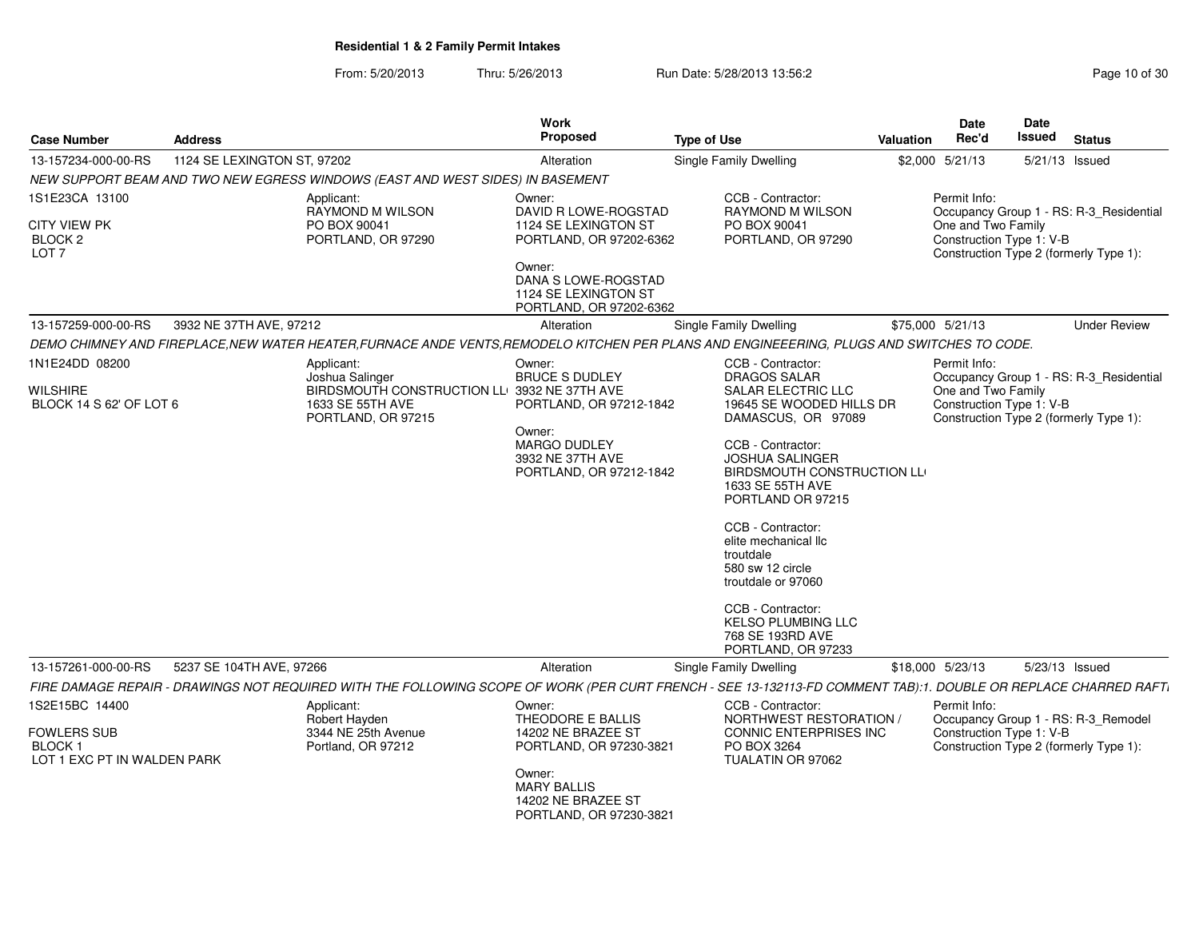From: 5/20/2013Thru: 5/26/2013 Run Date: 5/28/2013 13:56:2<br>
Report 5/26/2013

| <b>Case Number</b>                                                 | <b>Address</b>              |                                                                                                                                                                 | <b>Work</b><br>Proposed                                                                                                   | <b>Type of Use</b>                                                                                                                                                                                                                                                                                                                                                                          | Valuation | Date<br>Rec'd                                                                                                                       | Date<br>Issued | <b>Status</b>  |                     |
|--------------------------------------------------------------------|-----------------------------|-----------------------------------------------------------------------------------------------------------------------------------------------------------------|---------------------------------------------------------------------------------------------------------------------------|---------------------------------------------------------------------------------------------------------------------------------------------------------------------------------------------------------------------------------------------------------------------------------------------------------------------------------------------------------------------------------------------|-----------|-------------------------------------------------------------------------------------------------------------------------------------|----------------|----------------|---------------------|
| 13-157234-000-00-RS                                                | 1124 SE LEXINGTON ST, 97202 |                                                                                                                                                                 | Alteration                                                                                                                | Single Family Dwelling                                                                                                                                                                                                                                                                                                                                                                      | \$2,000   | 5/21/13                                                                                                                             |                | 5/21/13 Issued |                     |
|                                                                    |                             | NEW SUPPORT BEAM AND TWO NEW EGRESS WINDOWS (EAST AND WEST SIDES) IN BASEMENT                                                                                   |                                                                                                                           |                                                                                                                                                                                                                                                                                                                                                                                             |           |                                                                                                                                     |                |                |                     |
| 1S1E23CA 13100                                                     |                             | Applicant:                                                                                                                                                      | Owner:                                                                                                                    | CCB - Contractor:                                                                                                                                                                                                                                                                                                                                                                           |           | Permit Info:                                                                                                                        |                |                |                     |
| <b>CITY VIEW PK</b><br>BLOCK <sub>2</sub><br>LOT <sub>7</sub>      |                             | RAYMOND M WILSON<br>PO BOX 90041<br>PORTLAND, OR 97290                                                                                                          | DAVID R LOWE-ROGSTAD<br>1124 SE LEXINGTON ST<br>PORTLAND, OR 97202-6362<br>Owner:                                         | RAYMOND M WILSON<br>PO BOX 90041<br>PORTLAND, OR 97290                                                                                                                                                                                                                                                                                                                                      |           | Occupancy Group 1 - RS: R-3_Residential<br>One and Two Family<br>Construction Type 1: V-B<br>Construction Type 2 (formerly Type 1): |                |                |                     |
|                                                                    |                             |                                                                                                                                                                 | DANA S LOWE-ROGSTAD<br>1124 SE LEXINGTON ST<br>PORTLAND, OR 97202-6362                                                    |                                                                                                                                                                                                                                                                                                                                                                                             |           |                                                                                                                                     |                |                |                     |
| 13-157259-000-00-RS                                                | 3932 NE 37TH AVE, 97212     |                                                                                                                                                                 | Alteration                                                                                                                | <b>Single Family Dwelling</b>                                                                                                                                                                                                                                                                                                                                                               |           | \$75,000 5/21/13                                                                                                                    |                |                | <b>Under Review</b> |
|                                                                    |                             | DEMO CHIMNEY AND FIREPLACE,NEW WATER HEATER,FURNACE ANDE VENTS,REMODELO KITCHEN PER PLANS AND ENGINEEERING, PLUGS AND SWITCHES TO CODE.                         |                                                                                                                           |                                                                                                                                                                                                                                                                                                                                                                                             |           |                                                                                                                                     |                |                |                     |
| 1N1E24DD 08200                                                     |                             | Applicant:                                                                                                                                                      | Owner:                                                                                                                    | CCB - Contractor:                                                                                                                                                                                                                                                                                                                                                                           |           | Permit Info:                                                                                                                        |                |                |                     |
| WILSHIRE<br>BLOCK 14 S 62' OF LOT 6                                |                             | Joshua Salinger<br>BIRDSMOUTH CONSTRUCTION LLO 3932 NE 37TH AVE<br>1633 SE 55TH AVE<br>PORTLAND, OR 97215                                                       | <b>BRUCE S DUDLEY</b><br>PORTLAND, OR 97212-1842<br>Owner:<br>MARGO DUDLEY<br>3932 NE 37TH AVE<br>PORTLAND, OR 97212-1842 | <b>DRAGOS SALAR</b><br>SALAR ELECTRIC LLC<br>19645 SE WOODED HILLS DR<br>DAMASCUS, OR 97089<br>CCB - Contractor:<br><b>JOSHUA SALINGER</b><br>BIRDSMOUTH CONSTRUCTION LL<br>1633 SE 55TH AVE<br>PORTLAND OR 97215<br>CCB - Contractor:<br>elite mechanical llc<br>troutdale<br>580 sw 12 circle<br>troutdale or 97060<br>CCB - Contractor:<br><b>KELSO PLUMBING LLC</b><br>768 SE 193RD AVE |           | Occupancy Group 1 - RS: R-3_Residential<br>One and Two Family<br>Construction Type 1: V-B<br>Construction Type 2 (formerly Type 1): |                |                |                     |
|                                                                    |                             |                                                                                                                                                                 |                                                                                                                           | PORTLAND, OR 97233                                                                                                                                                                                                                                                                                                                                                                          |           |                                                                                                                                     |                |                |                     |
| 13-157261-000-00-RS                                                | 5237 SE 104TH AVE, 97266    | FIRE DAMAGE REPAIR - DRAWINGS NOT REQUIRED WITH THE FOLLOWING SCOPE OF WORK (PER CURT FRENCH - SEE 13-132113-FD COMMENT TAB):1. DOUBLE OR REPLACE CHARRED RAFT. | Alteration                                                                                                                | Single Family Dwelling                                                                                                                                                                                                                                                                                                                                                                      |           | \$18,000 5/23/13                                                                                                                    |                | 5/23/13 Issued |                     |
| 1S2E15BC 14400                                                     |                             | Applicant:                                                                                                                                                      | Owner:                                                                                                                    | CCB - Contractor:                                                                                                                                                                                                                                                                                                                                                                           |           | Permit Info:                                                                                                                        |                |                |                     |
| <b>FOWLERS SUB</b><br><b>BLOCK1</b><br>LOT 1 EXC PT IN WALDEN PARK |                             | Robert Hayden<br>3344 NE 25th Avenue<br>Portland, OR 97212                                                                                                      | THEODORE E BALLIS<br>14202 NE BRAZEE ST<br>PORTLAND, OR 97230-3821                                                        | NORTHWEST RESTORATION /<br><b>CONNIC ENTERPRISES INC</b><br>PO BOX 3264<br>TUALATIN OR 97062                                                                                                                                                                                                                                                                                                |           | Occupancy Group 1 - RS: R-3_Remodel<br>Construction Type 1: V-B<br>Construction Type 2 (formerly Type 1):                           |                |                |                     |
|                                                                    |                             |                                                                                                                                                                 | Owner:<br><b>MARY BALLIS</b><br>14202 NE BRAZEE ST<br>PORTLAND, OR 97230-3821                                             |                                                                                                                                                                                                                                                                                                                                                                                             |           |                                                                                                                                     |                |                |                     |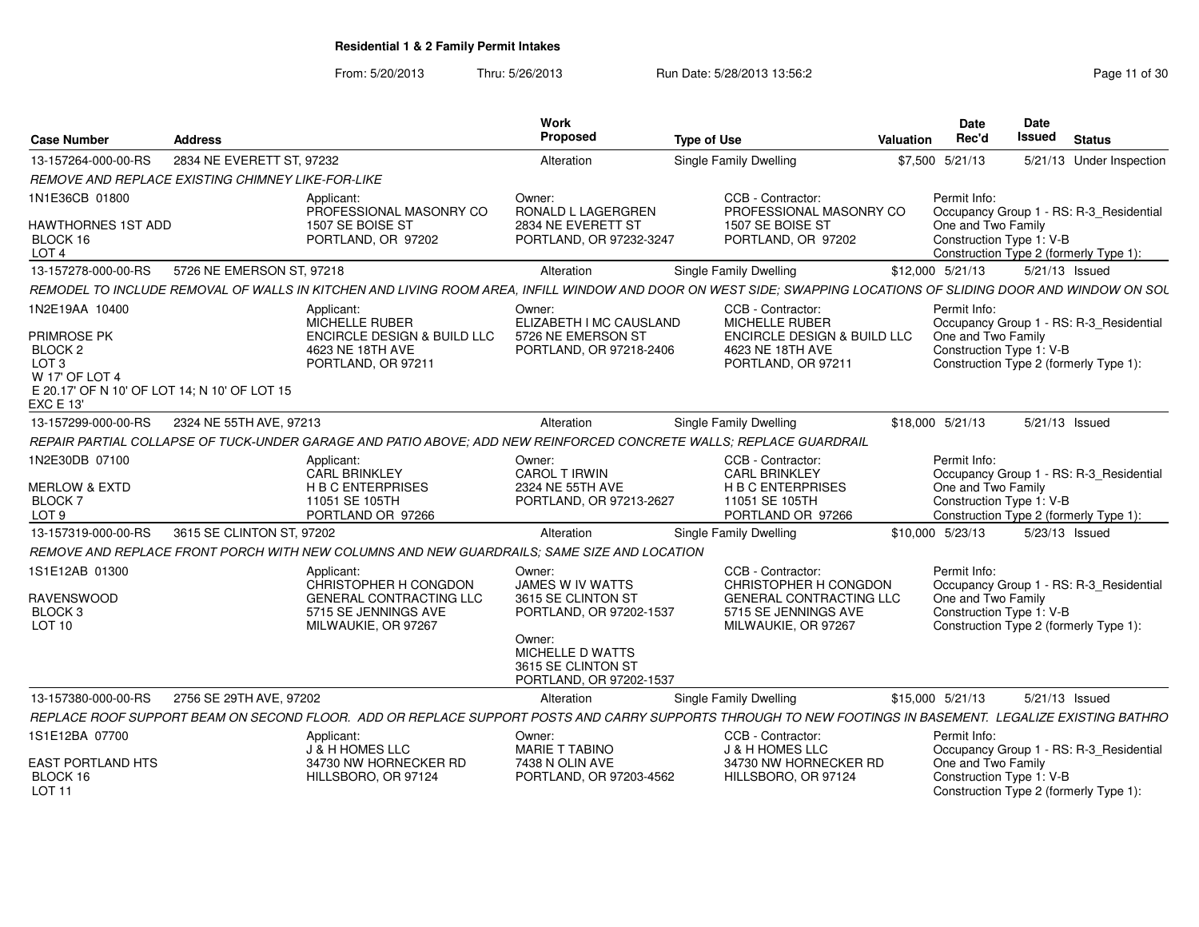From: 5/20/2013

Thru: 5/26/2013 **Run Date: 5/28/2013 13:56:2** Page 11 of 30

| <b>Case Number</b>                                                                                                                        | <b>Address</b>                                    |                                                                                                                                                                | Work<br>Proposed                                                                                          | <b>Type of Use</b> |                                                                                                                                | <b>Valuation</b> | <b>Date</b><br>Rec'd                                           | <b>Date</b><br><b>Issued</b> | <b>Status</b>                                                                     |
|-------------------------------------------------------------------------------------------------------------------------------------------|---------------------------------------------------|----------------------------------------------------------------------------------------------------------------------------------------------------------------|-----------------------------------------------------------------------------------------------------------|--------------------|--------------------------------------------------------------------------------------------------------------------------------|------------------|----------------------------------------------------------------|------------------------------|-----------------------------------------------------------------------------------|
| 13-157264-000-00-RS                                                                                                                       | 2834 NE EVERETT ST. 97232                         |                                                                                                                                                                | Alteration                                                                                                |                    | Single Family Dwelling                                                                                                         |                  | \$7,500 5/21/13                                                |                              | 5/21/13 Under Inspection                                                          |
|                                                                                                                                           | REMOVE AND REPLACE EXISTING CHIMNEY LIKE-FOR-LIKE |                                                                                                                                                                |                                                                                                           |                    |                                                                                                                                |                  |                                                                |                              |                                                                                   |
| 1N1E36CB 01800                                                                                                                            |                                                   | Applicant:                                                                                                                                                     | Owner:                                                                                                    |                    | CCB - Contractor:                                                                                                              |                  | Permit Info:                                                   |                              |                                                                                   |
| HAWTHORNES 1ST ADD<br>BLOCK 16<br>LOT <sub>4</sub>                                                                                        |                                                   | PROFESSIONAL MASONRY CO<br>1507 SE BOISE ST<br>PORTLAND, OR 97202                                                                                              | RONALD L LAGERGREN<br>2834 NE EVERETT ST<br>PORTLAND, OR 97232-3247                                       |                    | PROFESSIONAL MASONRY CO<br>1507 SE BOISE ST<br>PORTLAND, OR 97202                                                              |                  | One and Two Family<br>Construction Type 1: V-B                 |                              | Occupancy Group 1 - RS: R-3 Residential<br>Construction Type 2 (formerly Type 1): |
| 13-157278-000-00-RS                                                                                                                       | 5726 NE EMERSON ST, 97218                         |                                                                                                                                                                | Alteration                                                                                                |                    | Single Family Dwelling                                                                                                         |                  | \$12,000 5/21/13                                               |                              | 5/21/13 Issued                                                                    |
|                                                                                                                                           |                                                   | REMODEL TO INCLUDE REMOVAL OF WALLS IN KITCHEN AND LIVING ROOM AREA, INFILL WINDOW AND DOOR ON WEST SIDE; SWAPPING LOCATIONS OF SLIDING DOOR AND WINDOW ON SOL |                                                                                                           |                    |                                                                                                                                |                  |                                                                |                              |                                                                                   |
| 1N2E19AA 10400<br>PRIMROSE PK<br>BLOCK <sub>2</sub><br>LOT <sub>3</sub><br>W 17' OF LOT 4<br>E 20.17' OF N 10' OF LOT 14: N 10' OF LOT 15 |                                                   | Applicant:<br>MICHELLE RUBER<br>ENCIRCLE DESIGN & BUILD LLC<br>4623 NE 18TH AVE<br>PORTLAND, OR 97211                                                          | Owner:<br>ELIZABETH I MC CAUSLAND<br>5726 NE EMERSON ST<br>PORTLAND, OR 97218-2406                        |                    | CCB - Contractor:<br><b>MICHELLE RUBER</b><br><b>ENCIRCLE DESIGN &amp; BUILD LLC</b><br>4623 NE 18TH AVE<br>PORTLAND, OR 97211 |                  | Permit Info:<br>One and Two Family<br>Construction Type 1: V-B |                              | Occupancy Group 1 - RS: R-3_Residential<br>Construction Type 2 (formerly Type 1): |
| <b>EXC E 13'</b>                                                                                                                          |                                                   |                                                                                                                                                                |                                                                                                           |                    |                                                                                                                                |                  |                                                                |                              |                                                                                   |
| 13-157299-000-00-RS                                                                                                                       | 2324 NE 55TH AVE, 97213                           |                                                                                                                                                                | Alteration                                                                                                |                    | <b>Single Family Dwelling</b>                                                                                                  |                  | \$18,000 5/21/13                                               |                              | 5/21/13 Issued                                                                    |
|                                                                                                                                           |                                                   | REPAIR PARTIAL COLLAPSE OF TUCK-UNDER GARAGE AND PATIO ABOVE: ADD NEW REINFORCED CONCRETE WALLS: REPLACE GUARDRAIL                                             |                                                                                                           |                    |                                                                                                                                |                  |                                                                |                              |                                                                                   |
| 1N2E30DB 07100<br><b>MERLOW &amp; EXTD</b><br><b>BLOCK7</b>                                                                               |                                                   | Applicant:<br><b>CARL BRINKLEY</b><br><b>H B C ENTERPRISES</b><br>11051 SE 105TH                                                                               | Owner:<br><b>CAROL T IRWIN</b><br>2324 NE 55TH AVE<br>PORTLAND, OR 97213-2627                             |                    | CCB - Contractor:<br><b>CARL BRINKLEY</b><br><b>H B C ENTERPRISES</b><br>11051 SE 105TH                                        |                  | Permit Info:<br>One and Two Family<br>Construction Type 1: V-B |                              | Occupancy Group 1 - RS: R-3_Residential                                           |
| LOT <sub>9</sub>                                                                                                                          |                                                   | PORTLAND OR 97266                                                                                                                                              |                                                                                                           |                    | PORTLAND OR 97266                                                                                                              |                  |                                                                |                              | Construction Type 2 (formerly Type 1):                                            |
| 13-157319-000-00-RS                                                                                                                       | 3615 SE CLINTON ST, 97202                         |                                                                                                                                                                | Alteration                                                                                                |                    | Single Family Dwelling                                                                                                         |                  | \$10,000 5/23/13                                               |                              | 5/23/13 Issued                                                                    |
|                                                                                                                                           |                                                   | REMOVE AND REPLACE FRONT PORCH WITH NEW COLUMNS AND NEW GUARDRAILS: SAME SIZE AND LOCATION                                                                     |                                                                                                           |                    |                                                                                                                                |                  |                                                                |                              |                                                                                   |
| 1S1E12AB 01300<br><b>RAVENSWOOD</b><br>BLOCK <sub>3</sub><br><b>LOT 10</b>                                                                |                                                   | Applicant:<br>CHRISTOPHER H CONGDON<br><b>GENERAL CONTRACTING LLC</b><br>5715 SE JENNINGS AVE<br>MILWAUKIE, OR 97267                                           | Owner:<br>JAMES W IV WATTS<br>3615 SE CLINTON ST<br>PORTLAND, OR 97202-1537<br>Owner:<br>MICHELLE D WATTS |                    | CCB - Contractor:<br>CHRISTOPHER H CONGDON<br><b>GENERAL CONTRACTING LLC</b><br>5715 SE JENNINGS AVE<br>MILWAUKIE, OR 97267    |                  | Permit Info:<br>One and Two Family<br>Construction Type 1: V-B |                              | Occupancy Group 1 - RS: R-3_Residential<br>Construction Type 2 (formerly Type 1): |
|                                                                                                                                           |                                                   |                                                                                                                                                                | 3615 SE CLINTON ST<br>PORTLAND, OR 97202-1537                                                             |                    |                                                                                                                                |                  |                                                                |                              |                                                                                   |
| 13-157380-000-00-RS                                                                                                                       | 2756 SE 29TH AVE, 97202                           |                                                                                                                                                                | Alteration                                                                                                |                    | Single Family Dwelling                                                                                                         |                  | \$15,000 5/21/13                                               |                              | 5/21/13 Issued                                                                    |
|                                                                                                                                           |                                                   | REPLACE ROOF SUPPORT BEAM ON SECOND FLOOR. ADD OR REPLACE SUPPORT POSTS AND CARRY SUPPORTS THROUGH TO NEW FOOTINGS IN BASEMENT. LEGALIZE EXISTING BATHRO       |                                                                                                           |                    |                                                                                                                                |                  |                                                                |                              |                                                                                   |
| 1S1E12BA 07700                                                                                                                            |                                                   | Applicant:<br>J & H HOMES LLC                                                                                                                                  | Owner:<br><b>MARIE T TABINO</b>                                                                           |                    | CCB - Contractor:<br>J & H HOMES LLC                                                                                           |                  | Permit Info:                                                   |                              | Occupancy Group 1 - RS: R-3_Residential                                           |
| <b>EAST PORTLAND HTS</b><br>BLOCK 16<br><b>LOT 11</b>                                                                                     |                                                   | 34730 NW HORNECKER RD<br>HILLSBORO, OR 97124                                                                                                                   | 7438 N OLIN AVE<br>PORTLAND, OR 97203-4562                                                                |                    | 34730 NW HORNECKER RD<br>HILLSBORO, OR 97124                                                                                   |                  | One and Two Family<br>Construction Type 1: V-B                 |                              | Construction Type 2 (formerly Type 1):                                            |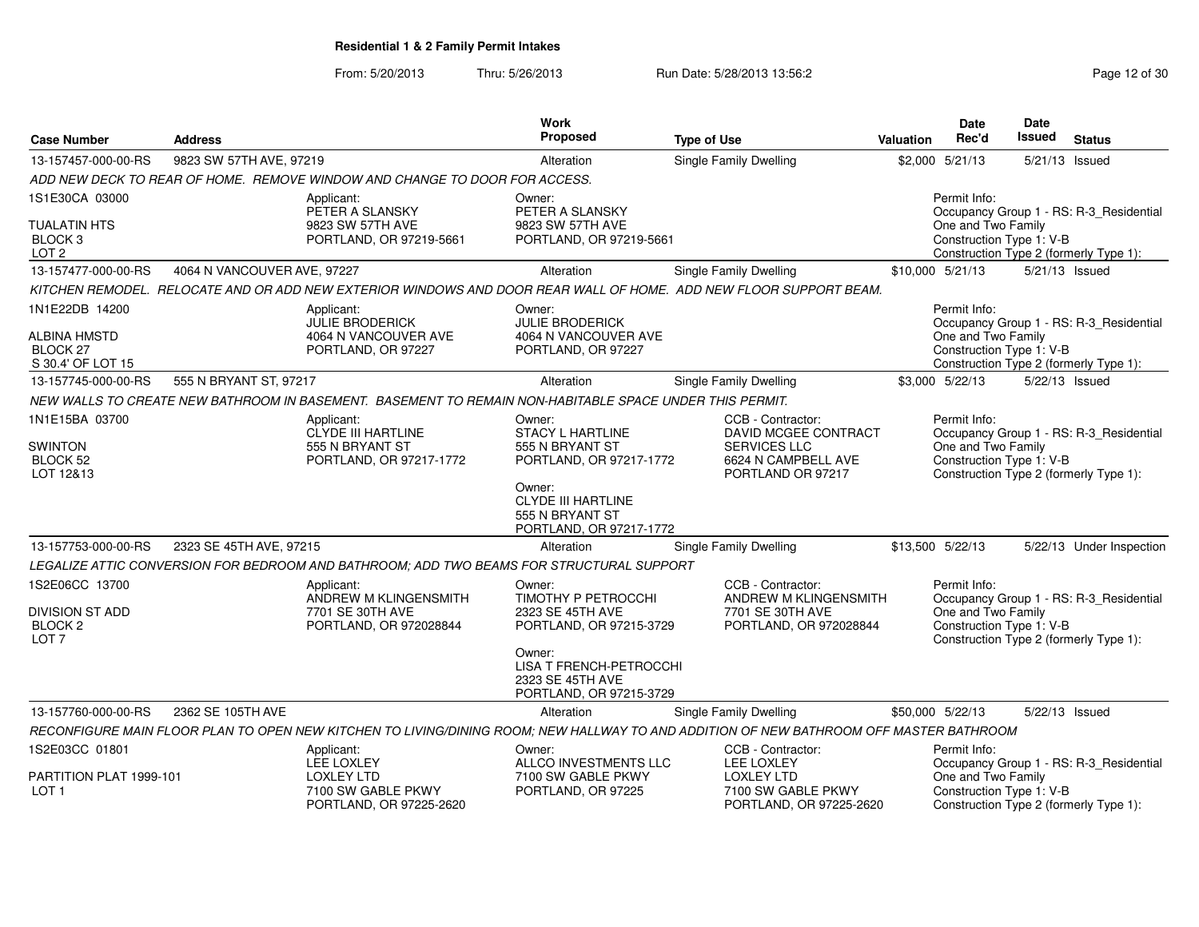From: 5/20/2013Thru: 5/26/2013 Run Date: 5/28/2013 13:56:2<br>
Rege 12 of 30

| <b>Case Number</b>                                               | <b>Address</b>              |                                                                                                         | Work<br><b>Proposed</b>                                                           | <b>Type of Use</b>                                                                                                                     | Valuation | Date<br>Rec'd                                  | <b>Date</b><br>Issued | <b>Status</b>                                                                     |
|------------------------------------------------------------------|-----------------------------|---------------------------------------------------------------------------------------------------------|-----------------------------------------------------------------------------------|----------------------------------------------------------------------------------------------------------------------------------------|-----------|------------------------------------------------|-----------------------|-----------------------------------------------------------------------------------|
| 13-157457-000-00-RS                                              | 9823 SW 57TH AVE, 97219     |                                                                                                         | Alteration                                                                        | <b>Single Family Dwelling</b>                                                                                                          |           | \$2,000 5/21/13                                | 5/21/13 Issued        |                                                                                   |
|                                                                  |                             | ADD NEW DECK TO REAR OF HOME. REMOVE WINDOW AND CHANGE TO DOOR FOR ACCESS.                              |                                                                                   |                                                                                                                                        |           |                                                |                       |                                                                                   |
| 1S1E30CA 03000                                                   |                             | Applicant:<br>PETER A SLANSKY                                                                           | Owner:<br>PETER A SLANSKY                                                         |                                                                                                                                        |           | Permit Info:                                   |                       | Occupancy Group 1 - RS: R-3_Residential                                           |
| <b>TUALATIN HTS</b><br>BLOCK <sub>3</sub><br>LOT <sub>2</sub>    |                             | 9823 SW 57TH AVE<br>PORTLAND, OR 97219-5661                                                             | 9823 SW 57TH AVE<br>PORTLAND, OR 97219-5661                                       |                                                                                                                                        |           | One and Two Family<br>Construction Type 1: V-B |                       | Construction Type 2 (formerly Type 1):                                            |
| 13-157477-000-00-RS                                              | 4064 N VANCOUVER AVE, 97227 |                                                                                                         | Alteration                                                                        | <b>Single Family Dwelling</b>                                                                                                          |           | \$10,000 5/21/13                               | 5/21/13 Issued        |                                                                                   |
|                                                                  |                             |                                                                                                         |                                                                                   | KITCHEN REMODEL. RELOCATE AND OR ADD NEW EXTERIOR WINDOWS AND DOOR REAR WALL OF HOME. ADD NEW FLOOR SUPPORT BEAM.                      |           |                                                |                       |                                                                                   |
| 1N1E22DB 14200                                                   |                             | Applicant:<br><b>JULIE BRODERICK</b>                                                                    | Owner:<br><b>JULIE BRODERICK</b>                                                  |                                                                                                                                        |           | Permit Info:                                   |                       | Occupancy Group 1 - RS: R-3 Residential                                           |
| <b>ALBINA HMSTD</b><br>BLOCK <sub>27</sub><br>S 30.4' OF LOT 15  |                             | 4064 N VANCOUVER AVE<br>PORTLAND, OR 97227                                                              | 4064 N VANCOUVER AVE<br>PORTLAND, OR 97227                                        |                                                                                                                                        |           | One and Two Family<br>Construction Type 1: V-B |                       | Construction Type 2 (formerly Type 1):                                            |
| 13-157745-000-00-RS                                              | 555 N BRYANT ST, 97217      |                                                                                                         | Alteration                                                                        | <b>Single Family Dwelling</b>                                                                                                          |           | \$3,000 5/22/13                                | 5/22/13 Issued        |                                                                                   |
|                                                                  |                             | NEW WALLS TO CREATE NEW BATHROOM IN BASEMENT. BASEMENT TO REMAIN NON-HABITABLE SPACE UNDER THIS PERMIT. |                                                                                   |                                                                                                                                        |           |                                                |                       |                                                                                   |
| 1N1E15BA 03700                                                   |                             | Applicant:<br><b>CLYDE III HARTLINE</b>                                                                 | Owner:<br><b>STACY L HARTLINE</b>                                                 | CCB - Contractor:<br>DAVID MCGEE CONTRACT                                                                                              |           | Permit Info:                                   |                       | Occupancy Group 1 - RS: R-3_Residential                                           |
| <b>SWINTON</b><br>BLOCK 52<br>LOT 12&13                          |                             | 555 N BRYANT ST<br>PORTLAND, OR 97217-1772                                                              | 555 N BRYANT ST<br>PORTLAND, OR 97217-1772                                        | <b>SERVICES LLC</b><br>6624 N CAMPBELL AVE<br>PORTLAND OR 97217                                                                        |           | One and Two Family<br>Construction Type 1: V-B |                       | Construction Type 2 (formerly Type 1):                                            |
|                                                                  |                             |                                                                                                         | Owner:<br><b>CLYDE III HARTLINE</b><br>555 N BRYANT ST<br>PORTLAND, OR 97217-1772 |                                                                                                                                        |           |                                                |                       |                                                                                   |
| 13-157753-000-00-RS                                              | 2323 SE 45TH AVE, 97215     |                                                                                                         | Alteration                                                                        | <b>Single Family Dwelling</b>                                                                                                          |           | \$13,500 5/22/13                               |                       | 5/22/13 Under Inspection                                                          |
|                                                                  |                             | LEGALIZE ATTIC CONVERSION FOR BEDROOM AND BATHROOM: ADD TWO BEAMS FOR STRUCTURAL SUPPORT                |                                                                                   |                                                                                                                                        |           |                                                |                       |                                                                                   |
| 1S2E06CC 13700                                                   |                             | Applicant:<br>ANDREW M KLINGENSMITH                                                                     | Owner:<br>TIMOTHY P PETROCCHI                                                     | CCB - Contractor:<br>ANDREW M KLINGENSMITH                                                                                             |           | Permit Info:                                   |                       | Occupancy Group 1 - RS: R-3_Residential                                           |
| <b>DIVISION ST ADD</b><br>BLOCK <sub>2</sub><br>LOT <sub>7</sub> |                             | 7701 SE 30TH AVE<br>PORTLAND, OR 972028844                                                              | 2323 SE 45TH AVE<br>PORTLAND, OR 97215-3729                                       | 7701 SE 30TH AVE<br>PORTLAND, OR 972028844                                                                                             |           | One and Two Family<br>Construction Type 1: V-B |                       | Construction Type 2 (formerly Type 1):                                            |
|                                                                  |                             |                                                                                                         | Owner:<br>LISA T FRENCH-PETROCCHI<br>2323 SE 45TH AVE<br>PORTLAND, OR 97215-3729  |                                                                                                                                        |           |                                                |                       |                                                                                   |
| 13-157760-000-00-RS                                              | 2362 SE 105TH AVE           |                                                                                                         | Alteration                                                                        | Single Family Dwelling                                                                                                                 |           | \$50,000 5/22/13                               | 5/22/13 Issued        |                                                                                   |
|                                                                  |                             |                                                                                                         |                                                                                   | RECONFIGURE MAIN FLOOR PLAN TO OPEN NEW KITCHEN TO LIVING/DINING ROOM; NEW HALLWAY TO AND ADDITION OF NEW BATHROOM OFF MASTER BATHROOM |           |                                                |                       |                                                                                   |
| 1S2E03CC 01801                                                   |                             | Applicant:                                                                                              | Owner:                                                                            | CCB - Contractor:                                                                                                                      |           | Permit Info:                                   |                       |                                                                                   |
| PARTITION PLAT 1999-101<br>LOT <sub>1</sub>                      |                             | <b>LEE LOXLEY</b><br><b>LOXLEY LTD</b><br>7100 SW GABLE PKWY<br>PORTLAND, OR 97225-2620                 | ALLCO INVESTMENTS LLC<br>7100 SW GABLE PKWY<br>PORTLAND, OR 97225                 | <b>LEE LOXLEY</b><br><b>LOXLEY LTD</b><br>7100 SW GABLE PKWY<br>PORTLAND, OR 97225-2620                                                |           | One and Two Family<br>Construction Type 1: V-B |                       | Occupancy Group 1 - RS: R-3_Residential<br>Construction Type 2 (formerly Type 1): |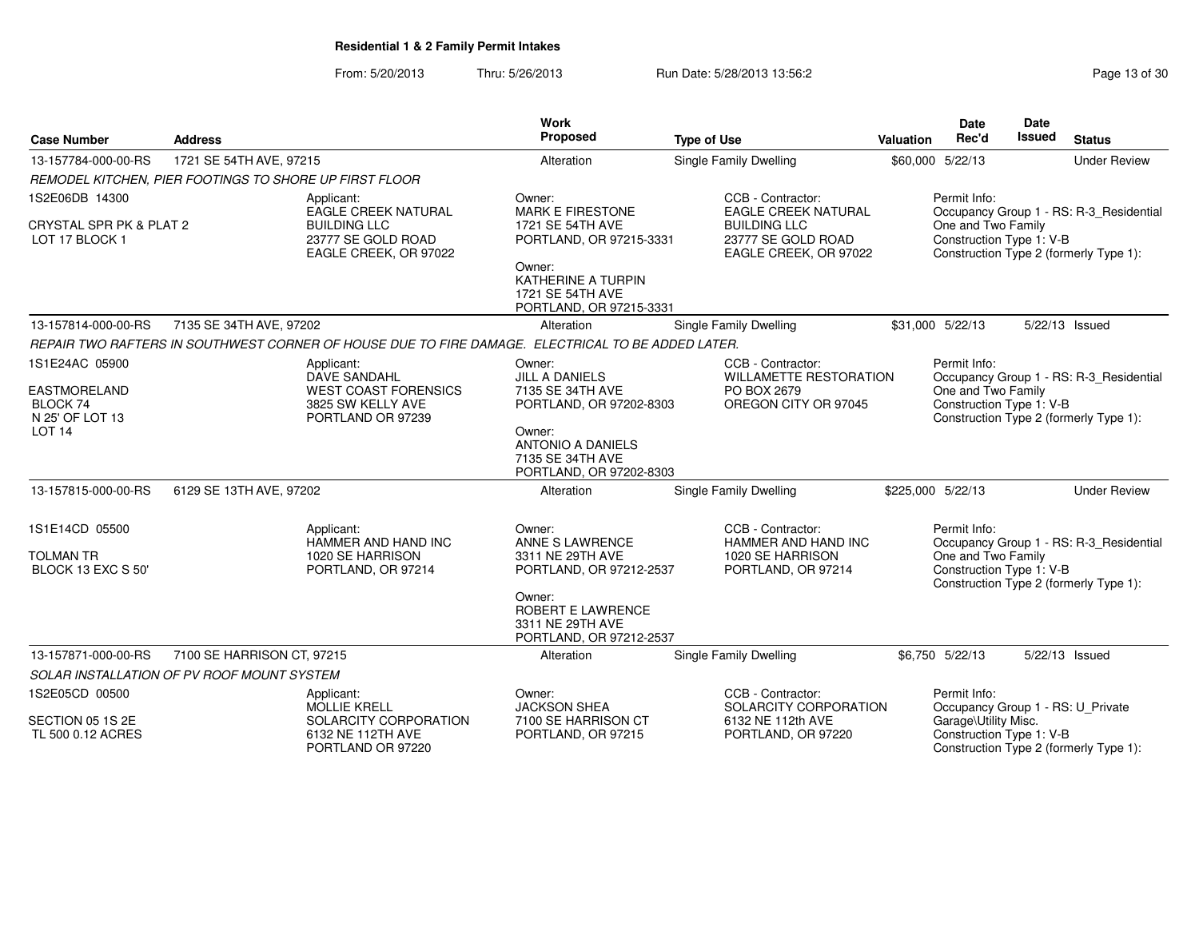From: 5/20/2013Thru: 5/26/2013 Run Date: 5/28/2013 13:56:2<br>
Rage 13 of 30

| <b>Case Number</b>                                 | <b>Address</b>                                         |                                                                                                   | Work<br>Proposed                                                                  | <b>Type of Use</b>                                                 | <b>Valuation</b> | <b>Date</b><br>Rec'd                              | <b>Date</b><br>Issued | <b>Status</b>                           |
|----------------------------------------------------|--------------------------------------------------------|---------------------------------------------------------------------------------------------------|-----------------------------------------------------------------------------------|--------------------------------------------------------------------|------------------|---------------------------------------------------|-----------------------|-----------------------------------------|
| 13-157784-000-00-RS                                | 1721 SE 54TH AVE, 97215                                |                                                                                                   | Alteration                                                                        | <b>Single Family Dwelling</b>                                      |                  | \$60,000 5/22/13                                  |                       | <b>Under Review</b>                     |
|                                                    | REMODEL KITCHEN, PIER FOOTINGS TO SHORE UP FIRST FLOOR |                                                                                                   |                                                                                   |                                                                    |                  |                                                   |                       |                                         |
| 1S2E06DB 14300                                     |                                                        | Applicant:<br><b>EAGLE CREEK NATURAL</b>                                                          | Owner:<br><b>MARK E FIRESTONE</b>                                                 | CCB - Contractor:<br><b>EAGLE CREEK NATURAL</b>                    |                  | Permit Info:                                      |                       | Occupancy Group 1 - RS: R-3_Residential |
| CRYSTAL SPR PK & PLAT 2<br>LOT 17 BLOCK 1          |                                                        | <b>BUILDING LLC</b><br>23777 SE GOLD ROAD<br>EAGLE CREEK, OR 97022                                | 1721 SE 54TH AVE<br>PORTLAND, OR 97215-3331                                       | <b>BUILDING LLC</b><br>23777 SE GOLD ROAD<br>EAGLE CREEK, OR 97022 |                  | One and Two Family<br>Construction Type 1: V-B    |                       | Construction Type 2 (formerly Type 1):  |
|                                                    |                                                        |                                                                                                   | Owner:<br>KATHERINE A TURPIN<br>1721 SE 54TH AVE<br>PORTLAND, OR 97215-3331       |                                                                    |                  |                                                   |                       |                                         |
| 13-157814-000-00-RS                                | 7135 SE 34TH AVE, 97202                                |                                                                                                   | Alteration                                                                        | Single Family Dwelling                                             |                  | \$31,000 5/22/13                                  |                       | 5/22/13 Issued                          |
|                                                    |                                                        | REPAIR TWO RAFTERS IN SOUTHWEST CORNER OF HOUSE DUE TO FIRE DAMAGE. ELECTRICAL TO BE ADDED LATER. |                                                                                   |                                                                    |                  |                                                   |                       |                                         |
| 1S1E24AC 05900                                     |                                                        | Applicant:<br><b>DAVE SANDAHL</b>                                                                 | Owner:<br><b>JILL A DANIELS</b>                                                   | CCB - Contractor:<br><b>WILLAMETTE RESTORATION</b>                 |                  | Permit Info:                                      |                       | Occupancy Group 1 - RS: R-3_Residential |
| <b>EASTMORELAND</b><br>BLOCK 74<br>N 25' OF LOT 13 |                                                        | <b>WEST COAST FORENSICS</b><br>3825 SW KELLY AVE<br>PORTLAND OR 97239                             | 7135 SE 34TH AVE<br>PORTLAND, OR 97202-8303                                       | PO BOX 2679<br>OREGON CITY OR 97045                                |                  | One and Two Family<br>Construction Type 1: V-B    |                       | Construction Type 2 (formerly Type 1):  |
| LOT <sub>14</sub>                                  |                                                        |                                                                                                   | Owner:<br><b>ANTONIO A DANIELS</b><br>7135 SE 34TH AVE<br>PORTLAND, OR 97202-8303 |                                                                    |                  |                                                   |                       |                                         |
| 13-157815-000-00-RS                                | 6129 SE 13TH AVE, 97202                                |                                                                                                   | Alteration                                                                        | <b>Single Family Dwelling</b>                                      |                  | \$225,000 5/22/13                                 |                       | <b>Under Review</b>                     |
| 1S1E14CD 05500                                     |                                                        | Applicant:<br>HAMMER AND HAND INC                                                                 | Owner:<br>ANNE S LAWRENCE                                                         | CCB - Contractor:<br>HAMMER AND HAND INC                           |                  | Permit Info:                                      |                       | Occupancy Group 1 - RS: R-3_Residential |
| <b>TOLMAN TR</b><br>BLOCK 13 EXC S 50'             |                                                        | 1020 SE HARRISON<br>PORTLAND, OR 97214                                                            | 3311 NE 29TH AVE<br>PORTLAND, OR 97212-2537                                       | 1020 SE HARRISON<br>PORTLAND, OR 97214                             |                  | One and Two Family<br>Construction Type 1: V-B    |                       | Construction Type 2 (formerly Type 1):  |
|                                                    |                                                        |                                                                                                   | Owner:<br><b>ROBERT E LAWRENCE</b><br>3311 NE 29TH AVE<br>PORTLAND, OR 97212-2537 |                                                                    |                  |                                                   |                       |                                         |
| 13-157871-000-00-RS                                | 7100 SE HARRISON CT, 97215                             |                                                                                                   | Alteration                                                                        | <b>Single Family Dwelling</b>                                      |                  | \$6,750 5/22/13                                   |                       | 5/22/13 Issued                          |
|                                                    | SOLAR INSTALLATION OF PV ROOF MOUNT SYSTEM             |                                                                                                   |                                                                                   |                                                                    |                  |                                                   |                       |                                         |
| 1S2E05CD 00500                                     |                                                        | Applicant:<br><b>MOLLIE KRELL</b>                                                                 | Owner:<br><b>JACKSON SHEA</b>                                                     | CCB - Contractor:<br>SOLARCITY CORPORATION                         |                  | Permit Info:<br>Occupancy Group 1 - RS: U_Private |                       |                                         |
| SECTION 05 1S 2E<br>TL 500 0.12 ACRES              |                                                        | SOLARCITY CORPORATION<br>6132 NE 112TH AVE<br>PORTLAND OR 97220                                   | 7100 SE HARRISON CT<br>PORTLAND, OR 97215                                         | 6132 NE 112th AVE<br>PORTLAND, OR 97220                            |                  | Garage\Utility Misc.<br>Construction Type 1: V-B  |                       | Construction Type 2 (formerly Type 1):  |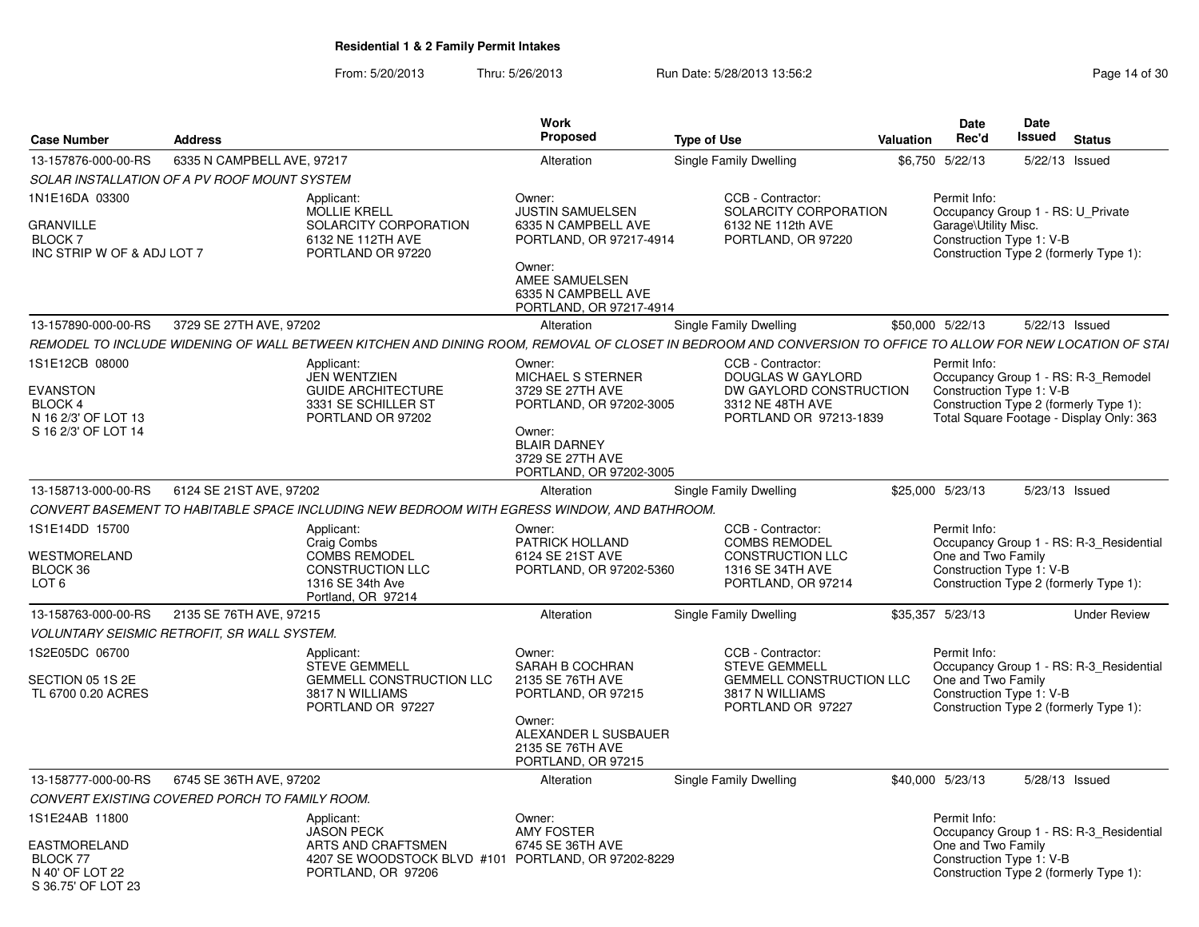From: 5/20/2013Thru: 5/26/2013 Run Date: 5/28/2013 13:56:2<br>
Report 5/26/2013

| <b>Case Number</b>                                                                                | <b>Address</b>                                 |                                                                                                                                                              | Work<br><b>Proposed</b>                                                                                                                                           | <b>Type of Use</b>                                                                                                   | <b>Date</b><br><b>Valuation</b><br>Rec'd                         | Date<br>Issued<br><b>Status</b>                                                                                           |
|---------------------------------------------------------------------------------------------------|------------------------------------------------|--------------------------------------------------------------------------------------------------------------------------------------------------------------|-------------------------------------------------------------------------------------------------------------------------------------------------------------------|----------------------------------------------------------------------------------------------------------------------|------------------------------------------------------------------|---------------------------------------------------------------------------------------------------------------------------|
| 13-157876-000-00-RS                                                                               | 6335 N CAMPBELL AVE, 97217                     |                                                                                                                                                              | Alteration                                                                                                                                                        | Single Family Dwelling                                                                                               | \$6,750 5/22/13                                                  | 5/22/13 Issued                                                                                                            |
|                                                                                                   | SOLAR INSTALLATION OF A PV ROOF MOUNT SYSTEM   |                                                                                                                                                              |                                                                                                                                                                   |                                                                                                                      |                                                                  |                                                                                                                           |
| 1N1E16DA 03300<br><b>GRANVILLE</b><br><b>BLOCK7</b><br>INC STRIP W OF & ADJ LOT 7                 |                                                | Applicant:<br>MOLLIE KRELL<br>SOLARCITY CORPORATION<br>6132 NE 112TH AVE<br>PORTLAND OR 97220                                                                | Owner:<br><b>JUSTIN SAMUELSEN</b><br>6335 N CAMPBELL AVE<br>PORTLAND, OR 97217-4914<br>Owner:<br>AMEE SAMUELSEN<br>6335 N CAMPBELL AVE<br>PORTLAND, OR 97217-4914 | CCB - Contractor:<br>SOLARCITY CORPORATION<br>6132 NE 112th AVE<br>PORTLAND, OR 97220                                | Permit Info:<br>Garage\Utility Misc.<br>Construction Type 1: V-B | Occupancy Group 1 - RS: U Private<br>Construction Type 2 (formerly Type 1):                                               |
| 13-157890-000-00-RS                                                                               | 3729 SE 27TH AVE, 97202                        |                                                                                                                                                              | Alteration                                                                                                                                                        | <b>Single Family Dwelling</b>                                                                                        | \$50,000 5/22/13                                                 | 5/22/13 Issued                                                                                                            |
|                                                                                                   |                                                | REMODEL TO INCLUDE WIDENING OF WALL BETWEEN KITCHEN AND DINING ROOM. REMOVAL OF CLOSET IN BEDROOM AND CONVERSION TO OFFICE TO ALLOW FOR NEW LOCATION OF STAI |                                                                                                                                                                   |                                                                                                                      |                                                                  |                                                                                                                           |
| 1S1E12CB 08000<br><b>EVANSTON</b><br><b>BLOCK 4</b><br>N 16 2/3' OF LOT 13<br>S 16 2/3' OF LOT 14 |                                                | Applicant:<br><b>JEN WENTZIEN</b><br><b>GUIDE ARCHITECTURE</b><br>3331 SE SCHILLER ST<br>PORTLAND OR 97202                                                   | Owner:<br>MICHAEL S STERNER<br>3729 SE 27TH AVE<br>PORTLAND, OR 97202-3005<br>Owner:<br><b>BLAIR DARNEY</b><br>3729 SE 27TH AVE<br>PORTLAND, OR 97202-3005        | CCB - Contractor:<br>DOUGLAS W GAYLORD<br>DW GAYLORD CONSTRUCTION<br>3312 NE 48TH AVE<br>PORTLAND OR 97213-1839      | Permit Info:<br>Construction Type 1: V-B                         | Occupancy Group 1 - RS: R-3_Remodel<br>Construction Type 2 (formerly Type 1):<br>Total Square Footage - Display Only: 363 |
| 13-158713-000-00-RS                                                                               | 6124 SE 21ST AVE, 97202                        |                                                                                                                                                              | Alteration                                                                                                                                                        | Single Family Dwelling                                                                                               | \$25,000 5/23/13                                                 | 5/23/13 Issued                                                                                                            |
|                                                                                                   |                                                | CONVERT BASEMENT TO HABITABLE SPACE INCLUDING NEW BEDROOM WITH EGRESS WINDOW. AND BATHROOM.                                                                  |                                                                                                                                                                   |                                                                                                                      |                                                                  |                                                                                                                           |
| 1S1E14DD 15700<br>WESTMORELAND<br>BLOCK 36<br>LOT <sub>6</sub>                                    |                                                | Applicant:<br>Craig Combs<br><b>COMBS REMODEL</b><br><b>CONSTRUCTION LLC</b><br>1316 SE 34th Ave<br>Portland, OR 97214                                       | Owner:<br>PATRICK HOLLAND<br>6124 SE 21ST AVE<br>PORTLAND, OR 97202-5360                                                                                          | CCB - Contractor:<br><b>COMBS REMODEL</b><br><b>CONSTRUCTION LLC</b><br>1316 SE 34TH AVE<br>PORTLAND, OR 97214       | Permit Info:<br>One and Two Family                               | Occupancy Group 1 - RS: R-3_Residential<br>Construction Type 1: V-B<br>Construction Type 2 (formerly Type 1):             |
| 13-158763-000-00-RS                                                                               | 2135 SE 76TH AVE, 97215                        |                                                                                                                                                              | Alteration                                                                                                                                                        | Single Family Dwelling                                                                                               | \$35,357 5/23/13                                                 | <b>Under Review</b>                                                                                                       |
|                                                                                                   | VOLUNTARY SEISMIC RETROFIT, SR WALL SYSTEM.    |                                                                                                                                                              |                                                                                                                                                                   |                                                                                                                      |                                                                  |                                                                                                                           |
| 1S2E05DC 06700<br>SECTION 05 1S 2E<br>TL 6700 0.20 ACRES                                          |                                                | Applicant:<br><b>STEVE GEMMELL</b><br><b>GEMMELL CONSTRUCTION LLC</b><br>3817 N WILLIAMS<br>PORTLAND OR 97227                                                | Owner:<br>SARAH B COCHRAN<br>2135 SE 76TH AVE<br>PORTLAND, OR 97215<br>Owner:<br>ALEXANDER L SUSBAUER<br>2135 SE 76TH AVE<br>PORTLAND, OR 97215                   | CCB - Contractor:<br><b>STEVE GEMMELL</b><br><b>GEMMELL CONSTRUCTION LLC</b><br>3817 N WILLIAMS<br>PORTLAND OR 97227 | Permit Info:<br>One and Two Family                               | Occupancy Group 1 - RS: R-3_Residential<br>Construction Type 1: V-B<br>Construction Type 2 (formerly Type 1):             |
| 13-158777-000-00-RS                                                                               | 6745 SE 36TH AVE, 97202                        |                                                                                                                                                              | Alteration                                                                                                                                                        | Single Family Dwelling                                                                                               | \$40,000 5/23/13                                                 | 5/28/13 Issued                                                                                                            |
|                                                                                                   | CONVERT EXISTING COVERED PORCH TO FAMILY ROOM. |                                                                                                                                                              |                                                                                                                                                                   |                                                                                                                      |                                                                  |                                                                                                                           |
| 1S1E24AB 11800<br>EASTMORELAND<br><b>BLOCK 77</b><br>N 40' OF LOT 22                              |                                                | Applicant:<br><b>JASON PECK</b><br>ARTS AND CRAFTSMEN<br>4207 SE WOODSTOCK BLVD #101 PORTLAND, OR 97202-8229<br>PORTLAND, OR 97206                           | Owner:<br><b>AMY FOSTER</b><br>6745 SE 36TH AVE                                                                                                                   |                                                                                                                      | Permit Info:<br>One and Two Family                               | Occupancy Group 1 - RS: R-3_Residential<br>Construction Type 1: V-B<br>Construction Type 2 (formerly Type 1):             |
| S 36.75' OF LOT 23                                                                                |                                                |                                                                                                                                                              |                                                                                                                                                                   |                                                                                                                      |                                                                  |                                                                                                                           |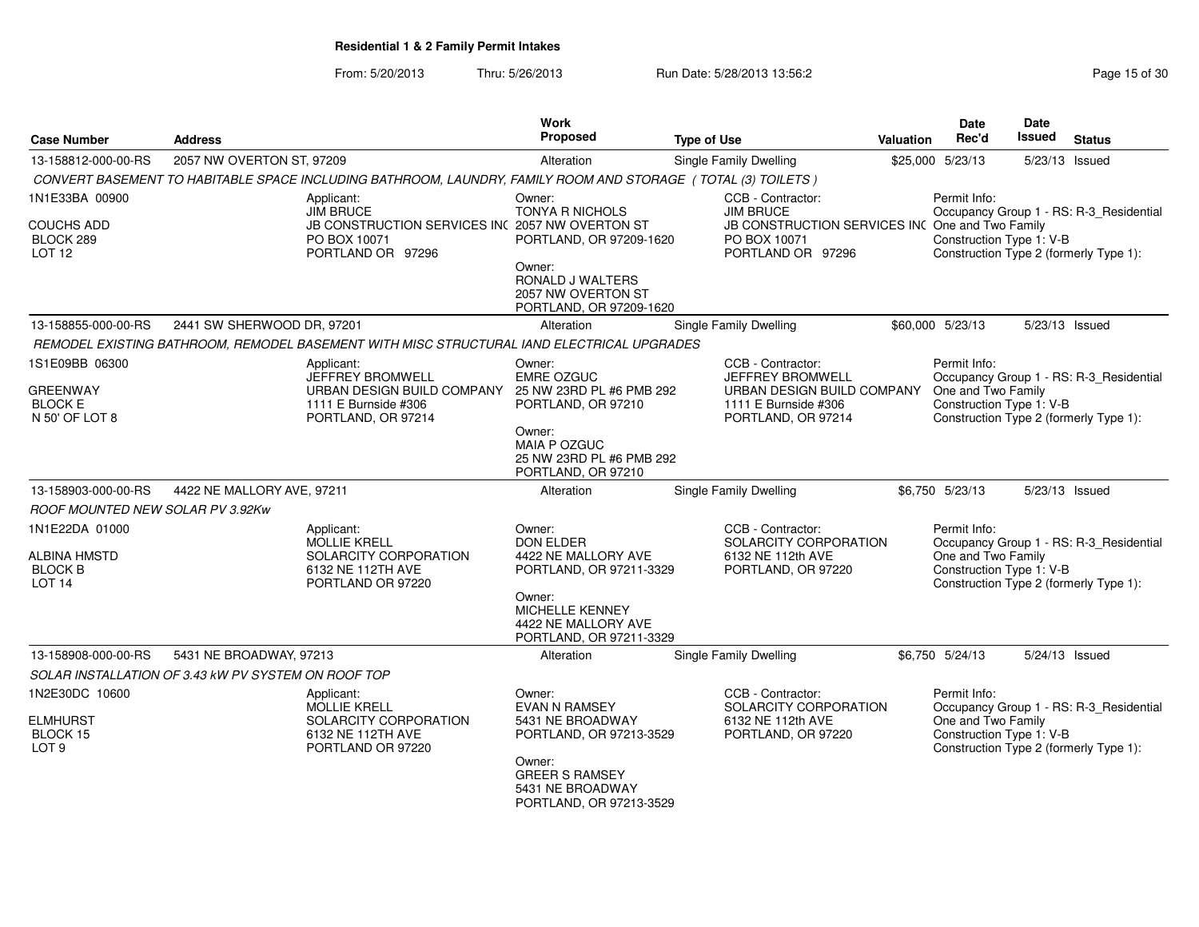From: 5/20/2013Thru: 5/26/2013 Run Date: 5/28/2013 13:56:2

| Page 15 of 30 |  |
|---------------|--|
|---------------|--|

| <b>Case Number</b>                                                    | <b>Address</b>                                      |                                                                                                                   | Work<br>Proposed                                                                                       | <b>Type of Use</b>                                                                                                | <b>Valuation</b> | <b>Date</b><br>Rec'd                                           | <b>Date</b><br><b>Issued</b> | <b>Status</b>                                                                     |
|-----------------------------------------------------------------------|-----------------------------------------------------|-------------------------------------------------------------------------------------------------------------------|--------------------------------------------------------------------------------------------------------|-------------------------------------------------------------------------------------------------------------------|------------------|----------------------------------------------------------------|------------------------------|-----------------------------------------------------------------------------------|
| 13-158812-000-00-RS                                                   | 2057 NW OVERTON ST, 97209                           |                                                                                                                   | Alteration                                                                                             | Single Family Dwelling                                                                                            |                  | \$25,000 5/23/13                                               | 5/23/13 Issued               |                                                                                   |
|                                                                       |                                                     | CONVERT BASEMENT TO HABITABLE SPACE INCLUDING BATHROOM, LAUNDRY, FAMILY ROOM AND STORAGE (TOTAL (3) TOILETS)      |                                                                                                        |                                                                                                                   |                  |                                                                |                              |                                                                                   |
| 1N1E33BA 00900                                                        |                                                     | Applicant:<br><b>JIM BRUCE</b>                                                                                    | Owner:<br><b>TONYA R NICHOLS</b>                                                                       | CCB - Contractor:<br><b>JIM BRUCE</b>                                                                             |                  | Permit Info:                                                   |                              | Occupancy Group 1 - RS: R-3_Residential                                           |
| <b>COUCHS ADD</b><br>BLOCK 289<br>LOT <sub>12</sub>                   |                                                     | JB CONSTRUCTION SERVICES INC 2057 NW OVERTON ST<br>PO BOX 10071<br>PORTLAND OR 97296                              | PORTLAND, OR 97209-1620                                                                                | JB CONSTRUCTION SERVICES INC One and Two Family<br>PO BOX 10071<br>PORTLAND OR 97296                              |                  | Construction Type 1: V-B                                       |                              | Construction Type 2 (formerly Type 1):                                            |
|                                                                       |                                                     |                                                                                                                   | Owner:<br>RONALD J WALTERS<br>2057 NW OVERTON ST<br>PORTLAND, OR 97209-1620                            |                                                                                                                   |                  |                                                                |                              |                                                                                   |
| 13-158855-000-00-RS                                                   | 2441 SW SHERWOOD DR, 97201                          |                                                                                                                   | Alteration                                                                                             | <b>Single Family Dwelling</b>                                                                                     |                  | \$60,000 5/23/13                                               | 5/23/13 Issued               |                                                                                   |
|                                                                       |                                                     | REMODEL EXISTING BATHROOM, REMODEL BASEMENT WITH MISC STRUCTURAL IAND ELECTRICAL UPGRADES                         |                                                                                                        |                                                                                                                   |                  |                                                                |                              |                                                                                   |
| 1S1E09BB 06300<br><b>GREENWAY</b><br><b>BLOCK E</b><br>N 50' OF LOT 8 |                                                     | Applicant:<br><b>JEFFREY BROMWELL</b><br>URBAN DESIGN BUILD COMPANY<br>1111 E Burnside #306<br>PORTLAND, OR 97214 | Owner:<br><b>EMRE OZGUC</b><br>25 NW 23RD PL #6 PMB 292<br>PORTLAND, OR 97210                          | CCB - Contractor:<br>JEFFREY BROMWELL<br>URBAN DESIGN BUILD COMPANY<br>1111 E Burnside #306<br>PORTLAND, OR 97214 |                  | Permit Info:<br>One and Two Family<br>Construction Type 1: V-B |                              | Occupancy Group 1 - RS: R-3_Residential<br>Construction Type 2 (formerly Type 1): |
|                                                                       |                                                     |                                                                                                                   | Owner:<br>MAIA P OZGUC<br>25 NW 23RD PL #6 PMB 292<br>PORTLAND, OR 97210                               |                                                                                                                   |                  |                                                                |                              |                                                                                   |
| 13-158903-000-00-RS                                                   | 4422 NE MALLORY AVE, 97211                          |                                                                                                                   | Alteration                                                                                             | Single Family Dwelling                                                                                            |                  | \$6,750 5/23/13                                                | 5/23/13 Issued               |                                                                                   |
| ROOF MOUNTED NEW SOLAR PV 3.92Kw                                      |                                                     |                                                                                                                   |                                                                                                        |                                                                                                                   |                  |                                                                |                              |                                                                                   |
| 1N1E22DA 01000                                                        |                                                     | Applicant:<br><b>MOLLIE KRELL</b>                                                                                 | Owner:<br><b>DON ELDER</b>                                                                             | CCB - Contractor:<br>SOLARCITY CORPORATION                                                                        |                  | Permit Info:                                                   |                              | Occupancy Group 1 - RS: R-3_Residential                                           |
| ALBINA HMSTD<br><b>BLOCK B</b>                                        |                                                     | SOLARCITY CORPORATION<br>6132 NE 112TH AVE                                                                        | 4422 NE MALLORY AVE                                                                                    | 6132 NE 112th AVE                                                                                                 |                  | One and Two Family<br>Construction Type 1: V-B                 |                              |                                                                                   |
| LOT <sub>14</sub>                                                     |                                                     | PORTLAND OR 97220                                                                                                 | PORTLAND, OR 97211-3329<br>Owner:<br>MICHELLE KENNEY<br>4422 NE MALLORY AVE<br>PORTLAND, OR 97211-3329 | PORTLAND, OR 97220                                                                                                |                  | Construction Type 2 (formerly Type 1):                         |                              |                                                                                   |
| 13-158908-000-00-RS                                                   | 5431 NE BROADWAY, 97213                             |                                                                                                                   | Alteration                                                                                             | <b>Single Family Dwelling</b>                                                                                     |                  | \$6,750 5/24/13                                                | 5/24/13 Issued               |                                                                                   |
|                                                                       | SOLAR INSTALLATION OF 3.43 KW PV SYSTEM ON ROOF TOP |                                                                                                                   |                                                                                                        |                                                                                                                   |                  |                                                                |                              |                                                                                   |
| 1N2E30DC 10600<br><b>ELMHURST</b><br>BLOCK 15<br>LOT <sub>9</sub>     |                                                     | Applicant:<br><b>MOLLIE KRELL</b><br>SOLARCITY CORPORATION<br>6132 NE 112TH AVE<br>PORTLAND OR 97220              | Owner:<br><b>EVAN N RAMSEY</b><br>5431 NE BROADWAY<br>PORTLAND, OR 97213-3529                          | CCB - Contractor:<br>SOLARCITY CORPORATION<br>6132 NE 112th AVE<br>PORTLAND, OR 97220                             |                  | Permit Info:<br>One and Two Family<br>Construction Type 1: V-B |                              | Occupancy Group 1 - RS: R-3_Residential<br>Construction Type 2 (formerly Type 1): |
|                                                                       |                                                     |                                                                                                                   | Owner:<br><b>GREER S RAMSEY</b><br>5431 NE BROADWAY<br>PORTLAND, OR 97213-3529                         |                                                                                                                   |                  |                                                                |                              |                                                                                   |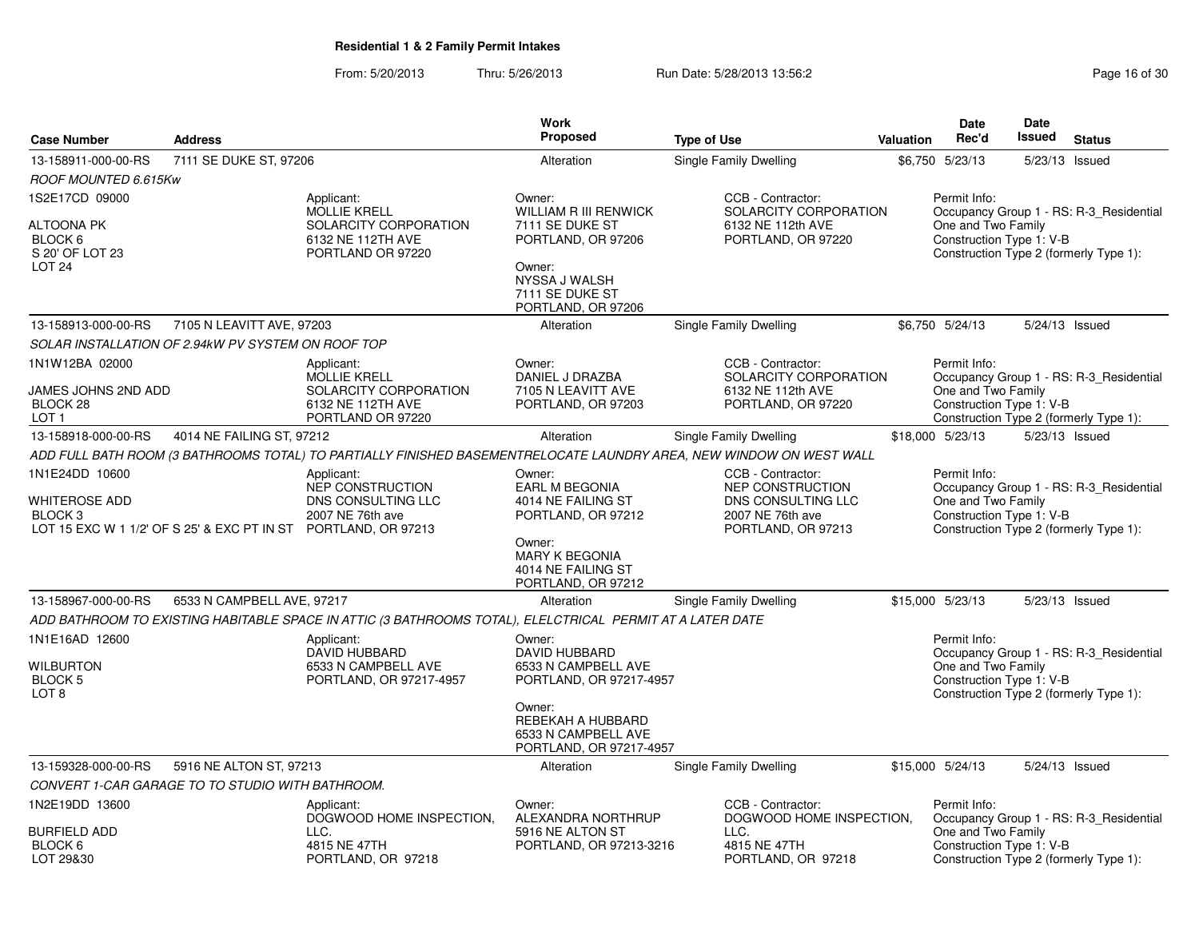From: 5/20/2013Thru: 5/26/2013 **Run Date: 5/28/2013 13:56:2** Page 16 of 30

|                                                                                            |                            |                                                                                                                                            | <b>Work</b>                                                                                                                                         |                                                                                                                     |           | Date                                                           | <b>Date</b><br>Issued |                                                                                   |
|--------------------------------------------------------------------------------------------|----------------------------|--------------------------------------------------------------------------------------------------------------------------------------------|-----------------------------------------------------------------------------------------------------------------------------------------------------|---------------------------------------------------------------------------------------------------------------------|-----------|----------------------------------------------------------------|-----------------------|-----------------------------------------------------------------------------------|
| <b>Case Number</b>                                                                         | <b>Address</b>             |                                                                                                                                            | Proposed                                                                                                                                            | <b>Type of Use</b>                                                                                                  | Valuation | Rec'd                                                          |                       | <b>Status</b>                                                                     |
| 13-158911-000-00-RS                                                                        | 7111 SE DUKE ST, 97206     |                                                                                                                                            | Alteration                                                                                                                                          | Single Family Dwelling                                                                                              |           | \$6,750 5/23/13                                                |                       | 5/23/13 Issued                                                                    |
| ROOF MOUNTED 6.615Kw                                                                       |                            |                                                                                                                                            |                                                                                                                                                     |                                                                                                                     |           |                                                                |                       |                                                                                   |
| 1S2E17CD 09000<br>ALTOONA PK<br>BLOCK <sub>6</sub><br>S 20' OF LOT 23<br>LOT <sub>24</sub> |                            | Applicant:<br><b>MOLLIE KRELL</b><br>SOLARCITY CORPORATION<br>6132 NE 112TH AVE<br>PORTLAND OR 97220                                       | Owner:<br><b>WILLIAM R III RENWICK</b><br>7111 SE DUKE ST<br>PORTLAND, OR 97206<br>Owner:<br>NYSSA J WALSH<br>7111 SE DUKE ST<br>PORTLAND, OR 97206 | CCB - Contractor:<br>SOLARCITY CORPORATION<br>6132 NE 112th AVE<br>PORTLAND, OR 97220                               |           | Permit Info:<br>One and Two Family<br>Construction Type 1: V-B |                       | Occupancy Group 1 - RS: R-3 Residential<br>Construction Type 2 (formerly Type 1): |
| 13-158913-000-00-RS                                                                        | 7105 N LEAVITT AVE, 97203  |                                                                                                                                            | Alteration                                                                                                                                          | Single Family Dwelling                                                                                              |           | \$6,750 5/24/13                                                |                       | 5/24/13 Issued                                                                    |
| SOLAR INSTALLATION OF 2.94kW PV SYSTEM ON ROOF TOP                                         |                            |                                                                                                                                            |                                                                                                                                                     |                                                                                                                     |           |                                                                |                       |                                                                                   |
| 1N1W12BA 02000<br>JAMES JOHNS 2ND ADD<br>BLOCK <sub>28</sub><br>LOT <sub>1</sub>           |                            | Applicant:<br><b>MOLLIE KRELL</b><br>SOLARCITY CORPORATION<br>6132 NE 112TH AVE<br>PORTLAND OR 97220                                       | Owner:<br>DANIEL J DRAZBA<br>7105 N LEAVITT AVE<br>PORTLAND, OR 97203                                                                               | CCB - Contractor:<br>SOLARCITY CORPORATION<br>6132 NE 112th AVE<br>PORTLAND, OR 97220                               |           | Permit Info:<br>One and Two Family<br>Construction Type 1: V-B |                       | Occupancy Group 1 - RS: R-3_Residential<br>Construction Type 2 (formerly Type 1): |
| 13-158918-000-00-RS                                                                        | 4014 NE FAILING ST, 97212  |                                                                                                                                            | Alteration                                                                                                                                          | Single Family Dwelling                                                                                              |           | \$18,000 5/23/13                                               |                       | 5/23/13 Issued                                                                    |
|                                                                                            |                            |                                                                                                                                            |                                                                                                                                                     | ADD FULL BATH ROOM (3 BATHROOMS TOTAL) TO PARTIALLY FINISHED BASEMENTRELOCATE LAUNDRY AREA, NEW WINDOW ON WEST WALL |           |                                                                |                       |                                                                                   |
| 1N1E24DD 10600<br>WHITEROSE ADD<br>BLOCK <sub>3</sub>                                      |                            | Applicant:<br>NEP CONSTRUCTION<br>DNS CONSULTING LLC<br>2007 NE 76th ave<br>LOT 15 EXC W 1 1/2' OF S 25' & EXC PT IN ST PORTLAND, OR 97213 | Owner:<br>EARL M BEGONIA<br>4014 NE FAILING ST<br>PORTLAND, OR 97212<br>Owner:<br>MARY K BEGONIA<br>4014 NE FAILING ST                              | CCB - Contractor:<br>NEP CONSTRUCTION<br>DNS CONSULTING LLC<br>2007 NE 76th ave<br>PORTLAND, OR 97213               |           | Permit Info:<br>One and Two Family<br>Construction Type 1: V-B |                       | Occupancy Group 1 - RS: R-3_Residential<br>Construction Type 2 (formerly Type 1): |
|                                                                                            |                            |                                                                                                                                            | PORTLAND, OR 97212                                                                                                                                  |                                                                                                                     |           |                                                                |                       |                                                                                   |
| 13-158967-000-00-RS                                                                        | 6533 N CAMPBELL AVE, 97217 |                                                                                                                                            | Alteration                                                                                                                                          | <b>Single Family Dwelling</b>                                                                                       |           | \$15,000 5/23/13                                               |                       | 5/23/13 Issued                                                                    |
|                                                                                            |                            | ADD BATHROOM TO EXISTING HABITABLE SPACE IN ATTIC (3 BATHROOMS TOTAL), ELELCTRICAL PERMIT AT A LATER DATE                                  |                                                                                                                                                     |                                                                                                                     |           |                                                                |                       |                                                                                   |
| 1N1E16AD 12600<br><b>WILBURTON</b><br>BLOCK <sub>5</sub><br>LOT 8                          |                            | Applicant:<br><b>DAVID HUBBARD</b><br>6533 N CAMPBELL AVE<br>PORTLAND, OR 97217-4957                                                       | Owner:<br><b>DAVID HUBBARD</b><br>6533 N CAMPBELL AVE<br>PORTLAND, OR 97217-4957<br>Owner:<br>REBEKAH A HUBBARD<br>6533 N CAMPBELL AVE              |                                                                                                                     |           | Permit Info:<br>One and Two Family<br>Construction Type 1: V-B |                       | Occupancy Group 1 - RS: R-3_Residential<br>Construction Type 2 (formerly Type 1): |
|                                                                                            |                            |                                                                                                                                            | PORTLAND, OR 97217-4957                                                                                                                             |                                                                                                                     |           |                                                                |                       |                                                                                   |
| 13-159328-000-00-RS                                                                        | 5916 NE ALTON ST, 97213    |                                                                                                                                            | Alteration                                                                                                                                          | <b>Single Family Dwelling</b>                                                                                       |           | \$15,000 5/24/13                                               |                       | 5/24/13 Issued                                                                    |
| CONVERT 1-CAR GARAGE TO TO STUDIO WITH BATHROOM.                                           |                            |                                                                                                                                            |                                                                                                                                                     |                                                                                                                     |           |                                                                |                       |                                                                                   |
| 1N2E19DD 13600<br><b>BURFIELD ADD</b><br>BLOCK 6<br>LOT 29&30                              |                            | Applicant:<br>DOGWOOD HOME INSPECTION.<br>LLC.<br>4815 NE 47TH<br>PORTLAND, OR 97218                                                       | Owner:<br>ALEXANDRA NORTHRUP<br>5916 NE ALTON ST<br>PORTLAND, OR 97213-3216                                                                         | CCB - Contractor:<br>DOGWOOD HOME INSPECTION,<br>LLC.<br>4815 NE 47TH<br>PORTLAND, OR 97218                         |           | Permit Info:<br>One and Two Family<br>Construction Type 1: V-B |                       | Occupancy Group 1 - RS: R-3 Residential<br>Construction Type 2 (formerly Type 1): |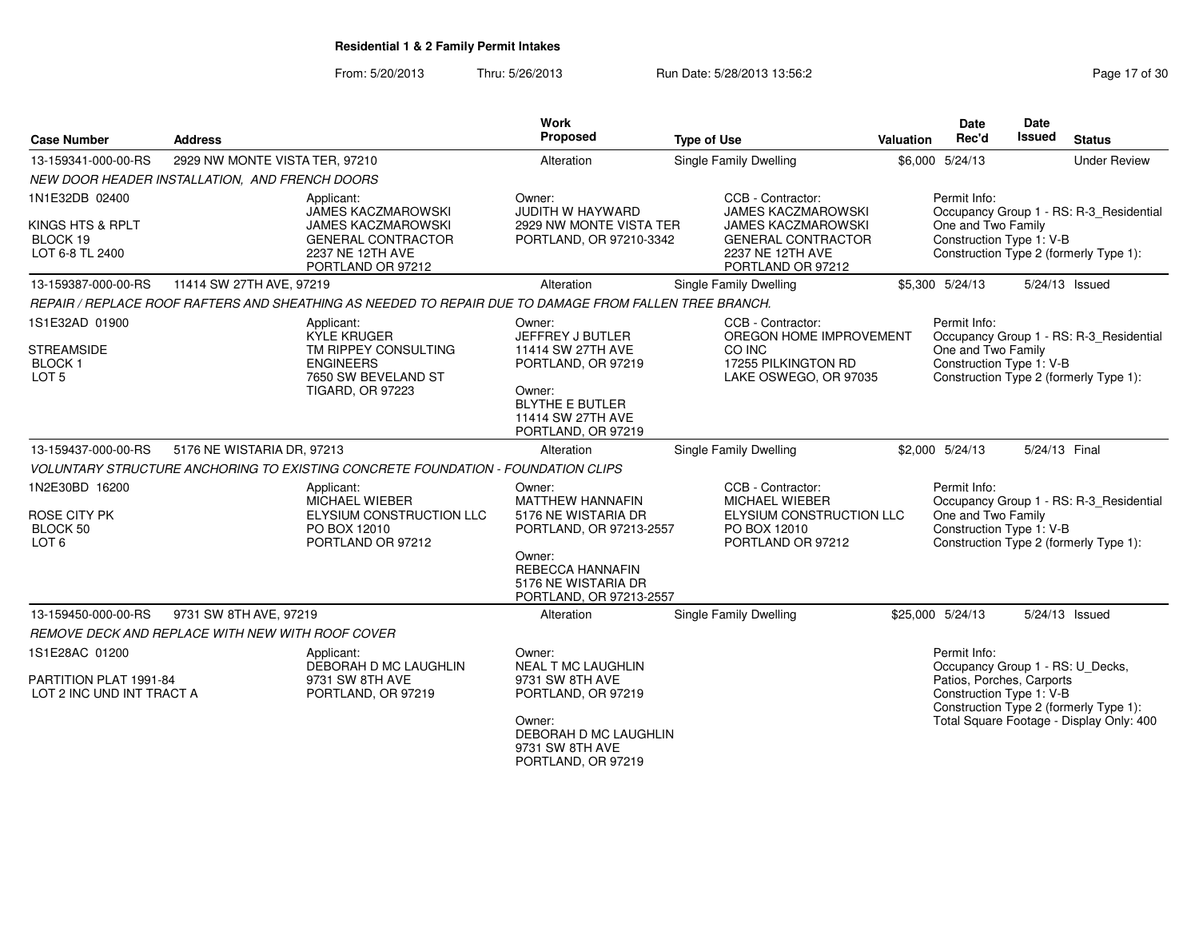From: 5/20/2013Thru: 5/26/2013 Run Date: 5/28/2013 13:56:2<br>
Report 5/26/2013

| <b>Case Number</b>                                     | <b>Address</b>                                   |                                                                                                                       | <b>Work</b><br>Proposed                                                                                                | <b>Type of Use</b>                                                                                                           | Valuation | <b>Date</b><br>Rec'd                                  | <b>Date</b><br>Issued | <b>Status</b>                                                                     |
|--------------------------------------------------------|--------------------------------------------------|-----------------------------------------------------------------------------------------------------------------------|------------------------------------------------------------------------------------------------------------------------|------------------------------------------------------------------------------------------------------------------------------|-----------|-------------------------------------------------------|-----------------------|-----------------------------------------------------------------------------------|
| 13-159341-000-00-RS                                    | 2929 NW MONTE VISTA TER, 97210                   |                                                                                                                       | Alteration                                                                                                             | Single Family Dwelling                                                                                                       |           | \$6,000 5/24/13                                       |                       | <b>Under Review</b>                                                               |
|                                                        | NEW DOOR HEADER INSTALLATION, AND FRENCH DOORS   |                                                                                                                       |                                                                                                                        |                                                                                                                              |           |                                                       |                       |                                                                                   |
| 1N1E32DB 02400                                         |                                                  | Applicant:                                                                                                            | Owner:                                                                                                                 | CCB - Contractor:                                                                                                            |           | Permit Info:                                          |                       |                                                                                   |
| KINGS HTS & RPLT<br>BLOCK 19<br>LOT 6-8 TL 2400        |                                                  | JAMES KACZMAROWSKI<br><b>JAMES KACZMAROWSKI</b><br><b>GENERAL CONTRACTOR</b><br>2237 NE 12TH AVE<br>PORTLAND OR 97212 | <b>JUDITH W HAYWARD</b><br>2929 NW MONTE VISTA TER<br>PORTLAND, OR 97210-3342                                          | <b>JAMES KACZMAROWSKI</b><br><b>JAMES KACZMAROWSKI</b><br><b>GENERAL CONTRACTOR</b><br>2237 NE 12TH AVE<br>PORTLAND OR 97212 |           | One and Two Family<br>Construction Type 1: V-B        |                       | Occupancy Group 1 - RS: R-3_Residential<br>Construction Type 2 (formerly Type 1): |
| 13-159387-000-00-RS                                    | 11414 SW 27TH AVE, 97219                         |                                                                                                                       | Alteration                                                                                                             | Single Family Dwelling                                                                                                       |           | \$5,300 5/24/13                                       |                       | 5/24/13 Issued                                                                    |
|                                                        |                                                  | REPAIR / REPLACE ROOF RAFTERS AND SHEATHING AS NEEDED TO REPAIR DUE TO DAMAGE FROM FALLEN TREE BRANCH.                |                                                                                                                        |                                                                                                                              |           |                                                       |                       |                                                                                   |
| 1S1E32AD 01900                                         |                                                  | Applicant:<br><b>KYLE KRUGER</b>                                                                                      | Owner:<br>JEFFREY J BUTLER                                                                                             | CCB - Contractor:<br>OREGON HOME IMPROVEMENT                                                                                 |           | Permit Info:                                          |                       | Occupancy Group 1 - RS: R-3_Residential                                           |
| <b>STREAMSIDE</b><br><b>BLOCK1</b><br>LOT <sub>5</sub> |                                                  | TM RIPPEY CONSULTING<br><b>ENGINEERS</b><br>7650 SW BEVELAND ST<br><b>TIGARD, OR 97223</b>                            | 11414 SW 27TH AVE<br>PORTLAND, OR 97219<br>Owner:<br><b>BLYTHE E BUTLER</b><br>11414 SW 27TH AVE<br>PORTLAND, OR 97219 | CO INC<br>17255 PILKINGTON RD<br>LAKE OSWEGO, OR 97035                                                                       |           | One and Two Family<br>Construction Type 1: V-B        |                       | Construction Type 2 (formerly Type 1):                                            |
| 13-159437-000-00-RS                                    | 5176 NE WISTARIA DR, 97213                       |                                                                                                                       | Alteration                                                                                                             | Single Family Dwelling                                                                                                       |           | \$2,000 5/24/13                                       | 5/24/13 Final         |                                                                                   |
|                                                        |                                                  | VOLUNTARY STRUCTURE ANCHORING TO EXISTING CONCRETE FOUNDATION - FOUNDATION CLIPS                                      |                                                                                                                        |                                                                                                                              |           |                                                       |                       |                                                                                   |
| 1N2E30BD 16200                                         |                                                  | Applicant:<br>MICHAEL WIEBER                                                                                          | Owner:<br><b>MATTHEW HANNAFIN</b>                                                                                      | CCB - Contractor:<br><b>MICHAEL WIEBER</b>                                                                                   |           | Permit Info:                                          |                       | Occupancy Group 1 - RS: R-3_Residential                                           |
| ROSE CITY PK<br>BLOCK 50<br>LOT 6                      |                                                  | ELYSIUM CONSTRUCTION LLC<br>PO BOX 12010<br>PORTLAND OR 97212                                                         | 5176 NE WISTARIA DR<br>PORTLAND, OR 97213-2557                                                                         | ELYSIUM CONSTRUCTION LLC<br>PO BOX 12010<br>PORTLAND OR 97212                                                                |           | One and Two Family<br>Construction Type 1: V-B        |                       | Construction Type 2 (formerly Type 1):                                            |
|                                                        |                                                  |                                                                                                                       | Owner:<br><b>REBECCA HANNAFIN</b><br>5176 NE WISTARIA DR<br>PORTLAND, OR 97213-2557                                    |                                                                                                                              |           |                                                       |                       |                                                                                   |
| 13-159450-000-00-RS                                    | 9731 SW 8TH AVE, 97219                           |                                                                                                                       | Alteration                                                                                                             | <b>Single Family Dwelling</b>                                                                                                |           | \$25,000 5/24/13                                      |                       | 5/24/13 Issued                                                                    |
|                                                        | REMOVE DECK AND REPLACE WITH NEW WITH ROOF COVER |                                                                                                                       |                                                                                                                        |                                                                                                                              |           |                                                       |                       |                                                                                   |
| 1S1E28AC 01200                                         |                                                  | Applicant:<br>DEBORAH D MC LAUGHLIN                                                                                   | Owner:<br><b>NEAL T MC LAUGHLIN</b>                                                                                    |                                                                                                                              |           | Permit Info:<br>Occupancy Group 1 - RS: U_Decks,      |                       |                                                                                   |
| PARTITION PLAT 1991-84<br>LOT 2 INC UND INT TRACT A    |                                                  | 9731 SW 8TH AVE<br>PORTLAND, OR 97219                                                                                 | 9731 SW 8TH AVE<br>PORTLAND, OR 97219                                                                                  |                                                                                                                              |           | Patios, Porches, Carports<br>Construction Type 1: V-B |                       | Construction Type 2 (formerly Type 1):                                            |
|                                                        |                                                  |                                                                                                                       | Owner:<br>DEBORAH D MC LAUGHLIN<br>9731 SW 8TH AVE<br>PORTLAND, OR 97219                                               |                                                                                                                              |           |                                                       |                       | Total Square Footage - Display Only: 400                                          |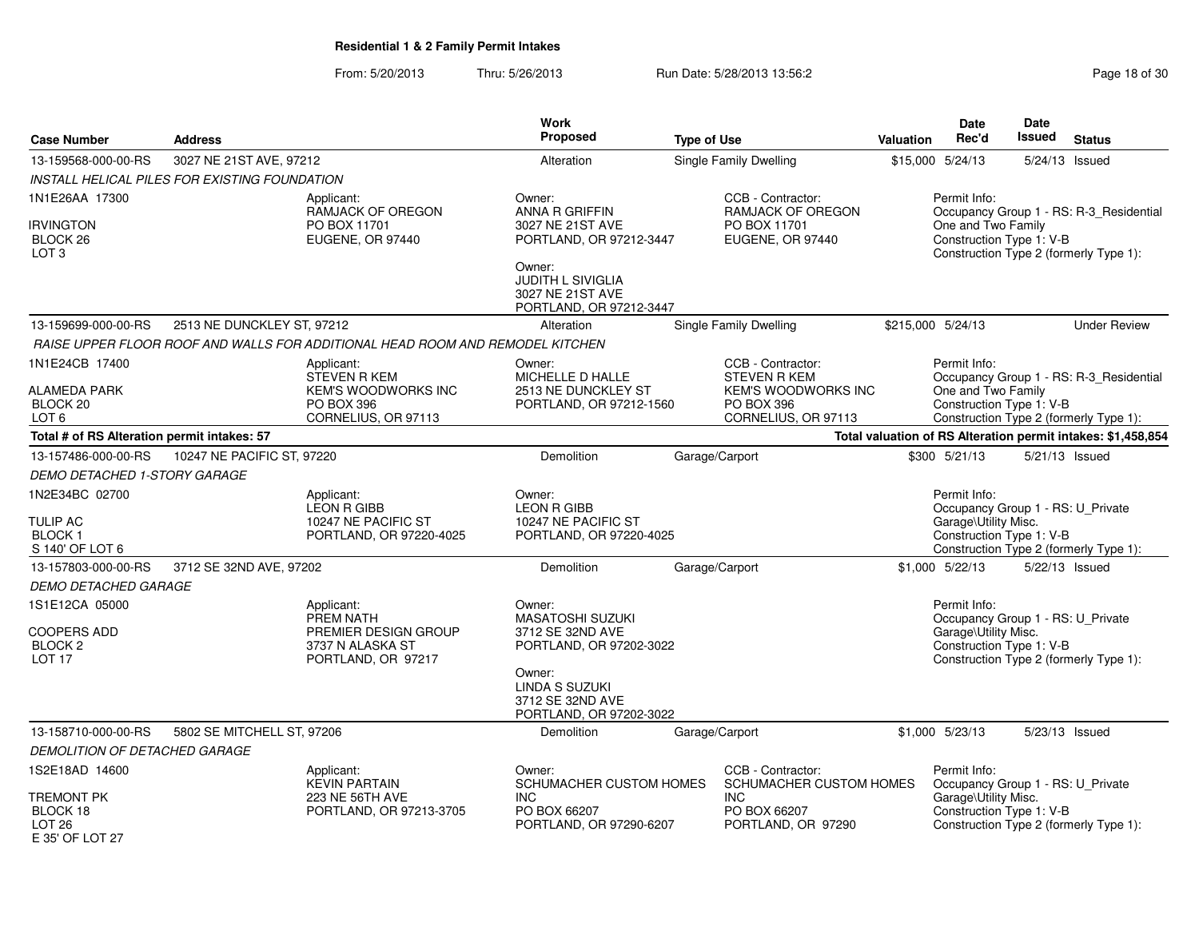From: 5/20/2013Thru: 5/26/2013 **Run Date: 5/28/2013 13:56:2** Page 18 of 30

| <b>Case Number</b>                                                    | <b>Address</b>                                |                                                                                                             | <b>Work</b><br>Proposed                                                                                             | <b>Type of Use</b>                                                                                          | <b>Valuation</b> | <b>Date</b><br>Rec'd                                                                                  | Date<br><b>Issued</b> | <b>Status</b>                                                                     |
|-----------------------------------------------------------------------|-----------------------------------------------|-------------------------------------------------------------------------------------------------------------|---------------------------------------------------------------------------------------------------------------------|-------------------------------------------------------------------------------------------------------------|------------------|-------------------------------------------------------------------------------------------------------|-----------------------|-----------------------------------------------------------------------------------|
| 13-159568-000-00-RS                                                   | 3027 NE 21ST AVE, 97212                       |                                                                                                             | Alteration                                                                                                          | <b>Single Family Dwelling</b>                                                                               |                  | \$15,000 5/24/13                                                                                      | 5/24/13 Issued        |                                                                                   |
|                                                                       | INSTALL HELICAL PILES FOR EXISTING FOUNDATION |                                                                                                             |                                                                                                                     |                                                                                                             |                  |                                                                                                       |                       |                                                                                   |
| 1N1E26AA 17300<br><b>IRVINGTON</b><br>BLOCK 26<br>LOT <sub>3</sub>    |                                               | Applicant:<br>RAMJACK OF OREGON<br>PO BOX 11701<br>EUGENE, OR 97440                                         | Owner:<br>ANNA R GRIFFIN<br>3027 NE 21ST AVE<br>PORTLAND, OR 97212-3447<br>Owner:                                   | CCB - Contractor:<br>RAMJACK OF OREGON<br>PO BOX 11701<br>EUGENE, OR 97440                                  |                  | Permit Info:<br>One and Two Family<br>Construction Type 1: V-B                                        |                       | Occupancy Group 1 - RS: R-3_Residential<br>Construction Type 2 (formerly Type 1): |
|                                                                       |                                               |                                                                                                             | JUDITH L SIVIGLIA<br>3027 NE 21ST AVE<br>PORTLAND, OR 97212-3447                                                    |                                                                                                             |                  |                                                                                                       |                       |                                                                                   |
| 13-159699-000-00-RS                                                   | 2513 NE DUNCKLEY ST, 97212                    |                                                                                                             | Alteration                                                                                                          | <b>Single Family Dwelling</b>                                                                               |                  | \$215,000 5/24/13                                                                                     |                       | <b>Under Review</b>                                                               |
|                                                                       |                                               | RAISE UPPER FLOOR ROOF AND WALLS FOR ADDITIONAL HEAD ROOM AND REMODEL KITCHEN                               |                                                                                                                     |                                                                                                             |                  |                                                                                                       |                       |                                                                                   |
| 1N1E24CB 17400<br><b>ALAMEDA PARK</b><br>BLOCK 20<br>LOT 6            |                                               | Applicant:<br><b>STEVEN R KEM</b><br><b>KEM'S WOODWORKS INC</b><br><b>PO BOX 396</b><br>CORNELIUS, OR 97113 | Owner:<br>MICHELLE D HALLE<br>2513 NE DUNCKLEY ST<br>PORTLAND, OR 97212-1560                                        | CCB - Contractor:<br><b>STEVEN R KEM</b><br><b>KEM'S WOODWORKS INC</b><br>PO BOX 396<br>CORNELIUS, OR 97113 |                  | Permit Info:<br>One and Two Family<br>Construction Type 1: V-B                                        |                       | Occupancy Group 1 - RS: R-3_Residential<br>Construction Type 2 (formerly Type 1): |
| Total # of RS Alteration permit intakes: 57                           |                                               |                                                                                                             |                                                                                                                     |                                                                                                             |                  |                                                                                                       |                       | Total valuation of RS Alteration permit intakes: \$1,458,854                      |
| 13-157486-000-00-RS                                                   | 10247 NE PACIFIC ST, 97220                    |                                                                                                             | Demolition                                                                                                          | Garage/Carport                                                                                              |                  | \$300 5/21/13                                                                                         |                       | 5/21/13 Issued                                                                    |
| DEMO DETACHED 1-STORY GARAGE                                          |                                               |                                                                                                             |                                                                                                                     |                                                                                                             |                  |                                                                                                       |                       |                                                                                   |
| 1N2E34BC 02700<br><b>TULIP AC</b><br><b>BLOCK1</b><br>S 140' OF LOT 6 |                                               | Applicant:<br><b>LEON R GIBB</b><br>10247 NE PACIFIC ST<br>PORTLAND, OR 97220-4025                          | Owner:<br><b>LEON R GIBB</b><br>10247 NE PACIFIC ST<br>PORTLAND, OR 97220-4025                                      |                                                                                                             |                  | Permit Info:<br>Occupancy Group 1 - RS: U_Private<br>Garage\Utility Misc.<br>Construction Type 1: V-B |                       | Construction Type 2 (formerly Type 1):                                            |
| 13-157803-000-00-RS                                                   | 3712 SE 32ND AVE, 97202                       |                                                                                                             | Demolition                                                                                                          | Garage/Carport                                                                                              |                  | \$1,000 5/22/13                                                                                       | 5/22/13 Issued        |                                                                                   |
| DEMO DETACHED GARAGE                                                  |                                               |                                                                                                             |                                                                                                                     |                                                                                                             |                  |                                                                                                       |                       |                                                                                   |
| 1S1E12CA 05000<br>COOPERS ADD<br><b>BLOCK 2</b><br>LOT <sub>17</sub>  |                                               | Applicant:<br>PREM NATH<br>PREMIER DESIGN GROUP<br>3737 N ALASKA ST<br>PORTLAND, OR 97217                   | Owner:<br><b>MASATOSHI SUZUKI</b><br>3712 SE 32ND AVE<br>PORTLAND, OR 97202-3022<br>Owner:<br><b>LINDA S SUZUKI</b> |                                                                                                             |                  | Permit Info:<br>Occupancy Group 1 - RS: U_Private<br>Garage\Utility Misc.<br>Construction Type 1: V-B |                       | Construction Type 2 (formerly Type 1):                                            |
|                                                                       |                                               |                                                                                                             | 3712 SE 32ND AVE<br>PORTLAND, OR 97202-3022                                                                         |                                                                                                             |                  |                                                                                                       |                       |                                                                                   |
| 13-158710-000-00-RS                                                   | 5802 SE MITCHELL ST, 97206                    |                                                                                                             | <b>Demolition</b>                                                                                                   | Garage/Carport                                                                                              |                  | \$1.000 5/23/13                                                                                       | 5/23/13 Issued        |                                                                                   |
| DEMOLITION OF DETACHED GARAGE                                         |                                               |                                                                                                             |                                                                                                                     |                                                                                                             |                  |                                                                                                       |                       |                                                                                   |
| 1S2E18AD 14600<br><b>TREMONT PK</b>                                   |                                               | Applicant:<br><b>KEVIN PARTAIN</b><br>223 NE 56TH AVE                                                       | Owner:<br>SCHUMACHER CUSTOM HOMES<br><b>INC</b>                                                                     | CCB - Contractor:<br>SCHUMACHER CUSTOM HOMES<br><b>INC</b>                                                  |                  | Permit Info:<br>Occupancy Group 1 - RS: U_Private<br>Garage\Utility Misc.                             |                       |                                                                                   |
| BLOCK 18<br>LOT <sub>26</sub><br>F 35' OF LOT 27                      |                                               | PORTLAND, OR 97213-3705                                                                                     | PO BOX 66207<br>PORTLAND, OR 97290-6207                                                                             | PO BOX 66207<br>PORTLAND, OR 97290                                                                          |                  | Construction Type 1: V-B                                                                              |                       | Construction Type 2 (formerly Type 1):                                            |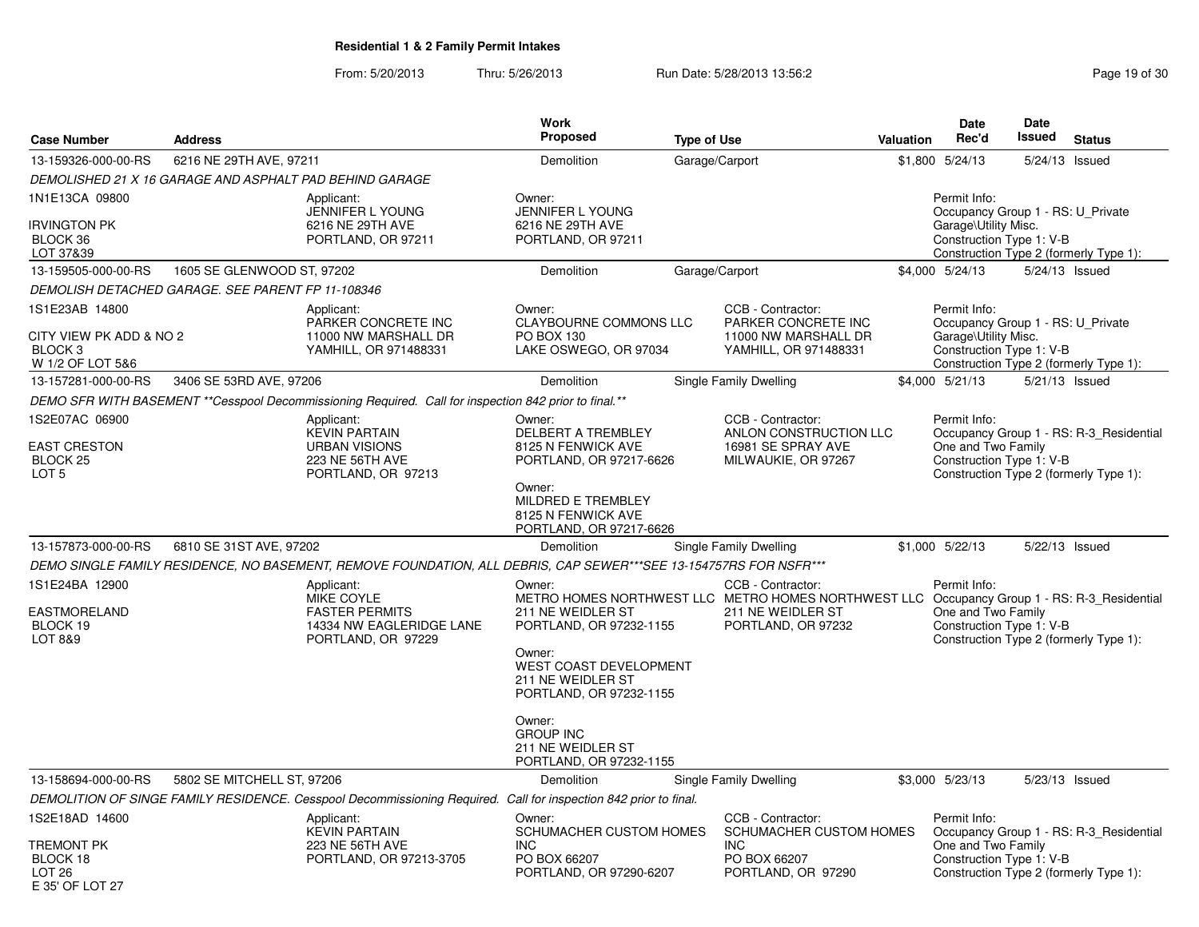From: 5/20/2013Thru: 5/26/2013 Run Date: 5/28/2013 13:56:2<br>
Report 5/26/2013

| <b>Case Number</b>                                                               | <b>Address</b>             |                                                                                                                   | <b>Work</b><br>Proposed                                                                                                                           | <b>Type of Use</b>                                                                                                                                          | <b>Valuation</b> | Date<br>Rec'd                                                                                         | Date<br>Issued | <b>Status</b>                                                                     |
|----------------------------------------------------------------------------------|----------------------------|-------------------------------------------------------------------------------------------------------------------|---------------------------------------------------------------------------------------------------------------------------------------------------|-------------------------------------------------------------------------------------------------------------------------------------------------------------|------------------|-------------------------------------------------------------------------------------------------------|----------------|-----------------------------------------------------------------------------------|
| 13-159326-000-00-RS                                                              | 6216 NE 29TH AVE, 97211    |                                                                                                                   | Demolition                                                                                                                                        | Garage/Carport                                                                                                                                              |                  | \$1,800 5/24/13                                                                                       | 5/24/13        | Issued                                                                            |
|                                                                                  |                            | DEMOLISHED 21 X 16 GARAGE AND ASPHALT PAD BEHIND GARAGE                                                           |                                                                                                                                                   |                                                                                                                                                             |                  |                                                                                                       |                |                                                                                   |
| 1N1E13CA 09800<br><b>IRVINGTON PK</b><br>BLOCK 36<br>LOT 37&39                   |                            | Applicant:<br><b>JENNIFER L YOUNG</b><br>6216 NE 29TH AVE<br>PORTLAND, OR 97211                                   | Owner:<br><b>JENNIFER L YOUNG</b><br>6216 NE 29TH AVE<br>PORTLAND, OR 97211                                                                       |                                                                                                                                                             |                  | Permit Info:<br>Occupancy Group 1 - RS: U Private<br>Garage\Utility Misc.<br>Construction Type 1: V-B |                | Construction Type 2 (formerly Type 1):                                            |
| 13-159505-000-00-RS                                                              | 1605 SE GLENWOOD ST, 97202 |                                                                                                                   | Demolition                                                                                                                                        | Garage/Carport                                                                                                                                              |                  | \$4,000 5/24/13                                                                                       | 5/24/13 Issued |                                                                                   |
| DEMOLISH DETACHED GARAGE. SEE PARENT FP 11-108346                                |                            |                                                                                                                   |                                                                                                                                                   |                                                                                                                                                             |                  |                                                                                                       |                |                                                                                   |
| 1S1E23AB 14800                                                                   |                            | Applicant:<br>PARKER CONCRETE INC                                                                                 | Owner:<br>CLAYBOURNE COMMONS LLC                                                                                                                  | CCB - Contractor:<br>PARKER CONCRETE INC                                                                                                                    |                  | Permit Info:<br>Occupancy Group 1 - RS: U_Private                                                     |                |                                                                                   |
| CITY VIEW PK ADD & NO 2<br>BLOCK <sub>3</sub><br>W 1/2 OF LOT 5&6                |                            | 11000 NW MARSHALL DR<br>YAMHILL, OR 971488331                                                                     | PO BOX 130<br>LAKE OSWEGO, OR 97034                                                                                                               | 11000 NW MARSHALL DR<br>YAMHILL, OR 971488331                                                                                                               |                  | Garage\Utility Misc.<br>Construction Type 1: V-B                                                      |                | Construction Type 2 (formerly Type 1):                                            |
| 13-157281-000-00-RS                                                              | 3406 SE 53RD AVE, 97206    |                                                                                                                   | Demolition                                                                                                                                        | Single Family Dwelling                                                                                                                                      |                  | \$4,000 5/21/13                                                                                       | 5/21/13 Issued |                                                                                   |
|                                                                                  |                            | DEMO SFR WITH BASEMENT **Cesspool Decommissioning Required. Call for inspection 842 prior to final.**             |                                                                                                                                                   |                                                                                                                                                             |                  |                                                                                                       |                |                                                                                   |
| 1S2E07AC 06900<br>EAST CRESTON<br>BLOCK 25<br>LOT <sub>5</sub>                   |                            | Applicant:<br><b>KEVIN PARTAIN</b><br><b>URBAN VISIONS</b><br>223 NE 56TH AVE<br>PORTLAND, OR 97213               | Owner:<br>DELBERT A TREMBLEY<br>8125 N FENWICK AVE<br>PORTLAND, OR 97217-6626                                                                     | CCB - Contractor:<br>ANLON CONSTRUCTION LLC<br>16981 SE SPRAY AVE<br>MILWAUKIE, OR 97267                                                                    |                  | Permit Info:<br>One and Two Family<br>Construction Type 1: V-B                                        |                | Occupancy Group 1 - RS: R-3_Residential<br>Construction Type 2 (formerly Type 1): |
|                                                                                  |                            |                                                                                                                   | Owner:<br>MILDRED E TREMBLEY<br>8125 N FENWICK AVE<br>PORTLAND, OR 97217-6626                                                                     |                                                                                                                                                             |                  |                                                                                                       |                |                                                                                   |
| 13-157873-000-00-RS                                                              | 6810 SE 31ST AVE, 97202    |                                                                                                                   | Demolition                                                                                                                                        | Single Family Dwelling                                                                                                                                      |                  | \$1,000 5/22/13                                                                                       | 5/22/13 Issued |                                                                                   |
|                                                                                  |                            | DEMO SINGLE FAMILY RESIDENCE, NO BASEMENT, REMOVE FOUNDATION, ALL DEBRIS, CAP SEWER***SEE 13-154757RS FOR NSFR*** |                                                                                                                                                   |                                                                                                                                                             |                  |                                                                                                       |                |                                                                                   |
| 1S1E24BA 12900<br><b>EASTMORELAND</b><br>BLOCK 19<br>LOT 8&9                     |                            | Applicant:<br>MIKE COYLE<br><b>FASTER PERMITS</b><br>14334 NW EAGLERIDGE LANE<br>PORTLAND, OR 97229               | Owner:<br>211 NE WEIDLER ST<br>PORTLAND, OR 97232-1155<br>Owner:<br><b>WEST COAST DEVELOPMENT</b><br>211 NE WEIDLER ST<br>PORTLAND, OR 97232-1155 | CCB - Contractor:<br>METRO HOMES NORTHWEST LLC METRO HOMES NORTHWEST LLC Occupancy Group 1 - RS: R-3 Residential<br>211 NE WEIDLER ST<br>PORTLAND, OR 97232 |                  | Permit Info:<br>One and Two Family<br>Construction Type 1: V-B                                        |                | Construction Type 2 (formerly Type 1):                                            |
|                                                                                  |                            |                                                                                                                   | Owner:<br><b>GROUP INC</b><br>211 NE WEIDLER ST<br>PORTLAND, OR 97232-1155                                                                        |                                                                                                                                                             |                  |                                                                                                       |                |                                                                                   |
| 13-158694-000-00-RS                                                              | 5802 SE MITCHELL ST, 97206 |                                                                                                                   | Demolition                                                                                                                                        | <b>Single Family Dwelling</b>                                                                                                                               |                  | \$3,000 5/23/13                                                                                       | 5/23/13 Issued |                                                                                   |
|                                                                                  |                            | DEMOLITION OF SINGE FAMILY RESIDENCE. Cesspool Decommissioning Required. Call for inspection 842 prior to final.  |                                                                                                                                                   |                                                                                                                                                             |                  |                                                                                                       |                |                                                                                   |
| 1S2E18AD 14600<br>TREMONT PK<br>BLOCK 18<br>LOT <sub>26</sub><br>E 35' OF LOT 27 |                            | Applicant:<br><b>KEVIN PARTAIN</b><br>223 NE 56TH AVE<br>PORTLAND, OR 97213-3705                                  | Owner:<br>SCHUMACHER CUSTOM HOMES<br><b>INC</b><br>PO BOX 66207<br>PORTLAND, OR 97290-6207                                                        | CCB - Contractor:<br>SCHUMACHER CUSTOM HOMES<br><b>INC</b><br>PO BOX 66207<br>PORTLAND, OR 97290                                                            |                  | Permit Info:<br>One and Two Family<br>Construction Type 1: V-B                                        |                | Occupancy Group 1 - RS: R-3_Residential<br>Construction Type 2 (formerly Type 1): |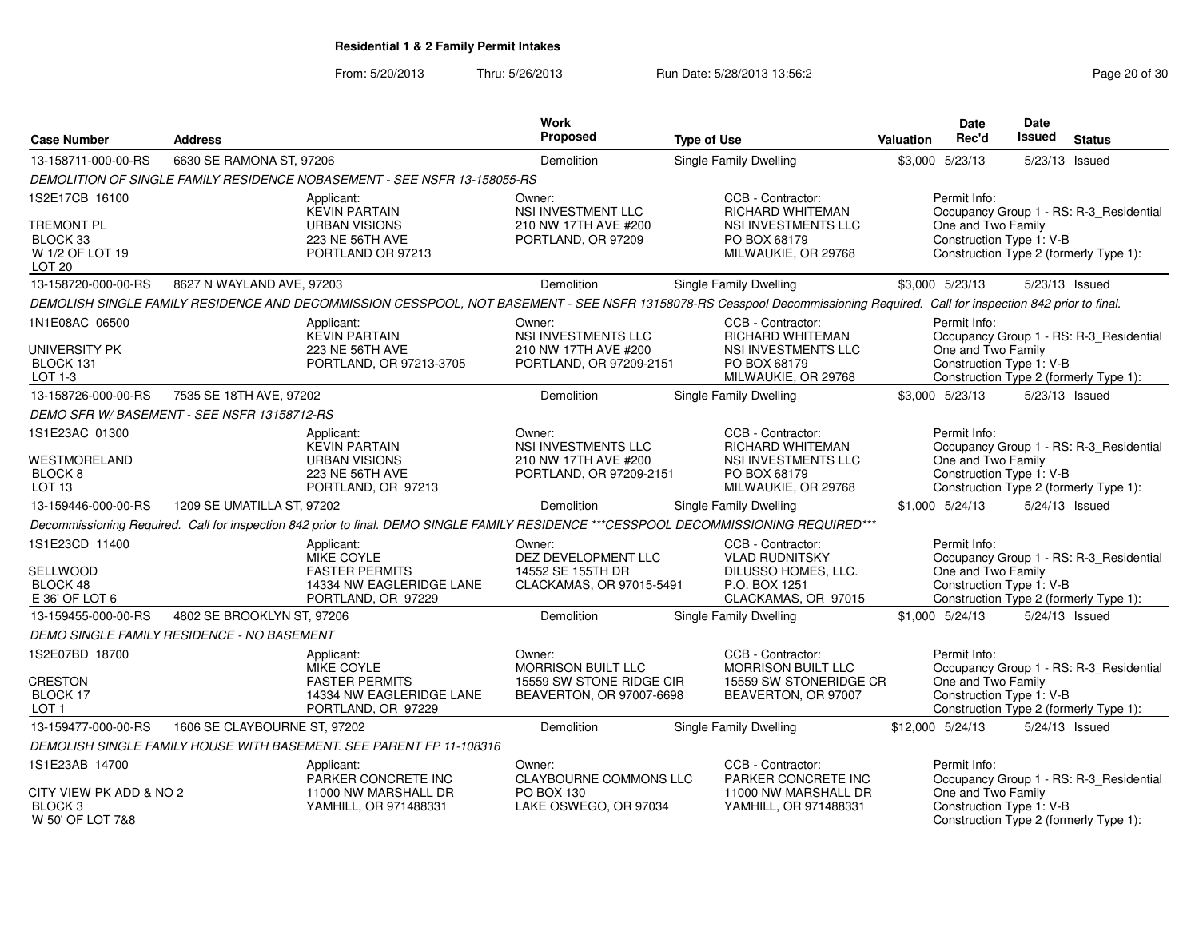From: 5/20/2013Thru: 5/26/2013 **Run Date: 5/28/2013 13:56:2** Page 20 of 30

| <b>Case Number</b>                                             | <b>Address</b>                              |                                                                                                                                                                            | <b>Work</b><br>Proposed                                                              | <b>Type of Use</b>                                                                                        | <b>Valuation</b> | <b>Date</b><br>Rec'd                                           | Date<br><b>Issued</b> | <b>Status</b>                                                                     |
|----------------------------------------------------------------|---------------------------------------------|----------------------------------------------------------------------------------------------------------------------------------------------------------------------------|--------------------------------------------------------------------------------------|-----------------------------------------------------------------------------------------------------------|------------------|----------------------------------------------------------------|-----------------------|-----------------------------------------------------------------------------------|
| 13-158711-000-00-RS                                            | 6630 SE RAMONA ST, 97206                    |                                                                                                                                                                            | Demolition                                                                           | <b>Single Family Dwelling</b>                                                                             |                  | \$3,000 5/23/13                                                | 5/23/13 Issued        |                                                                                   |
|                                                                |                                             | DEMOLITION OF SINGLE FAMILY RESIDENCE NOBASEMENT - SEE NSFR 13-158055-RS                                                                                                   |                                                                                      |                                                                                                           |                  |                                                                |                       |                                                                                   |
| 1S2E17CB 16100                                                 |                                             | Applicant:<br><b>KEVIN PARTAIN</b>                                                                                                                                         | Owner:<br>NSI INVESTMENT LLC                                                         | CCB - Contractor:<br>RICHARD WHITEMAN                                                                     |                  | Permit Info:                                                   |                       | Occupancy Group 1 - RS: R-3_Residential                                           |
| TREMONT PL<br>BLOCK 33<br>W 1/2 OF LOT 19<br>LOT <sub>20</sub> |                                             | <b>URBAN VISIONS</b><br>223 NE 56TH AVE<br>PORTLAND OR 97213                                                                                                               | 210 NW 17TH AVE #200<br>PORTLAND, OR 97209                                           | NSI INVESTMENTS LLC<br>PO BOX 68179<br>MILWAUKIE, OR 29768                                                |                  | One and Two Family<br>Construction Type 1: V-B                 |                       | Construction Type 2 (formerly Type 1):                                            |
| 13-158720-000-00-RS                                            | 8627 N WAYLAND AVE, 97203                   |                                                                                                                                                                            | Demolition                                                                           | Single Family Dwelling                                                                                    |                  | \$3,000 5/23/13                                                | 5/23/13 Issued        |                                                                                   |
|                                                                |                                             | DEMOLISH SINGLE FAMILY RESIDENCE AND DECOMMISSION CESSPOOL, NOT BASEMENT - SEE NSFR 13158078-RS Cesspool Decommissioning Required. Call for inspection 842 prior to final. |                                                                                      |                                                                                                           |                  |                                                                |                       |                                                                                   |
| 1N1E08AC 06500                                                 |                                             | Applicant:<br><b>KEVIN PARTAIN</b>                                                                                                                                         | Owner:<br>NSI INVESTMENTS LLC                                                        | CCB - Contractor:<br><b>RICHARD WHITEMAN</b>                                                              |                  | Permit Info:                                                   |                       | Occupancy Group 1 - RS: R-3_Residential                                           |
| UNIVERSITY PK<br>BLOCK 131<br>LOT 1-3                          |                                             | 223 NE 56TH AVE<br>PORTLAND, OR 97213-3705                                                                                                                                 | 210 NW 17TH AVE #200<br>PORTLAND, OR 97209-2151                                      | NSI INVESTMENTS LLC<br>PO BOX 68179<br>MILWAUKIE, OR 29768                                                |                  | One and Two Family<br>Construction Type 1: V-B                 |                       | Construction Type 2 (formerly Type 1):                                            |
| 13-158726-000-00-RS                                            | 7535 SE 18TH AVE, 97202                     |                                                                                                                                                                            | Demolition                                                                           | Single Family Dwelling                                                                                    |                  | \$3,000 5/23/13                                                | 5/23/13 Issued        |                                                                                   |
|                                                                | DEMO SFR W/ BASEMENT - SEE NSFR 13158712-RS |                                                                                                                                                                            |                                                                                      |                                                                                                           |                  |                                                                |                       |                                                                                   |
| 1S1E23AC 01300                                                 |                                             | Applicant:<br><b>KEVIN PARTAIN</b>                                                                                                                                         | Owner:<br><b>NSI INVESTMENTS LLC</b>                                                 | CCB - Contractor:<br>RICHARD WHITEMAN                                                                     |                  | Permit Info:                                                   |                       | Occupancy Group 1 - RS: R-3_Residential                                           |
| WESTMORELAND<br>BLOCK <sub>8</sub><br>LOT <sub>13</sub>        |                                             | <b>URBAN VISIONS</b><br>223 NE 56TH AVE<br>PORTLAND, OR 97213                                                                                                              | 210 NW 17TH AVE #200<br>PORTLAND, OR 97209-2151                                      | NSI INVESTMENTS LLC<br>PO BOX 68179<br>MILWAUKIE, OR 29768                                                |                  | One and Two Family<br>Construction Type 1: V-B                 |                       | Construction Type 2 (formerly Type 1):                                            |
| 13-159446-000-00-RS                                            | 1209 SE UMATILLA ST, 97202                  |                                                                                                                                                                            | <b>Demolition</b>                                                                    | <b>Single Family Dwelling</b>                                                                             |                  | \$1,000 5/24/13                                                | 5/24/13 Issued        |                                                                                   |
|                                                                |                                             | Decommissioning Required. Call for inspection 842 prior to final. DEMO SINGLE FAMILY RESIDENCE ***CESSPOOL DECOMMISSIONING REQUIRED***                                     |                                                                                      |                                                                                                           |                  |                                                                |                       |                                                                                   |
| 1S1E23CD 11400<br>SELLWOOD<br>BLOCK 48<br>E 36' OF LOT 6       |                                             | Applicant:<br>MIKE COYLE<br><b>FASTER PERMITS</b><br>14334 NW EAGLERIDGE LANE<br>PORTLAND, OR 97229                                                                        | Owner:<br>DEZ DEVELOPMENT LLC<br>14552 SE 155TH DR<br>CLACKAMAS, OR 97015-5491       | CCB - Contractor:<br><b>VLAD RUDNITSKY</b><br>DILUSSO HOMES, LLC.<br>P.O. BOX 1251<br>CLACKAMAS, OR 97015 |                  | Permit Info:<br>One and Two Family<br>Construction Type 1: V-B |                       | Occupancy Group 1 - RS: R-3_Residential<br>Construction Type 2 (formerly Type 1): |
| 13-159455-000-00-RS                                            | 4802 SE BROOKLYN ST, 97206                  |                                                                                                                                                                            | Demolition                                                                           | Single Family Dwelling                                                                                    |                  | \$1,000 5/24/13                                                | 5/24/13 Issued        |                                                                                   |
|                                                                | DEMO SINGLE FAMILY RESIDENCE - NO BASEMENT  |                                                                                                                                                                            |                                                                                      |                                                                                                           |                  |                                                                |                       |                                                                                   |
| 1S2E07BD 18700<br><b>CRESTON</b><br><b>BLOCK 17</b>            |                                             | Applicant:<br><b>MIKE COYLE</b><br><b>FASTER PERMITS</b><br>14334 NW EAGLERIDGE LANE                                                                                       | Owner:<br>MORRISON BUILT LLC<br>15559 SW STONE RIDGE CIR<br>BEAVERTON, OR 97007-6698 | CCB - Contractor:<br>MORRISON BUILT LLC<br>15559 SW STONERIDGE CR<br>BEAVERTON, OR 97007                  |                  | Permit Info:<br>One and Two Family<br>Construction Type 1: V-B |                       | Occupancy Group 1 - RS: R-3_Residential                                           |
| LOT <sub>1</sub>                                               |                                             | PORTLAND, OR 97229                                                                                                                                                         |                                                                                      |                                                                                                           |                  |                                                                |                       | Construction Type 2 (formerly Type 1):                                            |
| 13-159477-000-00-RS                                            | 1606 SE CLAYBOURNE ST. 97202                |                                                                                                                                                                            | <b>Demolition</b>                                                                    | Single Family Dwelling                                                                                    |                  | \$12.000 5/24/13                                               | 5/24/13 Issued        |                                                                                   |
|                                                                |                                             | DEMOLISH SINGLE FAMILY HOUSE WITH BASEMENT. SEE PARENT FP 11-108316                                                                                                        |                                                                                      |                                                                                                           |                  |                                                                |                       |                                                                                   |
| 1S1E23AB 14700<br>CITY VIEW PK ADD & NO 2                      |                                             | Applicant:<br>PARKER CONCRETE INC<br>11000 NW MARSHALL DR                                                                                                                  | Owner:<br>CLAYBOURNE COMMONS LLC<br>PO BOX 130                                       | CCB - Contractor:<br>PARKER CONCRETE INC<br>11000 NW MARSHALL DR                                          |                  | Permit Info:<br>One and Two Family                             |                       | Occupancy Group 1 - RS: R-3_Residential                                           |
| BLOCK <sub>3</sub><br>W 50' OF LOT 7&8                         |                                             | YAMHILL, OR 971488331                                                                                                                                                      | LAKE OSWEGO, OR 97034                                                                | YAMHILL, OR 971488331                                                                                     |                  | Construction Type 1: V-B                                       |                       | Construction Type 2 (formerly Type 1):                                            |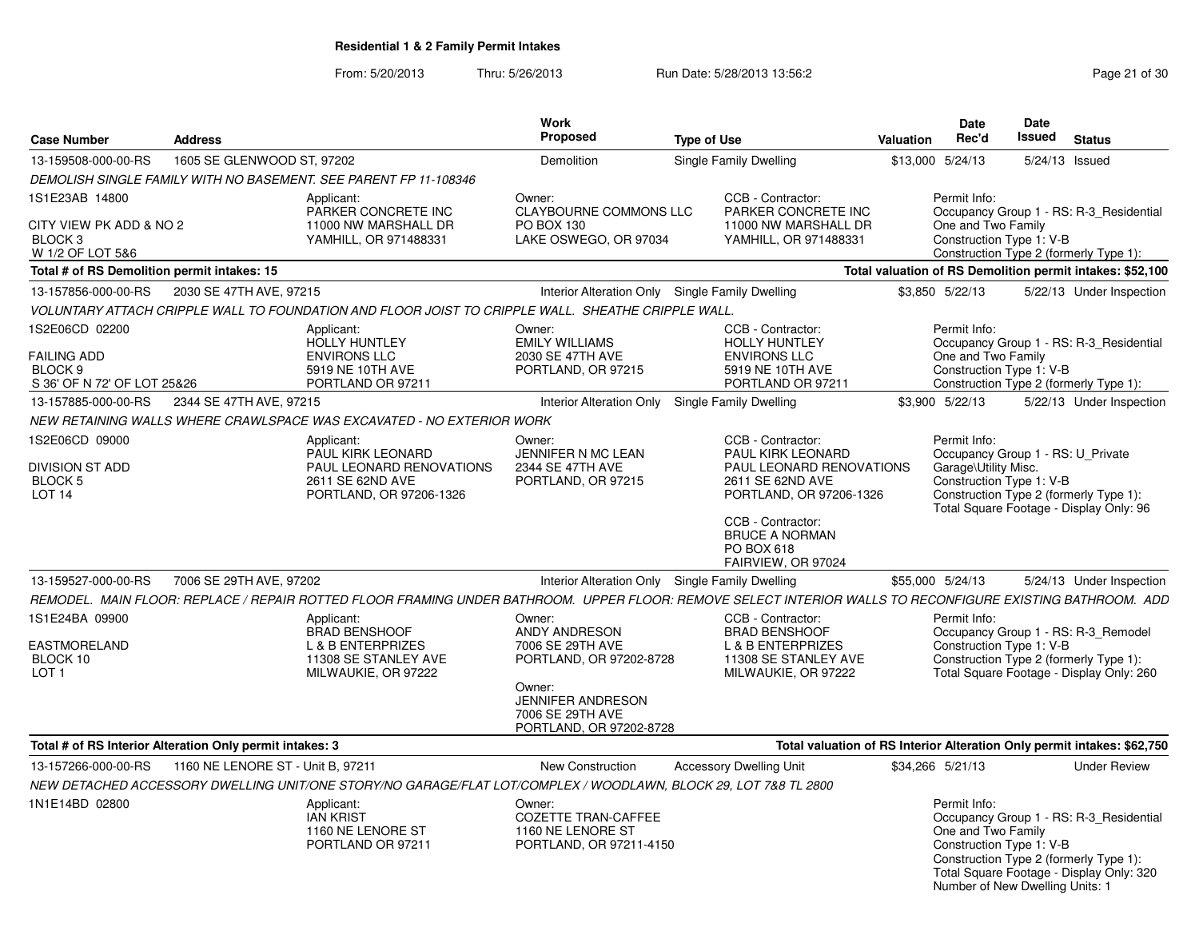From: 5/20/2013Thru: 5/26/2013 **Run Date: 5/28/2013 13:56:2** Page 21 of 30

| <b>Case Number</b>                        | <b>Address</b>                                           |                                                                                                                                                              | Work<br>Proposed                                                                  | <b>Type of Use</b>                                                             | Valuation | Date<br>Rec'd                                  | <b>Date</b><br>Issued | <b>Status</b>                                                           |
|-------------------------------------------|----------------------------------------------------------|--------------------------------------------------------------------------------------------------------------------------------------------------------------|-----------------------------------------------------------------------------------|--------------------------------------------------------------------------------|-----------|------------------------------------------------|-----------------------|-------------------------------------------------------------------------|
| 13-159508-000-00-RS                       | 1605 SE GLENWOOD ST, 97202                               |                                                                                                                                                              | Demolition                                                                        | Single Family Dwelling                                                         |           | \$13,000 5/24/13                               |                       | 5/24/13 Issued                                                          |
|                                           |                                                          | DEMOLISH SINGLE FAMILY WITH NO BASEMENT. SEE PARENT FP 11-108346                                                                                             |                                                                                   |                                                                                |           |                                                |                       |                                                                         |
| 1S1E23AB 14800<br>CITY VIEW PK ADD & NO 2 |                                                          | Applicant:<br>PARKER CONCRETE INC<br>11000 NW MARSHALL DR                                                                                                    | Owner:<br><b>CLAYBOURNE COMMONS LLC</b><br>PO BOX 130                             | CCB - Contractor:<br>PARKER CONCRETE INC<br>11000 NW MARSHALL DR               |           | Permit Info:<br>One and Two Family             |                       | Occupancy Group 1 - RS: R-3 Residential                                 |
| BLOCK 3<br>W 1/2 OF LOT 5&6               |                                                          | YAMHILL, OR 971488331                                                                                                                                        | LAKE OSWEGO, OR 97034                                                             | YAMHILL, OR 971488331                                                          |           | Construction Type 1: V-B                       |                       | Construction Type 2 (formerly Type 1):                                  |
|                                           | Total # of RS Demolition permit intakes: 15              |                                                                                                                                                              |                                                                                   |                                                                                |           |                                                |                       | Total valuation of RS Demolition permit intakes: \$52,100               |
| 13-157856-000-00-RS                       | 2030 SE 47TH AVE, 97215                                  |                                                                                                                                                              |                                                                                   | Interior Alteration Only Single Family Dwelling                                |           | \$3.850 5/22/13                                |                       | 5/22/13 Under Inspection                                                |
|                                           |                                                          | VOLUNTARY ATTACH CRIPPLE WALL TO FOUNDATION AND FLOOR JOIST TO CRIPPLE WALL. SHEATHE CRIPPLE WALL                                                            |                                                                                   |                                                                                |           |                                                |                       |                                                                         |
| 1S2E06CD 02200                            |                                                          | Applicant:                                                                                                                                                   | Owner:                                                                            | CCB - Contractor:                                                              |           | Permit Info:                                   |                       |                                                                         |
|                                           |                                                          | <b>HOLLY HUNTLEY</b>                                                                                                                                         | <b>EMILY WILLIAMS</b>                                                             | <b>HOLLY HUNTLEY</b>                                                           |           |                                                |                       | Occupancy Group 1 - RS: R-3 Residential                                 |
| <b>FAILING ADD</b><br>BLOCK 9             |                                                          | <b>ENVIRONS LLC</b><br>5919 NE 10TH AVE                                                                                                                      | 2030 SE 47TH AVE<br>PORTLAND, OR 97215                                            | <b>ENVIRONS LLC</b><br>5919 NE 10TH AVE                                        |           | One and Two Family<br>Construction Type 1: V-B |                       |                                                                         |
| S 36' OF N 72' OF LOT 25&26               |                                                          | PORTLAND OR 97211                                                                                                                                            |                                                                                   | PORTLAND OR 97211                                                              |           |                                                |                       | Construction Type 2 (formerly Type 1):                                  |
| 13-157885-000-00-RS                       | 2344 SE 47TH AVE, 97215                                  |                                                                                                                                                              |                                                                                   | Interior Alteration Only Single Family Dwelling                                |           | \$3,900 5/22/13                                |                       | 5/22/13 Under Inspection                                                |
|                                           |                                                          | NEW RETAINING WALLS WHERE CRAWLSPACE WAS EXCAVATED - NO EXTERIOR WORK                                                                                        |                                                                                   |                                                                                |           |                                                |                       |                                                                         |
| 1S2E06CD 09000                            |                                                          | Applicant:<br><b>PAUL KIRK LEONARD</b>                                                                                                                       | Owner:<br>JENNIFER N MC LEAN                                                      | CCB - Contractor:<br><b>PAUL KIRK LEONARD</b>                                  |           | Permit Info:                                   |                       | Occupancy Group 1 - RS: U Private                                       |
| <b>DIVISION ST ADD</b>                    |                                                          | PAUL LEONARD RENOVATIONS                                                                                                                                     | 2344 SE 47TH AVE                                                                  | PAUL LEONARD RENOVATIONS                                                       |           | Garage\Utility Misc.                           |                       |                                                                         |
| BLOCK 5<br>LOT <sub>14</sub>              |                                                          | 2611 SE 62ND AVE<br>PORTLAND, OR 97206-1326                                                                                                                  | PORTLAND, OR 97215                                                                | 2611 SE 62ND AVE<br>PORTLAND, OR 97206-1326                                    |           | Construction Type 1: V-B                       |                       | Construction Type 2 (formerly Type 1):                                  |
|                                           |                                                          |                                                                                                                                                              |                                                                                   |                                                                                |           |                                                |                       | Total Square Footage - Display Only: 96                                 |
|                                           |                                                          |                                                                                                                                                              |                                                                                   | CCB - Contractor:<br><b>BRUCE A NORMAN</b><br>PO BOX 618<br>FAIRVIEW, OR 97024 |           |                                                |                       |                                                                         |
| 13-159527-000-00-RS                       | 7006 SE 29TH AVE, 97202                                  |                                                                                                                                                              |                                                                                   | Interior Alteration Only Single Family Dwelling                                |           | \$55,000 5/24/13                               |                       | 5/24/13 Under Inspection                                                |
|                                           |                                                          | REMODEL. MAIN FLOOR: REPLACE / REPAIR ROTTED FLOOR FRAMING UNDER BATHROOM.  UPPER FLOOR: REMOVE SELECT INTERIOR WALLS TO RECONFIGURE EXISTING BATHROOM.  ADD |                                                                                   |                                                                                |           |                                                |                       |                                                                         |
| 1S1E24BA 09900                            |                                                          | Applicant:                                                                                                                                                   | Owner:                                                                            | CCB - Contractor:                                                              |           | Permit Info:                                   |                       |                                                                         |
|                                           |                                                          | <b>BRAD BENSHOOF</b>                                                                                                                                         | ANDY ANDRESON                                                                     | <b>BRAD BENSHOOF</b>                                                           |           |                                                |                       | Occupancy Group 1 - RS: R-3_Remodel                                     |
| <b>EASTMORELAND</b><br>BLOCK 10           |                                                          | <b>L &amp; B ENTERPRIZES</b><br>11308 SE STANLEY AVE                                                                                                         | 7006 SE 29TH AVE<br>PORTLAND, OR 97202-8728                                       | <b>L &amp; B ENTERPRIZES</b><br>11308 SE STANLEY AVE                           |           | Construction Type 1: V-B                       |                       | Construction Type 2 (formerly Type 1):                                  |
| LOT <sub>1</sub>                          |                                                          | MILWAUKIE, OR 97222                                                                                                                                          |                                                                                   | MILWAUKIE, OR 97222                                                            |           |                                                |                       | Total Square Footage - Display Only: 260                                |
|                                           |                                                          |                                                                                                                                                              | Owner:<br><b>JENNIFER ANDRESON</b><br>7006 SE 29TH AVE<br>PORTLAND, OR 97202-8728 |                                                                                |           |                                                |                       |                                                                         |
|                                           | Total # of RS Interior Alteration Only permit intakes: 3 |                                                                                                                                                              |                                                                                   |                                                                                |           |                                                |                       | Total valuation of RS Interior Alteration Only permit intakes: \$62,750 |
| 13-157266-000-00-RS                       | 1160 NE LENORE ST - Unit B, 97211                        |                                                                                                                                                              | New Construction                                                                  | <b>Accessory Dwelling Unit</b>                                                 |           | \$34,266 5/21/13                               |                       | <b>Under Review</b>                                                     |
|                                           |                                                          | NEW DETACHED ACCESSORY DWELLING UNIT/ONE STORY/NO GARAGE/FLAT LOT/COMPLEX / WOODLAWN. BLOCK 29. LOT 7&8 TL 2800                                              |                                                                                   |                                                                                |           |                                                |                       |                                                                         |
| 1N1E14BD 02800                            |                                                          | Applicant:                                                                                                                                                   | Owner:                                                                            |                                                                                |           | Permit Info:                                   |                       |                                                                         |
|                                           |                                                          | <b>IAN KRIST</b>                                                                                                                                             | <b>COZETTE TRAN-CAFFEE</b>                                                        |                                                                                |           |                                                |                       | Occupancy Group 1 - RS: R-3_Residential                                 |
|                                           |                                                          | 1160 NE LENORE ST                                                                                                                                            | 1160 NE LENORE ST                                                                 |                                                                                |           | One and Two Family                             |                       |                                                                         |
|                                           |                                                          | PORTLAND OR 97211                                                                                                                                            | PORTLAND, OR 97211-4150                                                           |                                                                                |           | Construction Type 1: V-B                       |                       | Construction Type 2 (formerly Type 1):                                  |
|                                           |                                                          |                                                                                                                                                              |                                                                                   |                                                                                |           | Number of New Dwelling Units: 1                |                       | Total Square Footage - Display Only: 320                                |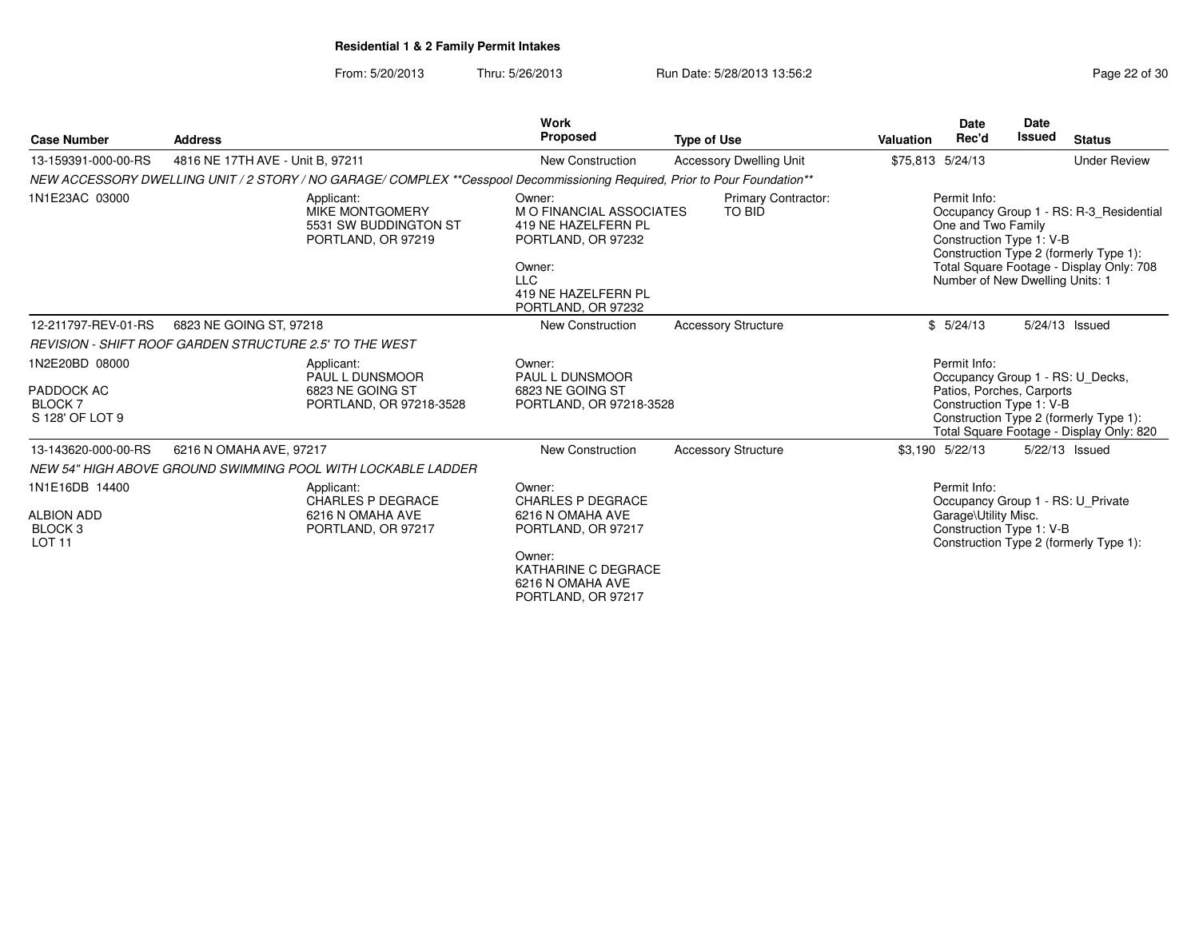From: 5/20/2013Thru: 5/26/2013 **Run Date: 5/28/2013 13:56:2** Page 22 of 30

|                                                                  |                                                         |                                                                                                                            | Work                                                                                                                                                       |                                      |                  | <b>Date</b>                                                                                       | <b>Date</b> |                                                                                                                               |
|------------------------------------------------------------------|---------------------------------------------------------|----------------------------------------------------------------------------------------------------------------------------|------------------------------------------------------------------------------------------------------------------------------------------------------------|--------------------------------------|------------------|---------------------------------------------------------------------------------------------------|-------------|-------------------------------------------------------------------------------------------------------------------------------|
| <b>Case Number</b>                                               | <b>Address</b>                                          |                                                                                                                            | <b>Proposed</b>                                                                                                                                            | <b>Type of Use</b>                   | <b>Valuation</b> | Rec'd                                                                                             | Issued      | <b>Status</b>                                                                                                                 |
| 13-159391-000-00-RS                                              | 4816 NE 17TH AVE - Unit B, 97211                        |                                                                                                                            | <b>New Construction</b>                                                                                                                                    | <b>Accessory Dwelling Unit</b>       | \$75,813 5/24/13 |                                                                                                   |             | <b>Under Review</b>                                                                                                           |
|                                                                  |                                                         | NEW ACCESSORY DWELLING UNIT / 2 STORY / NO GARAGE/ COMPLEX **Cesspool Decommissioning Required, Prior to Pour Foundation** |                                                                                                                                                            |                                      |                  |                                                                                                   |             |                                                                                                                               |
| 1N1E23AC 03000                                                   |                                                         | Applicant:<br>MIKE MONTGOMERY<br>5531 SW BUDDINGTON ST<br>PORTLAND, OR 97219                                               | Owner:<br><b>MO FINANCIAL ASSOCIATES</b><br>419 NE HAZELFERN PL<br>PORTLAND, OR 97232<br>Owner:<br><b>LLC</b><br>419 NE HAZELFERN PL<br>PORTLAND, OR 97232 | <b>Primary Contractor:</b><br>TO BID |                  | Permit Info:<br>One and Two Family<br>Construction Type 1: V-B<br>Number of New Dwelling Units: 1 |             | Occupancy Group 1 - RS: R-3 Residential<br>Construction Type 2 (formerly Type 1):<br>Total Square Footage - Display Only: 708 |
| 12-211797-REV-01-RS                                              | 6823 NE GOING ST, 97218                                 |                                                                                                                            | New Construction                                                                                                                                           | <b>Accessory Structure</b>           |                  | \$5/24/13                                                                                         |             | 5/24/13 Issued                                                                                                                |
|                                                                  | REVISION - SHIFT ROOF GARDEN STRUCTURE 2.5' TO THE WEST |                                                                                                                            |                                                                                                                                                            |                                      |                  |                                                                                                   |             |                                                                                                                               |
| 1N2E20BD 08000<br>PADDOCK AC<br><b>BLOCK7</b><br>S 128' OF LOT 9 |                                                         | Applicant:<br><b>PAUL L DUNSMOOR</b><br>6823 NE GOING ST<br>PORTLAND, OR 97218-3528                                        | Owner:<br>PAUL L DUNSMOOR<br>6823 NE GOING ST<br>PORTLAND, OR 97218-3528                                                                                   |                                      |                  | Permit Info:<br>Patios, Porches, Carports<br>Construction Type 1: V-B                             |             | Occupancy Group 1 - RS: U_Decks,<br>Construction Type 2 (formerly Type 1):<br>Total Square Footage - Display Only: 820        |
| 13-143620-000-00-RS                                              | 6216 N OMAHA AVE, 97217                                 |                                                                                                                            | <b>New Construction</b>                                                                                                                                    | <b>Accessory Structure</b>           |                  | \$3,190 5/22/13                                                                                   |             | 5/22/13 Issued                                                                                                                |
|                                                                  |                                                         | NEW 54" HIGH ABOVE GROUND SWIMMING POOL WITH LOCKABLE LADDER                                                               |                                                                                                                                                            |                                      |                  |                                                                                                   |             |                                                                                                                               |
| 1N1E16DB 14400                                                   |                                                         | Applicant:                                                                                                                 | Owner:                                                                                                                                                     |                                      |                  | Permit Info:                                                                                      |             |                                                                                                                               |
| <b>ALBION ADD</b><br><b>BLOCK3</b><br><b>LOT 11</b>              |                                                         | <b>CHARLES P DEGRACE</b><br>6216 N OMAHA AVE<br>PORTLAND, OR 97217                                                         | <b>CHARLES P DEGRACE</b><br>6216 N OMAHA AVE<br>PORTLAND, OR 97217                                                                                         |                                      |                  | Garage\Utility Misc.<br>Construction Type 1: V-B                                                  |             | Occupancy Group 1 - RS: U Private<br>Construction Type 2 (formerly Type 1):                                                   |
|                                                                  |                                                         |                                                                                                                            | Owner:<br>KATHARINE C DEGRACE<br>6216 N OMAHA AVE<br>PORTLAND, OR 97217                                                                                    |                                      |                  |                                                                                                   |             |                                                                                                                               |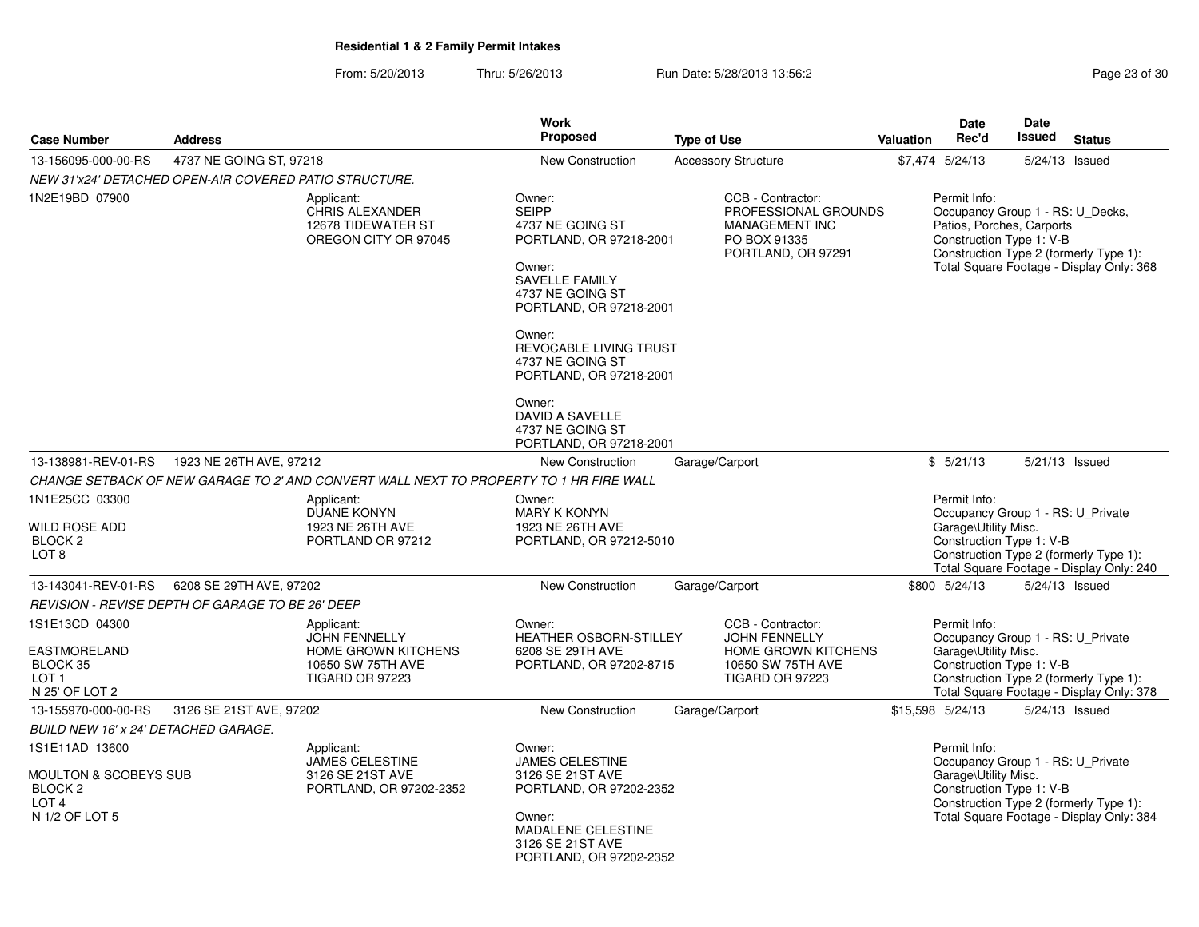From: 5/20/2013Thru: 5/26/2013 Run Date: 5/28/2013 13:56:2<br>
Run Date: 5/28/2013 13:56:2

| <b>Case Number</b>                                                                                             | <b>Address</b>                                         |                                                                                                                 | Work<br><b>Proposed</b>                                                                                                                                                                                         | <b>Type of Use</b>                                                                                              | Valuation | <b>Date</b><br>Rec'd                                                                                                                            | <b>Date</b><br>Issued | <b>Status</b>                                                                      |
|----------------------------------------------------------------------------------------------------------------|--------------------------------------------------------|-----------------------------------------------------------------------------------------------------------------|-----------------------------------------------------------------------------------------------------------------------------------------------------------------------------------------------------------------|-----------------------------------------------------------------------------------------------------------------|-----------|-------------------------------------------------------------------------------------------------------------------------------------------------|-----------------------|------------------------------------------------------------------------------------|
| 13-156095-000-00-RS                                                                                            | 4737 NE GOING ST, 97218                                |                                                                                                                 | New Construction                                                                                                                                                                                                | <b>Accessory Structure</b>                                                                                      |           | \$7,474 5/24/13                                                                                                                                 | 5/24/13 Issued        |                                                                                    |
|                                                                                                                | NEW 31'x24' DETACHED OPEN-AIR COVERED PATIO STRUCTURE. |                                                                                                                 |                                                                                                                                                                                                                 |                                                                                                                 |           |                                                                                                                                                 |                       |                                                                                    |
| 1N2E19BD 07900                                                                                                 |                                                        | Applicant:<br><b>CHRIS ALEXANDER</b><br>12678 TIDEWATER ST<br>OREGON CITY OR 97045                              | Owner:<br><b>SEIPP</b><br>4737 NE GOING ST<br>PORTLAND, OR 97218-2001<br>Owner:<br><b>SAVELLE FAMILY</b><br>4737 NE GOING ST<br>PORTLAND, OR 97218-2001<br>Owner:<br>REVOCABLE LIVING TRUST<br>4737 NE GOING ST | CCB - Contractor:<br>PROFESSIONAL GROUNDS<br><b>MANAGEMENT INC</b><br>PO BOX 91335<br>PORTLAND, OR 97291        |           | Permit Info:<br>Occupancy Group 1 - RS: U_Decks,<br>Patios, Porches, Carports<br>Construction Type 1: V-B                                       |                       | Construction Type 2 (formerly Type 1):<br>Total Square Footage - Display Only: 368 |
|                                                                                                                |                                                        |                                                                                                                 | PORTLAND, OR 97218-2001<br>Owner:<br>DAVID A SAVELLE<br>4737 NE GOING ST<br>PORTLAND, OR 97218-2001                                                                                                             |                                                                                                                 |           |                                                                                                                                                 |                       |                                                                                    |
| 13-138981-REV-01-RS                                                                                            | 1923 NE 26TH AVE, 97212                                |                                                                                                                 | New Construction                                                                                                                                                                                                | Garage/Carport                                                                                                  |           | \$5/21/13                                                                                                                                       | 5/21/13 Issued        |                                                                                    |
|                                                                                                                |                                                        | CHANGE SETBACK OF NEW GARAGE TO 2' AND CONVERT WALL NEXT TO PROPERTY TO 1 HR FIRE WALL                          |                                                                                                                                                                                                                 |                                                                                                                 |           |                                                                                                                                                 |                       |                                                                                    |
| 1N1E25CC 03300<br>WILD ROSE ADD<br>BLOCK 2<br>LOT <sub>8</sub>                                                 |                                                        | Applicant:<br><b>DUANE KONYN</b><br>1923 NE 26TH AVE<br>PORTLAND OR 97212                                       | Owner:<br><b>MARY K KONYN</b><br>1923 NE 26TH AVE<br>PORTLAND, OR 97212-5010                                                                                                                                    |                                                                                                                 |           | Permit Info:<br>Occupancy Group 1 - RS: U_Private<br>Garage\Utility Misc.<br>Construction Type 1: V-B<br>Construction Type 2 (formerly Type 1): |                       | Total Square Footage - Display Only: 240                                           |
| 13-143041-REV-01-RS                                                                                            | 6208 SE 29TH AVE, 97202                                |                                                                                                                 | New Construction                                                                                                                                                                                                | Garage/Carport                                                                                                  |           | \$800 5/24/13                                                                                                                                   | $5/24/13$ Issued      |                                                                                    |
|                                                                                                                | REVISION - REVISE DEPTH OF GARAGE TO BE 26' DEEP       |                                                                                                                 |                                                                                                                                                                                                                 |                                                                                                                 |           |                                                                                                                                                 |                       |                                                                                    |
| 1S1E13CD 04300<br><b>EASTMORELAND</b><br>BLOCK 35<br>LOT <sub>1</sub><br>N 25' OF LOT 2                        |                                                        | Applicant:<br><b>JOHN FENNELLY</b><br><b>HOME GROWN KITCHENS</b><br>10650 SW 75TH AVE<br><b>TIGARD OR 97223</b> | Owner:<br>HEATHER OSBORN-STILLEY<br>6208 SE 29TH AVE<br>PORTLAND, OR 97202-8715                                                                                                                                 | CCB - Contractor:<br><b>JOHN FENNELLY</b><br><b>HOME GROWN KITCHENS</b><br>10650 SW 75TH AVE<br>TIGARD OR 97223 |           | Permit Info:<br>Occupancy Group 1 - RS: U_Private<br>Garage\Utility Misc.<br>Construction Type 1: V-B<br>Construction Type 2 (formerly Type 1): |                       | Total Square Footage - Display Only: 378                                           |
| 13-155970-000-00-RS                                                                                            | 3126 SE 21ST AVE, 97202                                |                                                                                                                 | New Construction                                                                                                                                                                                                | Garage/Carport                                                                                                  |           | \$15,598 5/24/13                                                                                                                                | 5/24/13 Issued        |                                                                                    |
| <b>BUILD NEW 16' x 24' DETACHED GARAGE.</b>                                                                    |                                                        |                                                                                                                 |                                                                                                                                                                                                                 |                                                                                                                 |           |                                                                                                                                                 |                       |                                                                                    |
| 1S1E11AD 13600<br><b>MOULTON &amp; SCOBEYS SUB</b><br>BLOCK <sub>2</sub><br>LOT <sub>4</sub><br>N 1/2 OF LOT 5 |                                                        | Applicant:<br><b>JAMES CELESTINE</b><br>3126 SE 21ST AVE<br>PORTLAND, OR 97202-2352                             | Owner:<br><b>JAMES CELESTINE</b><br>3126 SE 21ST AVE<br>PORTLAND, OR 97202-2352<br>Owner:<br>MADALENE CELESTINE<br>3126 SE 21ST AVE<br>PORTLAND, OR 97202-2352                                                  |                                                                                                                 |           | Permit Info:<br>Occupancy Group 1 - RS: U_Private<br>Garage\Utility Misc.<br>Construction Type 1: V-B                                           |                       | Construction Type 2 (formerly Type 1):<br>Total Square Footage - Display Only: 384 |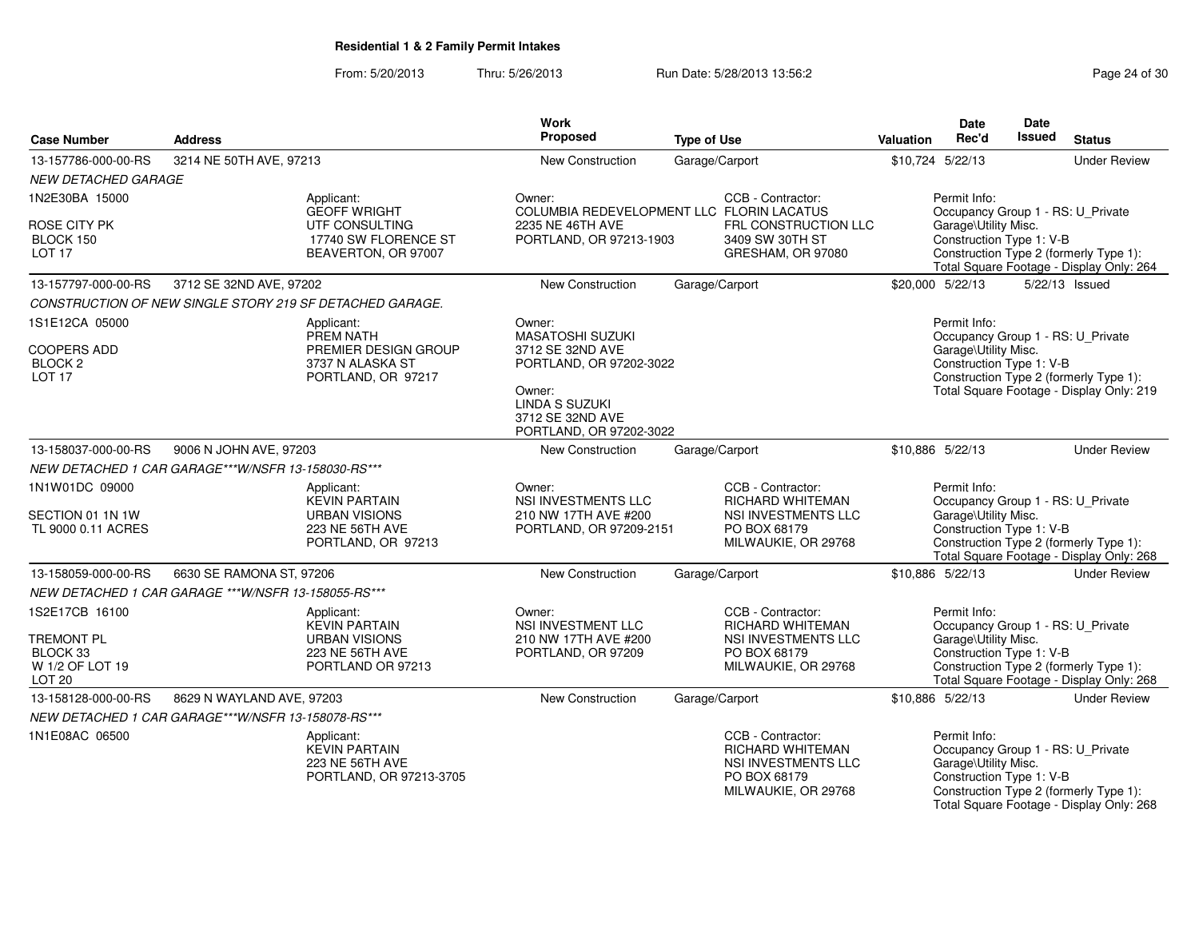#### From: 5/20/2013Thru: 5/26/2013 Run Date: 5/28/2013 13:56:2<br>
Rage 24 of 30

| <b>Case Number</b>                                         | <b>Address</b>                                       |                                                                                  | Work<br>Proposed                                                               | <b>Type of Use</b>                                                                                         | <b>Valuation</b>                                                                                                                       | <b>Date</b><br>Rec'd                                             | <b>Date</b><br><b>Issued</b> | <b>Status</b>                                                                                                           |
|------------------------------------------------------------|------------------------------------------------------|----------------------------------------------------------------------------------|--------------------------------------------------------------------------------|------------------------------------------------------------------------------------------------------------|----------------------------------------------------------------------------------------------------------------------------------------|------------------------------------------------------------------|------------------------------|-------------------------------------------------------------------------------------------------------------------------|
| 13-157786-000-00-RS                                        | 3214 NE 50TH AVE, 97213                              |                                                                                  | New Construction                                                               | Garage/Carport                                                                                             | \$10,724 5/22/13                                                                                                                       |                                                                  |                              | <b>Under Review</b>                                                                                                     |
| <b>NEW DETACHED GARAGE</b>                                 |                                                      |                                                                                  |                                                                                |                                                                                                            |                                                                                                                                        |                                                                  |                              |                                                                                                                         |
| 1N2E30BA 15000                                             |                                                      | Applicant:<br><b>GEOFF WRIGHT</b>                                                | Owner:                                                                         | CCB - Contractor:<br>COLUMBIA REDEVELOPMENT LLC FLORIN LACATUS                                             |                                                                                                                                        | Permit Info:                                                     |                              | Occupancy Group 1 - RS: U_Private                                                                                       |
| ROSE CITY PK<br>BLOCK 150<br>LOT <sub>17</sub>             |                                                      | UTF CONSULTING<br>17740 SW FLORENCE ST<br>BEAVERTON, OR 97007                    | 2235 NE 46TH AVE<br>PORTLAND, OR 97213-1903                                    | FRL CONSTRUCTION LLC<br>3409 SW 30TH ST<br>GRESHAM, OR 97080                                               |                                                                                                                                        | Garage\Utility Misc.<br>Construction Type 1: V-B                 |                              | Construction Type 2 (formerly Type 1):<br>Total Square Footage - Display Only: 264                                      |
| 13-157797-000-00-RS                                        | 3712 SE 32ND AVE, 97202                              |                                                                                  | New Construction                                                               | Garage/Carport                                                                                             | \$20,000 5/22/13                                                                                                                       |                                                                  |                              | 5/22/13 Issued                                                                                                          |
|                                                            |                                                      | CONSTRUCTION OF NEW SINGLE STORY 219 SF DETACHED GARAGE.                         |                                                                                |                                                                                                            |                                                                                                                                        |                                                                  |                              |                                                                                                                         |
| 1S1E12CA 05000                                             |                                                      | Applicant:<br>PREM NATH                                                          | Owner:<br><b>MASATOSHI SUZUKI</b>                                              |                                                                                                            |                                                                                                                                        | Permit Info:                                                     |                              | Occupancy Group 1 - RS: U_Private                                                                                       |
| <b>COOPERS ADD</b><br>BLOCK <sub>2</sub><br><b>LOT 17</b>  |                                                      | PREMIER DESIGN GROUP<br>3737 N ALASKA ST<br>PORTLAND, OR 97217                   | 3712 SE 32ND AVE<br>PORTLAND, OR 97202-3022                                    |                                                                                                            |                                                                                                                                        | Garage\Utility Misc.<br>Construction Type 1: V-B                 |                              | Construction Type 2 (formerly Type 1):                                                                                  |
|                                                            |                                                      |                                                                                  | Owner:<br><b>LINDA S SUZUKI</b><br>3712 SE 32ND AVE<br>PORTLAND, OR 97202-3022 |                                                                                                            |                                                                                                                                        |                                                                  |                              | Total Square Footage - Display Only: 219                                                                                |
| 13-158037-000-00-RS                                        | 9006 N JOHN AVE, 97203                               |                                                                                  | New Construction                                                               | Garage/Carport                                                                                             | \$10,886 5/22/13                                                                                                                       |                                                                  |                              | <b>Under Review</b>                                                                                                     |
|                                                            | NEW DETACHED 1 CAR GARAGE***W/NSFR 13-158030-RS***   |                                                                                  |                                                                                |                                                                                                            |                                                                                                                                        |                                                                  |                              |                                                                                                                         |
| 1N1W01DC 09000                                             |                                                      | Applicant:<br><b>KEVIN PARTAIN</b>                                               | Owner:<br><b>NSI INVESTMENTS LLC</b>                                           | CCB - Contractor:<br><b>RICHARD WHITEMAN</b>                                                               |                                                                                                                                        | Permit Info:                                                     |                              | Occupancy Group 1 - RS: U_Private                                                                                       |
| SECTION 01 1N 1W<br>TL 9000 0.11 ACRES                     |                                                      | <b>URBAN VISIONS</b><br>223 NE 56TH AVE<br>PORTLAND, OR 97213                    | 210 NW 17TH AVE #200<br>PORTLAND, OR 97209-2151                                | NSI INVESTMENTS LLC<br>PO BOX 68179<br>MILWAUKIE, OR 29768                                                 | Garage\Utility Misc.<br>Construction Type 1: V-B<br>Construction Type 2 (formerly Type 1):<br>Total Square Footage - Display Only: 268 |                                                                  |                              |                                                                                                                         |
| 13-158059-000-00-RS                                        | 6630 SE RAMONA ST, 97206                             |                                                                                  | New Construction                                                               | Garage/Carport                                                                                             | \$10,886 5/22/13                                                                                                                       |                                                                  |                              | <b>Under Review</b>                                                                                                     |
|                                                            | NEW DETACHED 1 CAR GARAGE *** W/NSFR 13-158055-RS*** |                                                                                  |                                                                                |                                                                                                            |                                                                                                                                        |                                                                  |                              |                                                                                                                         |
| 1S2E17CB 16100                                             |                                                      | Applicant:<br><b>KEVIN PARTAIN</b>                                               | Owner:<br>NSI INVESTMENT LLC                                                   | CCB - Contractor:<br><b>RICHARD WHITEMAN</b>                                                               |                                                                                                                                        | Permit Info:                                                     |                              | Occupancy Group 1 - RS: U_Private                                                                                       |
| TREMONT PL<br>BLOCK 33<br>W 1/2 OF LOT 19<br><b>LOT 20</b> |                                                      | <b>URBAN VISIONS</b><br>223 NE 56TH AVE<br>PORTLAND OR 97213                     | 210 NW 17TH AVE #200<br>PORTLAND, OR 97209                                     | NSI INVESTMENTS LLC<br>PO BOX 68179<br>MILWAUKIE, OR 29768                                                 |                                                                                                                                        | Garage\Utility Misc.<br>Construction Type 1: V-B                 |                              | Construction Type 2 (formerly Type 1):<br>Total Square Footage - Display Only: 268                                      |
| 13-158128-000-00-RS                                        | 8629 N WAYLAND AVE, 97203                            |                                                                                  | New Construction                                                               | Garage/Carport                                                                                             | \$10,886 5/22/13                                                                                                                       |                                                                  |                              | <b>Under Review</b>                                                                                                     |
|                                                            | NEW DETACHED 1 CAR GARAGE***W/NSFR 13-158078-RS***   |                                                                                  |                                                                                |                                                                                                            |                                                                                                                                        |                                                                  |                              |                                                                                                                         |
| 1N1E08AC 06500                                             |                                                      | Applicant:<br><b>KEVIN PARTAIN</b><br>223 NE 56TH AVE<br>PORTLAND, OR 97213-3705 |                                                                                | CCB - Contractor:<br><b>RICHARD WHITEMAN</b><br>NSI INVESTMENTS LLC<br>PO BOX 68179<br>MILWAUKIE, OR 29768 |                                                                                                                                        | Permit Info:<br>Garage\Utility Misc.<br>Construction Type 1: V-B |                              | Occupancy Group 1 - RS: U_Private<br>Construction Type 2 (formerly Type 1):<br>Total Square Footage - Display Only: 268 |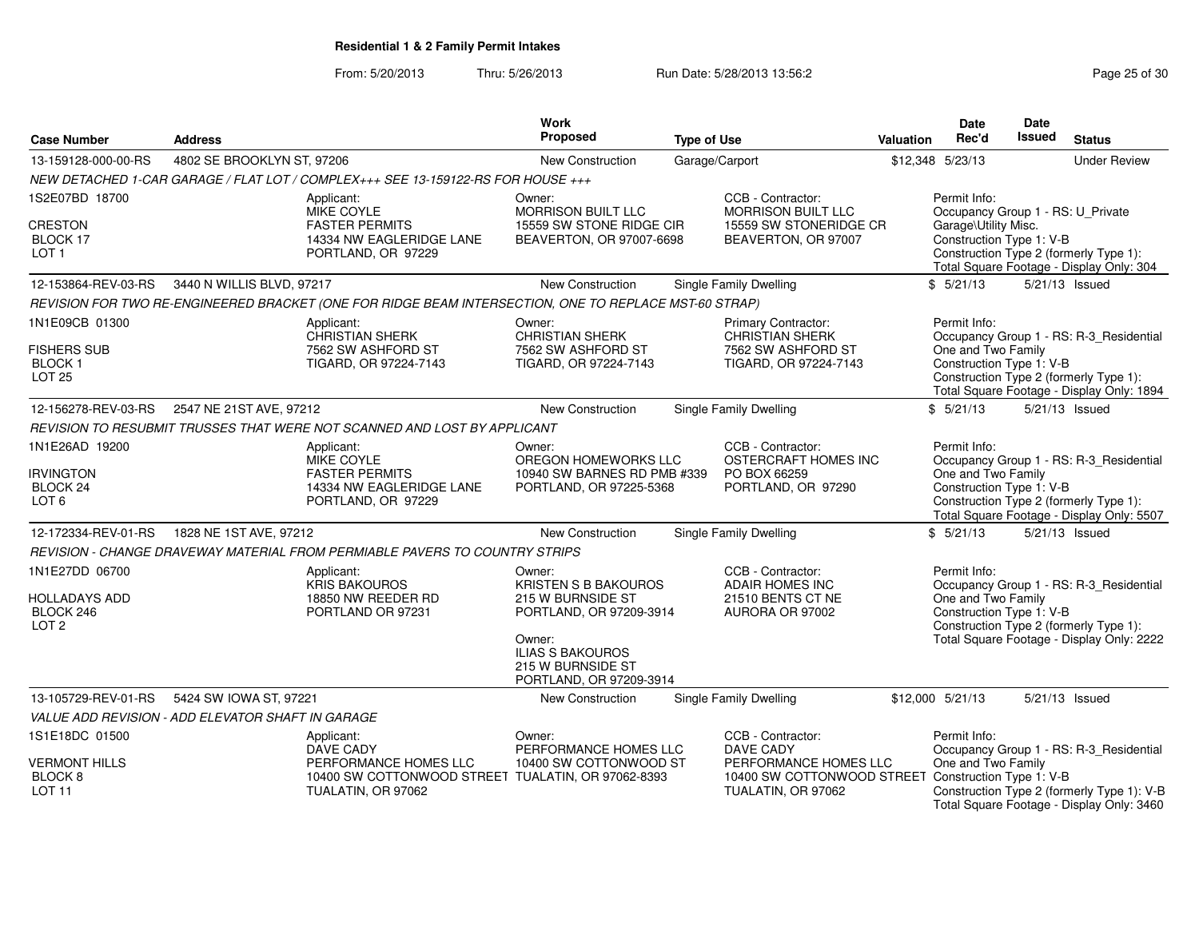From: 5/20/2013Thru: 5/26/2013 **Run Date: 5/28/2013 13:56:2** Page 25 of 30

| <b>Case Number</b>                     | <b>Address</b>                                    |                                                                                                       | Work<br>Proposed                                    | <b>Type of Use</b> |                                                                              | Valuation | Date<br>Rec'd                                     | Date<br><b>Issued</b> | <b>Status</b>                                                                       |
|----------------------------------------|---------------------------------------------------|-------------------------------------------------------------------------------------------------------|-----------------------------------------------------|--------------------|------------------------------------------------------------------------------|-----------|---------------------------------------------------|-----------------------|-------------------------------------------------------------------------------------|
|                                        |                                                   |                                                                                                       |                                                     |                    |                                                                              |           |                                                   |                       |                                                                                     |
| 13-159128-000-00-RS                    | 4802 SE BROOKLYN ST, 97206                        |                                                                                                       | New Construction                                    |                    | Garage/Carport                                                               |           | \$12,348 5/23/13                                  |                       | <b>Under Review</b>                                                                 |
|                                        |                                                   | NEW DETACHED 1-CAR GARAGE / FLAT LOT / COMPLEX+++ SEE 13-159122-RS FOR HOUSE +++                      |                                                     |                    |                                                                              |           |                                                   |                       |                                                                                     |
| 1S2E07BD 18700                         |                                                   | Applicant:<br>MIKE COYLE                                                                              | Owner:<br>MORRISON BUILT LLC                        |                    | CCB - Contractor:<br><b>MORRISON BUILT LLC</b>                               |           | Permit Info:<br>Occupancy Group 1 - RS: U_Private |                       |                                                                                     |
| CRESTON                                |                                                   | <b>FASTER PERMITS</b>                                                                                 | 15559 SW STONE RIDGE CIR                            |                    | 15559 SW STONERIDGE CR                                                       |           | Garage\Utility Misc.                              |                       |                                                                                     |
| BLOCK 17<br>LOT <sub>1</sub>           |                                                   | 14334 NW EAGLERIDGE LANE<br>PORTLAND, OR 97229                                                        | BEAVERTON, OR 97007-6698                            |                    | BEAVERTON, OR 97007                                                          |           | Construction Type 1: V-B                          |                       | Construction Type 2 (formerly Type 1):                                              |
|                                        |                                                   |                                                                                                       |                                                     |                    |                                                                              |           |                                                   |                       | Total Square Footage - Display Only: 304                                            |
| 12-153864-REV-03-RS                    | 3440 N WILLIS BLVD, 97217                         |                                                                                                       | <b>New Construction</b>                             |                    | Single Family Dwelling                                                       |           | \$5/21/13                                         |                       | 5/21/13 Issued                                                                      |
|                                        |                                                   | REVISION FOR TWO RE-ENGINEERED BRACKET (ONE FOR RIDGE BEAM INTERSECTION, ONE TO REPLACE MST-60 STRAP) |                                                     |                    |                                                                              |           |                                                   |                       |                                                                                     |
| 1N1E09CB 01300                         |                                                   | Applicant:                                                                                            | Owner:                                              |                    | Primary Contractor:                                                          |           | Permit Info:                                      |                       |                                                                                     |
|                                        |                                                   | <b>CHRISTIAN SHERK</b>                                                                                | <b>CHRISTIAN SHERK</b>                              |                    | <b>CHRISTIAN SHERK</b>                                                       |           |                                                   |                       | Occupancy Group 1 - RS: R-3_Residential                                             |
| <b>FISHERS SUB</b><br><b>BLOCK1</b>    |                                                   | 7562 SW ASHFORD ST<br>TIGARD, OR 97224-7143                                                           | 7562 SW ASHFORD ST<br>TIGARD, OR 97224-7143         |                    | 7562 SW ASHFORD ST<br>TIGARD, OR 97224-7143                                  |           | One and Two Family<br>Construction Type 1: V-B    |                       |                                                                                     |
| <b>LOT 25</b>                          |                                                   |                                                                                                       |                                                     |                    |                                                                              |           |                                                   |                       | Construction Type 2 (formerly Type 1):                                              |
|                                        |                                                   |                                                                                                       |                                                     |                    |                                                                              |           |                                                   |                       | Total Square Footage - Display Only: 1894                                           |
| 12-156278-REV-03-RS                    | 2547 NE 21ST AVE, 97212                           |                                                                                                       | New Construction                                    |                    | Single Family Dwelling                                                       |           | \$5/21/13                                         |                       | 5/21/13 Issued                                                                      |
|                                        |                                                   | REVISION TO RESUBMIT TRUSSES THAT WERE NOT SCANNED AND LOST BY APPLICANT                              |                                                     |                    |                                                                              |           |                                                   |                       |                                                                                     |
| 1N1E26AD 19200                         |                                                   | Applicant:                                                                                            | Owner:                                              |                    | CCB - Contractor:                                                            |           | Permit Info:                                      |                       |                                                                                     |
| <b>IRVINGTON</b>                       |                                                   | MIKE COYLE<br><b>FASTER PERMITS</b>                                                                   | OREGON HOMEWORKS LLC<br>10940 SW BARNES RD PMB #339 |                    | OSTERCRAFT HOMES INC<br>PO BOX 66259                                         |           | One and Two Family                                |                       | Occupancy Group 1 - RS: R-3_Residential                                             |
| BLOCK 24                               |                                                   | 14334 NW EAGLERIDGE LANE                                                                              | PORTLAND, OR 97225-5368                             |                    | PORTLAND, OR 97290                                                           |           | Construction Type 1: V-B                          |                       |                                                                                     |
| LOT <sub>6</sub>                       |                                                   | PORTLAND, OR 97229                                                                                    |                                                     |                    |                                                                              |           |                                                   |                       | Construction Type 2 (formerly Type 1):<br>Total Square Footage - Display Only: 5507 |
| 12-172334-REV-01-RS                    | 1828 NE 1ST AVE, 97212                            |                                                                                                       | New Construction                                    |                    | Single Family Dwelling                                                       |           | \$5/21/13                                         |                       | 5/21/13 Issued                                                                      |
|                                        |                                                   | REVISION - CHANGE DRAVEWAY MATERIAL FROM PERMIABLE PAVERS TO COUNTRY STRIPS                           |                                                     |                    |                                                                              |           |                                                   |                       |                                                                                     |
| 1N1E27DD 06700                         |                                                   | Applicant:                                                                                            | Owner:                                              |                    | CCB - Contractor:                                                            |           | Permit Info:                                      |                       |                                                                                     |
|                                        |                                                   | <b>KRIS BAKOUROS</b>                                                                                  | <b>KRISTEN S B BAKOUROS</b>                         |                    | <b>ADAIR HOMES INC</b>                                                       |           |                                                   |                       | Occupancy Group 1 - RS: R-3 Residential                                             |
| HOLLADAYS ADD<br>BLOCK 246             |                                                   | 18850 NW REEDER RD<br>PORTLAND OR 97231                                                               | 215 W BURNSIDE ST<br>PORTLAND, OR 97209-3914        |                    | 21510 BENTS CT NE<br>AURORA OR 97002                                         |           | One and Two Family<br>Construction Type 1: V-B    |                       |                                                                                     |
| LOT <sub>2</sub>                       |                                                   |                                                                                                       |                                                     |                    |                                                                              |           |                                                   |                       | Construction Type 2 (formerly Type 1):                                              |
|                                        |                                                   |                                                                                                       | Owner:                                              |                    |                                                                              |           |                                                   |                       | Total Square Footage - Display Only: 2222                                           |
|                                        |                                                   |                                                                                                       | <b>ILIAS S BAKOUROS</b><br>215 W BURNSIDE ST        |                    |                                                                              |           |                                                   |                       |                                                                                     |
|                                        |                                                   |                                                                                                       | PORTLAND, OR 97209-3914                             |                    |                                                                              |           |                                                   |                       |                                                                                     |
| 13-105729-REV-01-RS                    | 5424 SW IOWA ST, 97221                            |                                                                                                       | New Construction                                    |                    | Single Family Dwelling                                                       |           | \$12,000 5/21/13                                  |                       | 5/21/13 Issued                                                                      |
|                                        | VALUE ADD REVISION - ADD ELEVATOR SHAFT IN GARAGE |                                                                                                       |                                                     |                    |                                                                              |           |                                                   |                       |                                                                                     |
| 1S1E18DC 01500                         |                                                   | Applicant:                                                                                            | Owner:                                              |                    | CCB - Contractor:                                                            |           | Permit Info:                                      |                       |                                                                                     |
|                                        |                                                   | DAVE CADY                                                                                             | PERFORMANCE HOMES LLC                               |                    | DAVE CADY                                                                    |           |                                                   |                       | Occupancy Group 1 - RS: R-3 Residential                                             |
| <b>VERMONT HILLS</b><br><b>BLOCK 8</b> |                                                   | PERFORMANCE HOMES LLC<br>10400 SW COTTONWOOD STREET TUALATIN, OR 97062-8393                           | 10400 SW COTTONWOOD ST                              |                    | PERFORMANCE HOMES LLC<br>10400 SW COTTONWOOD STREET Construction Type 1: V-B |           | One and Two Family                                |                       |                                                                                     |
| LOT <sub>11</sub>                      |                                                   | TUALATIN, OR 97062                                                                                    |                                                     |                    | TUALATIN, OR 97062                                                           |           |                                                   |                       | Construction Type 2 (formerly Type 1): V-B                                          |
|                                        |                                                   |                                                                                                       |                                                     |                    |                                                                              |           |                                                   |                       | Total Square Footage - Display Only: 3460                                           |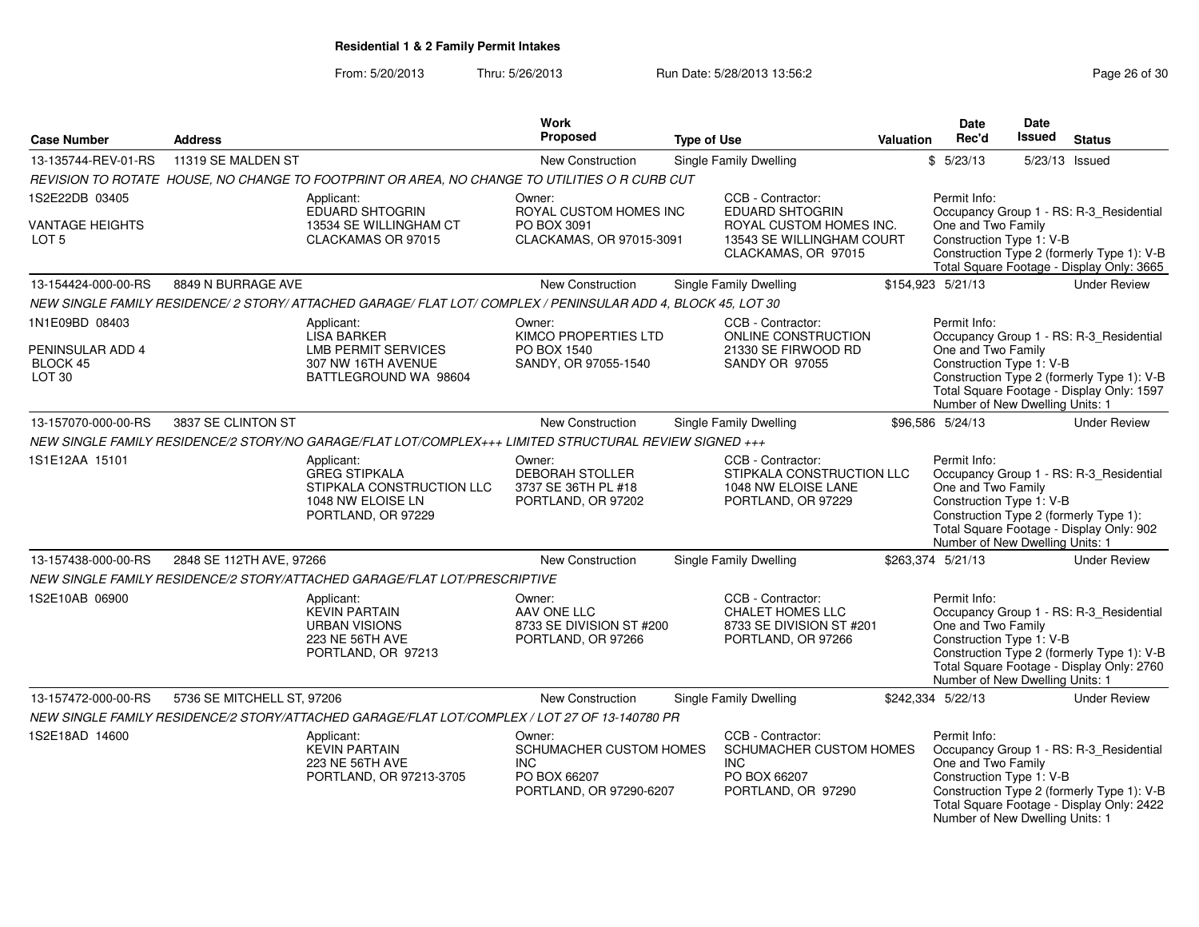From: 5/20/2013Thru: 5/26/2013 **Run Date: 5/28/2013 13:56:2** Page 26 of 30

|                                    |                                                                                              |                                                                                                               | <b>Work</b>                                                                                |                    |                                                                                                       |                  | Date                                                                                                      | Date    |                                                                                                                                    |
|------------------------------------|----------------------------------------------------------------------------------------------|---------------------------------------------------------------------------------------------------------------|--------------------------------------------------------------------------------------------|--------------------|-------------------------------------------------------------------------------------------------------|------------------|-----------------------------------------------------------------------------------------------------------|---------|------------------------------------------------------------------------------------------------------------------------------------|
| <b>Case Number</b>                 | <b>Address</b>                                                                               |                                                                                                               | <b>Proposed</b>                                                                            | <b>Type of Use</b> |                                                                                                       | <b>Valuation</b> | Rec'd                                                                                                     | Issued  | <b>Status</b>                                                                                                                      |
| 13-135744-REV-01-RS                | 11319 SE MALDEN ST                                                                           |                                                                                                               | New Construction                                                                           |                    | Single Family Dwelling                                                                                |                  | \$5/23/13                                                                                                 | 5/23/13 | Issued                                                                                                                             |
|                                    |                                                                                              | REVISION TO ROTATE HOUSE, NO CHANGE TO FOOTPRINT OR AREA, NO CHANGE TO UTILITIES O R CURB CUT                 |                                                                                            |                    |                                                                                                       |                  |                                                                                                           |         |                                                                                                                                    |
| 1S2E22DB 03405                     |                                                                                              | Applicant:                                                                                                    | Owner:                                                                                     |                    | CCB - Contractor:                                                                                     |                  | Permit Info:                                                                                              |         |                                                                                                                                    |
| VANTAGE HEIGHTS<br>LOT 5           |                                                                                              | EDUARD SHTOGRIN<br>13534 SE WILLINGHAM CT<br>CLACKAMAS OR 97015                                               | ROYAL CUSTOM HOMES INC<br>PO BOX 3091<br>CLACKAMAS, OR 97015-3091                          |                    | <b>EDUARD SHTOGRIN</b><br>ROYAL CUSTOM HOMES INC.<br>13543 SE WILLINGHAM COURT<br>CLACKAMAS, OR 97015 |                  | One and Two Family<br>Construction Type 1: V-B                                                            |         | Occupancy Group 1 - RS: R-3_Residential<br>Construction Type 2 (formerly Type 1): V-B<br>Total Square Footage - Display Only: 3665 |
| 13-154424-000-00-RS                | 8849 N BURRAGE AVE                                                                           |                                                                                                               | <b>New Construction</b>                                                                    |                    | Single Family Dwelling                                                                                |                  | \$154,923 5/21/13                                                                                         |         | <b>Under Review</b>                                                                                                                |
|                                    |                                                                                              | NEW SINGLE FAMILY RESIDENCE/ 2 STORY/ ATTACHED GARAGE/ FLAT LOT/ COMPLEX / PENINSULAR ADD 4, BLOCK 45, LOT 30 |                                                                                            |                    |                                                                                                       |                  |                                                                                                           |         |                                                                                                                                    |
| 1N1E09BD 08403<br>PENINSULAR ADD 4 |                                                                                              | Applicant:<br><b>LISA BARKER</b><br><b>LMB PERMIT SERVICES</b>                                                | Owner:<br>KIMCO PROPERTIES LTD<br>PO BOX 1540                                              |                    | CCB - Contractor:<br>ONLINE CONSTRUCTION<br>21330 SE FIRWOOD RD                                       |                  | Permit Info:<br>Occupancy Group 1 - RS: R-3_Residential<br>One and Two Family<br>Construction Type 1: V-B |         |                                                                                                                                    |
| BLOCK 45<br>LOT <sub>30</sub>      | 307 NW 16TH AVENUE<br>SANDY, OR 97055-1540<br><b>SANDY OR 97055</b><br>BATTLEGROUND WA 98604 |                                                                                                               |                                                                                            |                    |                                                                                                       |                  | Number of New Dwelling Units: 1                                                                           |         | Construction Type 2 (formerly Type 1): V-B<br>Total Square Footage - Display Only: 1597                                            |
| 13-157070-000-00-RS                | 3837 SE CLINTON ST                                                                           |                                                                                                               | New Construction                                                                           |                    | Single Family Dwelling                                                                                |                  | \$96,586 5/24/13                                                                                          |         | <b>Under Review</b>                                                                                                                |
|                                    |                                                                                              | NEW SINGLE FAMILY RESIDENCE/2 STORY/NO GARAGE/FLAT LOT/COMPLEX+++ LIMITED STRUCTURAL REVIEW SIGNED +++        |                                                                                            |                    |                                                                                                       |                  |                                                                                                           |         |                                                                                                                                    |
| 1S1E12AA 15101                     |                                                                                              | Applicant:<br><b>GREG STIPKALA</b><br>STIPKALA CONSTRUCTION LLC<br>1048 NW ELOISE LN<br>PORTLAND, OR 97229    | Owner:<br>DEBORAH STOLLER<br>3737 SE 36TH PL #18<br>PORTLAND, OR 97202                     |                    | CCB - Contractor:<br>STIPKALA CONSTRUCTION LLC<br>1048 NW ELOISE LANE<br>PORTLAND, OR 97229           |                  | Permit Info:<br>One and Two Family<br>Construction Type 1: V-B<br>Number of New Dwelling Units: 1         |         | Occupancy Group 1 - RS: R-3_Residential<br>Construction Type 2 (formerly Type 1):<br>Total Square Footage - Display Only: 902      |
| 13-157438-000-00-RS                | 2848 SE 112TH AVE, 97266                                                                     |                                                                                                               | New Construction                                                                           |                    | Single Family Dwelling                                                                                |                  | \$263,374 5/21/13                                                                                         |         | <b>Under Review</b>                                                                                                                |
|                                    |                                                                                              | NEW SINGLE FAMILY RESIDENCE/2 STORY/ATTACHED GARAGE/FLAT LOT/PRESCRIPTIVE                                     |                                                                                            |                    |                                                                                                       |                  |                                                                                                           |         |                                                                                                                                    |
| 1S2E10AB 06900                     |                                                                                              | Applicant:<br><b>KEVIN PARTAIN</b><br><b>URBAN VISIONS</b><br>223 NE 56TH AVE<br>PORTLAND, OR 97213           | Owner:<br>AAV ONE LLC<br>8733 SE DIVISION ST #200<br>PORTLAND, OR 97266                    |                    | CCB - Contractor:<br><b>CHALET HOMES LLC</b><br>8733 SE DIVISION ST #201<br>PORTLAND, OR 97266        |                  | Permit Info:<br>One and Two Family<br>Construction Type 1: V-B<br>Number of New Dwelling Units: 1         |         | Occupancy Group 1 - RS: R-3_Residential<br>Construction Type 2 (formerly Type 1): V-B<br>Total Square Footage - Display Only: 2760 |
| 13-157472-000-00-RS                | 5736 SE MITCHELL ST, 97206                                                                   |                                                                                                               | New Construction                                                                           |                    | Single Family Dwelling                                                                                |                  | \$242,334 5/22/13                                                                                         |         | <b>Under Review</b>                                                                                                                |
|                                    |                                                                                              | NEW SINGLE FAMILY RESIDENCE/2 STORY/ATTACHED GARAGE/FLAT LOT/COMPLEX / LOT 27 OF 13-140780 PR                 |                                                                                            |                    |                                                                                                       |                  |                                                                                                           |         |                                                                                                                                    |
| 1S2E18AD 14600                     |                                                                                              | Applicant:<br><b>KEVIN PARTAIN</b><br>223 NE 56TH AVE<br>PORTLAND, OR 97213-3705                              | Owner:<br>SCHUMACHER CUSTOM HOMES<br><b>INC</b><br>PO BOX 66207<br>PORTLAND, OR 97290-6207 |                    | CCB - Contractor:<br>SCHUMACHER CUSTOM HOMES<br><b>INC</b><br>PO BOX 66207<br>PORTLAND, OR 97290      |                  | Permit Info:<br>One and Two Family<br>Construction Type 1: V-B<br>Number of New Dwelling Units: 1         |         | Occupancy Group 1 - RS: R-3 Residential<br>Construction Type 2 (formerly Type 1): V-B<br>Total Square Footage - Display Only: 2422 |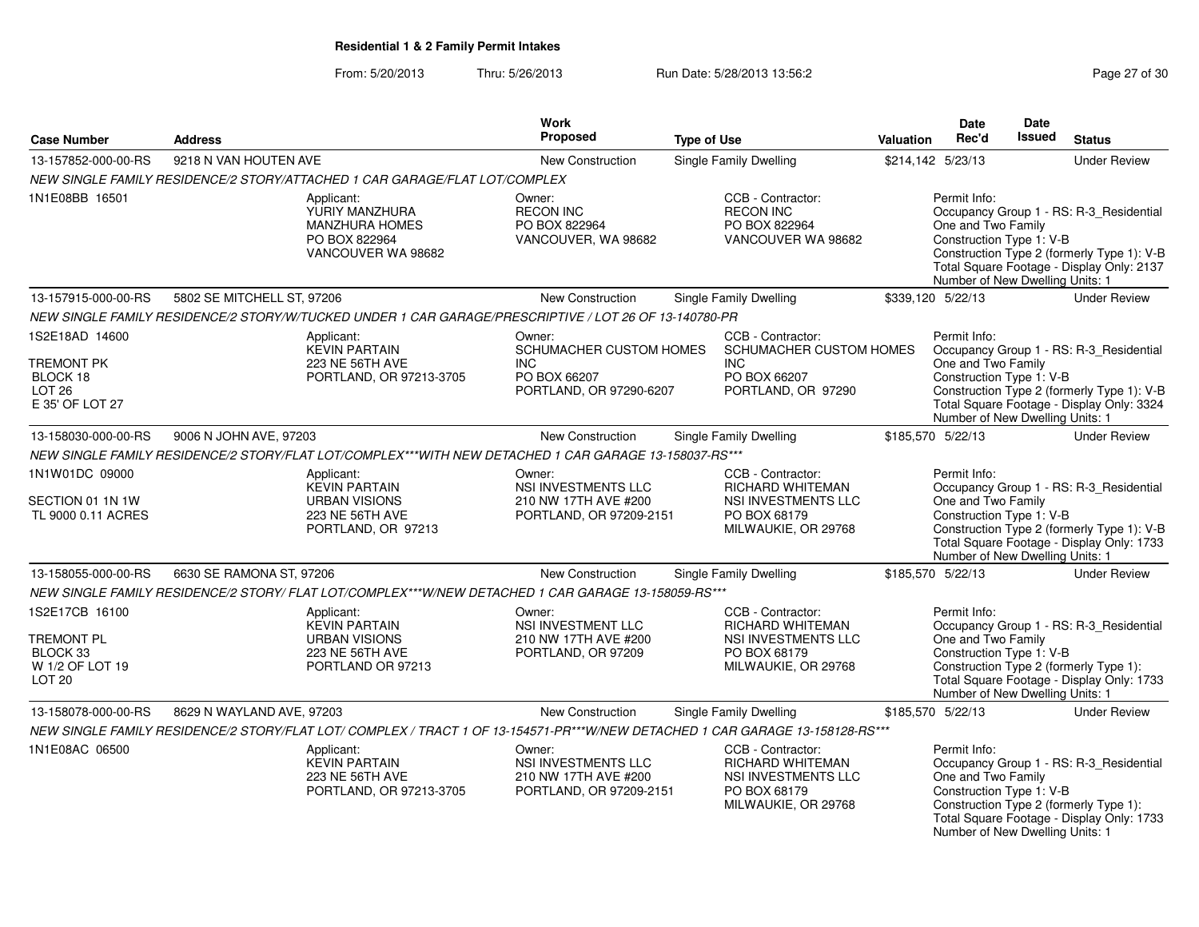From: 5/20/2013Thru: 5/26/2013 **Run Date: 5/28/2013 13:56:2** Run Date: 5/28/2013 13:56:2

| <b>Case Number</b>                                                                      | <b>Address</b>             |                                                                                                                                                                            | <b>Work</b><br><b>Proposed</b>                                                             | <b>Type of Use</b> |                                                                                                            |           | Date<br>Rec'd                                                                                     | Date<br><b>Issued</b> | <b>Status</b>                                                                                                                      |
|-----------------------------------------------------------------------------------------|----------------------------|----------------------------------------------------------------------------------------------------------------------------------------------------------------------------|--------------------------------------------------------------------------------------------|--------------------|------------------------------------------------------------------------------------------------------------|-----------|---------------------------------------------------------------------------------------------------|-----------------------|------------------------------------------------------------------------------------------------------------------------------------|
|                                                                                         |                            |                                                                                                                                                                            |                                                                                            |                    |                                                                                                            | Valuation |                                                                                                   |                       |                                                                                                                                    |
| 13-157852-000-00-RS                                                                     | 9218 N VAN HOUTEN AVE      |                                                                                                                                                                            | New Construction                                                                           |                    | <b>Single Family Dwelling</b>                                                                              |           | \$214,142 5/23/13                                                                                 |                       | <b>Under Review</b>                                                                                                                |
| 1N1E08BB 16501                                                                          |                            | NEW SINGLE FAMILY RESIDENCE/2 STORY/ATTACHED 1 CAR GARAGE/FLAT LOT/COMPLEX<br>Applicant:<br>YURIY MANZHURA<br><b>MANZHURA HOMES</b><br>PO BOX 822964<br>VANCOUVER WA 98682 | Owner:<br><b>RECON INC</b><br>PO BOX 822964<br>VANCOUVER, WA 98682                         |                    | CCB - Contractor:<br><b>RECON INC</b><br>PO BOX 822964<br>VANCOUVER WA 98682                               |           | Permit Info:<br>One and Two Family<br>Construction Type 1: V-B                                    |                       | Occupancy Group 1 - RS: R-3_Residential<br>Construction Type 2 (formerly Type 1): V-B                                              |
|                                                                                         |                            |                                                                                                                                                                            |                                                                                            |                    |                                                                                                            |           | Number of New Dwelling Units: 1                                                                   |                       | Total Square Footage - Display Only: 2137                                                                                          |
| 13-157915-000-00-RS                                                                     | 5802 SE MITCHELL ST, 97206 |                                                                                                                                                                            | New Construction                                                                           |                    | Single Family Dwelling                                                                                     |           | \$339,120 5/22/13                                                                                 |                       | <b>Under Review</b>                                                                                                                |
|                                                                                         |                            | NEW SINGLE FAMILY RESIDENCE/2 STORY/W/TUCKED UNDER 1 CAR GARAGE/PRESCRIPTIVE / LOT 26 OF 13-140780-PR                                                                      |                                                                                            |                    |                                                                                                            |           |                                                                                                   |                       |                                                                                                                                    |
| 1S2E18AD 14600<br><b>TREMONT PK</b><br>BLOCK 18<br><b>LOT 26</b><br>E 35' OF LOT 27     |                            | Applicant:<br><b>KEVIN PARTAIN</b><br>223 NE 56TH AVE<br>PORTLAND, OR 97213-3705                                                                                           | Owner:<br>SCHUMACHER CUSTOM HOMES<br><b>INC</b><br>PO BOX 66207<br>PORTLAND, OR 97290-6207 |                    | CCB - Contractor:<br>SCHUMACHER CUSTOM HOMES<br>INC.<br>PO BOX 66207<br>PORTLAND, OR 97290                 |           | Permit Info:<br>One and Two Family<br>Construction Type 1: V-B<br>Number of New Dwelling Units: 1 |                       | Occupancy Group 1 - RS: R-3 Residential<br>Construction Type 2 (formerly Type 1): V-B<br>Total Square Footage - Display Only: 3324 |
| 13-158030-000-00-RS                                                                     | 9006 N JOHN AVE, 97203     |                                                                                                                                                                            | New Construction                                                                           |                    | <b>Single Family Dwelling</b>                                                                              |           | \$185,570 5/22/13                                                                                 |                       | <b>Under Review</b>                                                                                                                |
|                                                                                         |                            | NEW SINGLE FAMILY RESIDENCE/2 STORY/FLAT LOT/COMPLEX***WITH NEW DETACHED 1 CAR GARAGE 13-158037-RS***                                                                      |                                                                                            |                    |                                                                                                            |           |                                                                                                   |                       |                                                                                                                                    |
| 1N1W01DC 09000<br>SECTION 01 1N 1W<br>TL 9000 0.11 ACRES                                |                            | Applicant:<br><b>KEVIN PARTAIN</b><br><b>URBAN VISIONS</b><br>223 NE 56TH AVE<br>PORTLAND, OR 97213                                                                        | Owner:<br>NSI INVESTMENTS LLC<br>210 NW 17TH AVE #200<br>PORTLAND, OR 97209-2151           |                    | CCB - Contractor:<br>RICHARD WHITEMAN<br>NSI INVESTMENTS LLC<br>PO BOX 68179<br>MILWAUKIE, OR 29768        |           | Permit Info:<br>One and Two Family<br>Construction Type 1: V-B<br>Number of New Dwelling Units: 1 |                       | Occupancy Group 1 - RS: R-3_Residential<br>Construction Type 2 (formerly Type 1): V-B<br>Total Square Footage - Display Only: 1733 |
| 13-158055-000-00-RS                                                                     | 6630 SE RAMONA ST, 97206   |                                                                                                                                                                            | New Construction                                                                           |                    | Single Family Dwelling                                                                                     |           | \$185,570 5/22/13                                                                                 |                       | <b>Under Review</b>                                                                                                                |
|                                                                                         |                            | NEW SINGLE FAMILY RESIDENCE/2 STORY/ FLAT LOT/COMPLEX***W/NEW DETACHED 1 CAR GARAGE 13-158059-RS***                                                                        |                                                                                            |                    |                                                                                                            |           |                                                                                                   |                       |                                                                                                                                    |
| 1S2E17CB 16100<br><b>TREMONT PL</b><br>BLOCK 33<br>W 1/2 OF LOT 19<br>LOT <sub>20</sub> |                            | Applicant:<br><b>KEVIN PARTAIN</b><br><b>URBAN VISIONS</b><br>223 NE 56TH AVE<br>PORTLAND OR 97213                                                                         | Owner:<br>NSI INVESTMENT LLC<br>210 NW 17TH AVE #200<br>PORTLAND, OR 97209                 |                    | CCB - Contractor:<br><b>RICHARD WHITEMAN</b><br>NSI INVESTMENTS LLC<br>PO BOX 68179<br>MILWAUKIE, OR 29768 |           | Permit Info:<br>One and Two Family<br>Construction Type 1: V-B<br>Number of New Dwelling Units: 1 |                       | Occupancy Group 1 - RS: R-3_Residential<br>Construction Type 2 (formerly Type 1):<br>Total Square Footage - Display Only: 1733     |
| 13-158078-000-00-RS                                                                     | 8629 N WAYLAND AVE, 97203  |                                                                                                                                                                            | New Construction                                                                           |                    | <b>Single Family Dwelling</b>                                                                              |           | \$185,570 5/22/13                                                                                 |                       | <b>Under Review</b>                                                                                                                |
|                                                                                         |                            | NEW SINGLE FAMILY RESIDENCE/2 STORY/FLAT LOT/ COMPLEX / TRACT 1 OF 13-154571-PR***W/NEW DETACHED 1 CAR GARAGE 13-158128-RS***                                              |                                                                                            |                    |                                                                                                            |           |                                                                                                   |                       |                                                                                                                                    |
| 1N1E08AC 06500                                                                          |                            | Applicant:<br><b>KEVIN PARTAIN</b><br>223 NE 56TH AVE<br>PORTLAND, OR 97213-3705                                                                                           | Owner:<br>NSI INVESTMENTS LLC<br>210 NW 17TH AVE #200<br>PORTLAND, OR 97209-2151           |                    | CCB - Contractor:<br><b>RICHARD WHITEMAN</b><br>NSI INVESTMENTS LLC<br>PO BOX 68179<br>MILWAUKIE, OR 29768 |           | Permit Info:<br>One and Two Family<br>Construction Type 1: V-B<br>Number of New Dwelling Units: 1 |                       | Occupancy Group 1 - RS: R-3_Residential<br>Construction Type 2 (formerly Type 1):<br>Total Square Footage - Display Only: 1733     |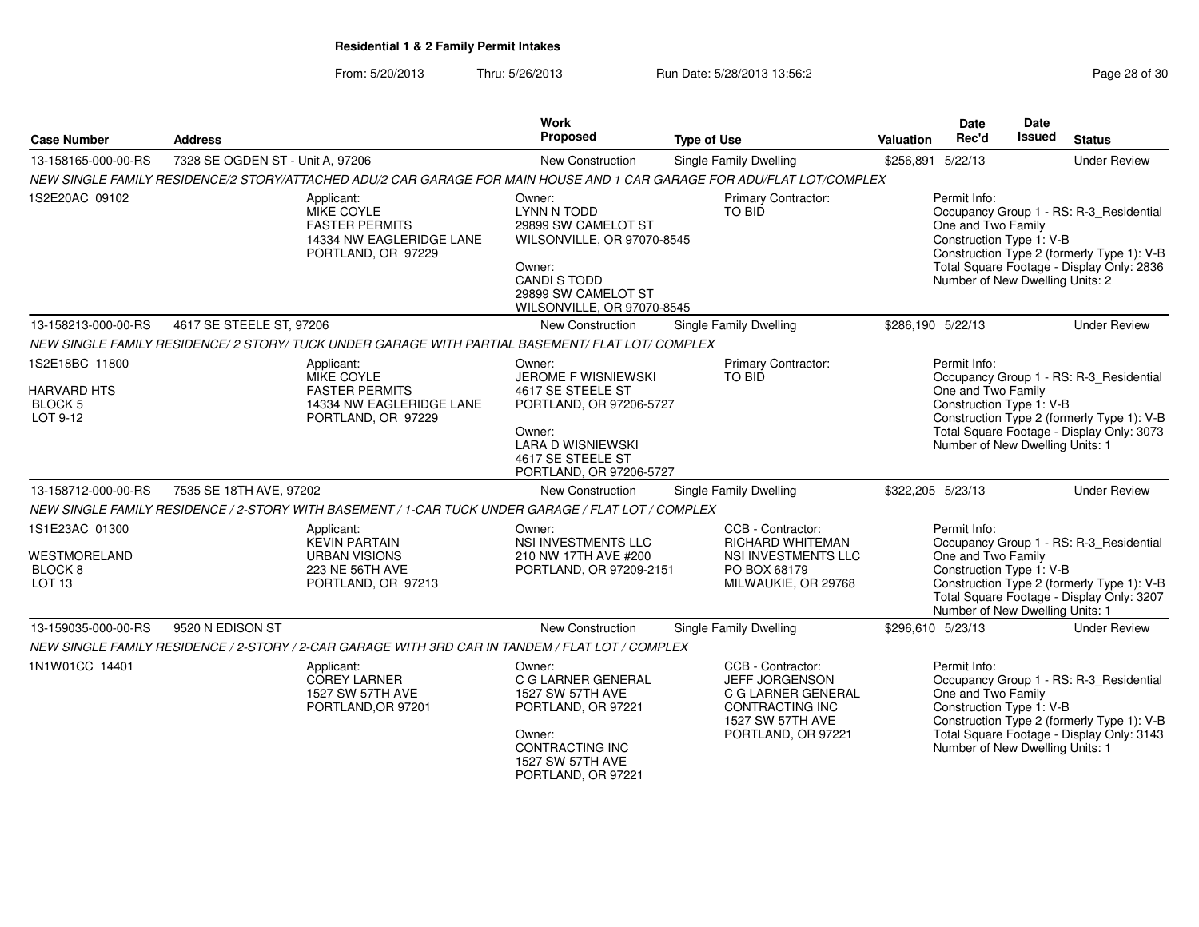From: 5/20/2013Thru: 5/26/2013 **Run Date: 5/28/2013 13:56:2** Page 28 of 30

| <b>Case Number</b>                                             | <b>Address</b>                                                                                                         | <b>Work</b><br>Proposed                                                                                                                                          | <b>Type of Use</b>                                                                                      | <b>Valuation</b>                                                                                                                                                             | Date<br>Rec'd                                                                                     | <b>Date</b><br>Issued | <b>Status</b>                                                                                                                      |
|----------------------------------------------------------------|------------------------------------------------------------------------------------------------------------------------|------------------------------------------------------------------------------------------------------------------------------------------------------------------|---------------------------------------------------------------------------------------------------------|------------------------------------------------------------------------------------------------------------------------------------------------------------------------------|---------------------------------------------------------------------------------------------------|-----------------------|------------------------------------------------------------------------------------------------------------------------------------|
| 13-158165-000-00-RS                                            | 7328 SE OGDEN ST - Unit A, 97206                                                                                       | New Construction                                                                                                                                                 | <b>Single Family Dwelling</b>                                                                           | \$256,891 5/22/13                                                                                                                                                            |                                                                                                   |                       | <b>Under Review</b>                                                                                                                |
|                                                                | NEW SINGLE FAMILY RESIDENCE/2 STORY/ATTACHED ADU/2 CAR GARAGE FOR MAIN HOUSE AND 1 CAR GARAGE FOR ADU/FLAT LOT/COMPLEX |                                                                                                                                                                  |                                                                                                         |                                                                                                                                                                              |                                                                                                   |                       |                                                                                                                                    |
| 1S2E20AC 09102                                                 | Applicant:<br>MIKE COYLE<br><b>FASTER PERMITS</b><br>14334 NW EAGLERIDGE LANE<br>PORTLAND, OR 97229                    | Owner:<br>LYNN N TODD<br>29899 SW CAMELOT ST<br>WILSONVILLE, OR 97070-8545<br>Owner:<br><b>CANDI S TODD</b><br>29899 SW CAMELOT ST<br>WILSONVILLE, OR 97070-8545 | <b>Primary Contractor:</b><br>TO BID                                                                    |                                                                                                                                                                              | Permit Info:<br>One and Two Family<br>Construction Type 1: V-B<br>Number of New Dwelling Units: 2 |                       | Occupancy Group 1 - RS: R-3_Residential<br>Construction Type 2 (formerly Type 1): V-B<br>Total Square Footage - Display Only: 2836 |
| 13-158213-000-00-RS                                            | 4617 SE STEELE ST, 97206                                                                                               | New Construction                                                                                                                                                 | <b>Single Family Dwelling</b>                                                                           | \$286,190 5/22/13                                                                                                                                                            |                                                                                                   |                       | <b>Under Review</b>                                                                                                                |
|                                                                | NEW SINGLE FAMILY RESIDENCE/ 2 STORY/ TUCK UNDER GARAGE WITH PARTIAL BASEMENT/ FLAT LOT/ COMPLEX                       |                                                                                                                                                                  |                                                                                                         |                                                                                                                                                                              |                                                                                                   |                       |                                                                                                                                    |
| 1S2E18BC 11800                                                 | Applicant:<br>MIKE COYLE                                                                                               | Owner:<br>JEROME F WISNIEWSKI                                                                                                                                    | <b>Primary Contractor:</b><br>TO BID                                                                    |                                                                                                                                                                              | Permit Info:                                                                                      |                       | Occupancy Group 1 - RS: R-3_Residential                                                                                            |
| <b>HARVARD HTS</b><br><b>BLOCK 5</b><br>LOT 9-12               | <b>FASTER PERMITS</b><br>14334 NW EAGLERIDGE LANE<br>PORTLAND, OR 97229                                                | 4617 SE STEELE ST<br>PORTLAND, OR 97206-5727<br>Owner:                                                                                                           |                                                                                                         | One and Two Family<br>Construction Type 1: V-B<br>Construction Type 2 (formerly Type 1): V-B<br>Total Square Footage - Display Only: 3073<br>Number of New Dwelling Units: 1 |                                                                                                   |                       |                                                                                                                                    |
|                                                                |                                                                                                                        | <b>LARA D WISNIEWSKI</b><br>4617 SE STEELE ST<br>PORTLAND, OR 97206-5727                                                                                         |                                                                                                         |                                                                                                                                                                              |                                                                                                   |                       |                                                                                                                                    |
| 13-158712-000-00-RS                                            | 7535 SE 18TH AVE, 97202                                                                                                | New Construction                                                                                                                                                 | <b>Single Family Dwelling</b>                                                                           | \$322,205 5/23/13                                                                                                                                                            |                                                                                                   |                       | <b>Under Review</b>                                                                                                                |
|                                                                | NEW SINGLE FAMILY RESIDENCE / 2-STORY WITH BASEMENT / 1-CAR TUCK UNDER GARAGE / FLAT LOT / COMPLEX                     |                                                                                                                                                                  |                                                                                                         |                                                                                                                                                                              |                                                                                                   |                       |                                                                                                                                    |
| 1S1E23AC 01300                                                 | Applicant:<br><b>KEVIN PARTAIN</b>                                                                                     | Owner:<br>NSI INVESTMENTS LLC                                                                                                                                    | CCB - Contractor:<br><b>RICHARD WHITEMAN</b>                                                            |                                                                                                                                                                              | Permit Info:                                                                                      |                       | Occupancy Group 1 - RS: R-3_Residential                                                                                            |
| <b>WESTMORELAND</b><br>BLOCK <sub>8</sub><br>LOT <sub>13</sub> | <b>URBAN VISIONS</b><br>223 NE 56TH AVE<br>PORTLAND, OR 97213                                                          | 210 NW 17TH AVE #200<br>PORTLAND, OR 97209-2151                                                                                                                  | NSI INVESTMENTS LLC<br>PO BOX 68179<br>MILWAUKIE, OR 29768                                              |                                                                                                                                                                              | One and Two Family<br>Construction Type 1: V-B<br>Number of New Dwelling Units: 1                 |                       | Construction Type 2 (formerly Type 1): V-B<br>Total Square Footage - Display Only: 3207                                            |
| 13-159035-000-00-RS                                            | 9520 N EDISON ST                                                                                                       | New Construction                                                                                                                                                 | <b>Single Family Dwelling</b>                                                                           | \$296,610 5/23/13                                                                                                                                                            |                                                                                                   |                       | <b>Under Review</b>                                                                                                                |
|                                                                | NEW SINGLE FAMILY RESIDENCE / 2-STORY / 2-CAR GARAGE WITH 3RD CAR IN TANDEM / FLAT LOT / COMPLEX                       |                                                                                                                                                                  |                                                                                                         |                                                                                                                                                                              |                                                                                                   |                       |                                                                                                                                    |
| 1N1W01CC 14401                                                 | Applicant:<br><b>COREY LARNER</b><br>1527 SW 57TH AVE<br>PORTLAND, OR 97201                                            | Owner:<br>C G LARNER GENERAL<br>1527 SW 57TH AVE<br>PORTLAND, OR 97221                                                                                           | CCB - Contractor:<br><b>JEFF JORGENSON</b><br>C G LARNER GENERAL<br>CONTRACTING INC<br>1527 SW 57TH AVE |                                                                                                                                                                              | Permit Info:<br>One and Two Family<br>Construction Type 1: V-B                                    |                       | Occupancy Group 1 - RS: R-3_Residential<br>Construction Type 2 (formerly Type 1): V-B                                              |
|                                                                |                                                                                                                        | Owner:<br><b>CONTRACTING INC</b><br>1527 SW 57TH AVE<br>PORTLAND, OR 97221                                                                                       | PORTLAND, OR 97221                                                                                      |                                                                                                                                                                              | Number of New Dwelling Units: 1                                                                   |                       | Total Square Footage - Display Only: 3143                                                                                          |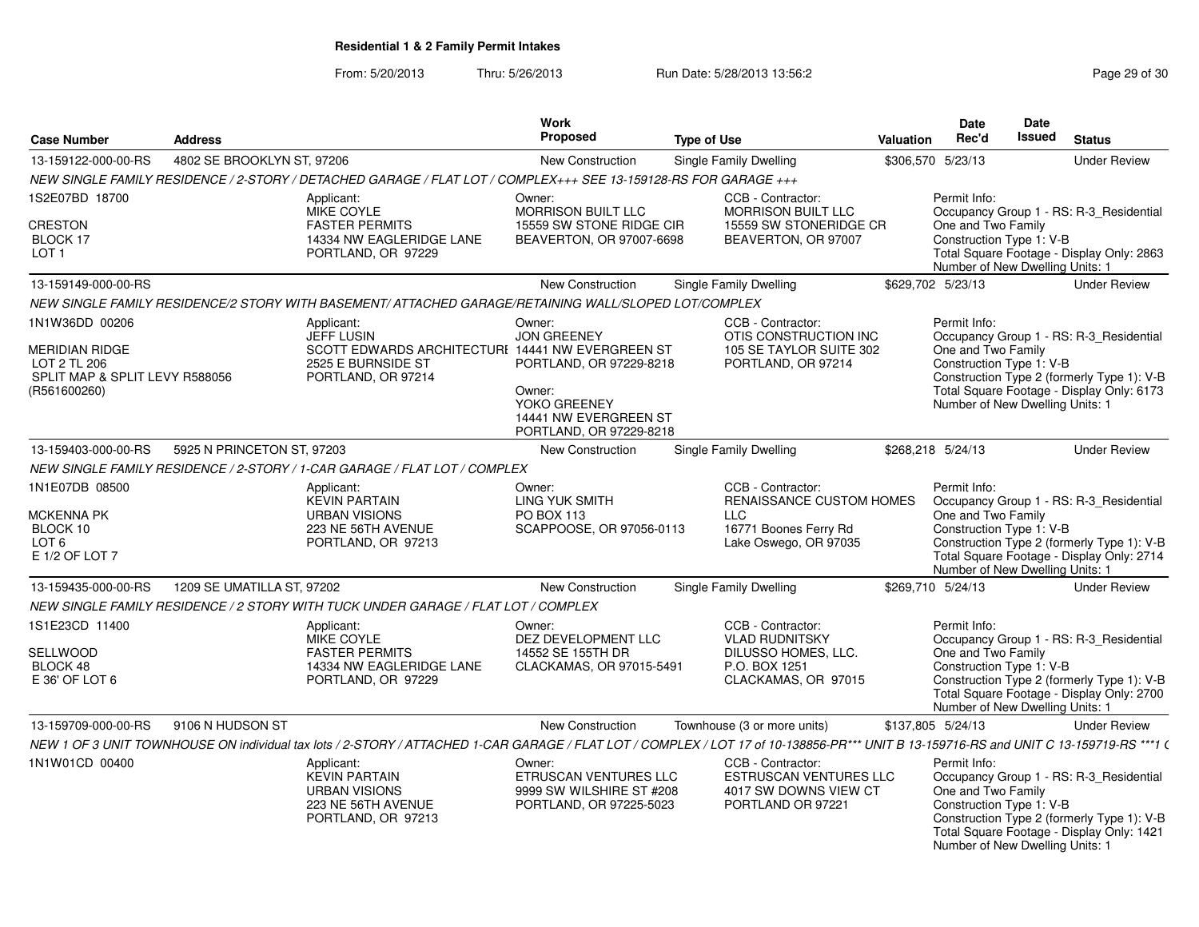From: 5/20/2013Thru: 5/26/2013 **Run Date: 5/28/2013 13:56:2 Research 20 of 30** Page 29 of 30

|                                                                                                    |                            |                                                                                                                                                                                        | Work                                                                                                                                  |                        |                                                                                                                  |                  | <b>Date</b>                                                                                       | Date          |                                                                                                                                    |
|----------------------------------------------------------------------------------------------------|----------------------------|----------------------------------------------------------------------------------------------------------------------------------------------------------------------------------------|---------------------------------------------------------------------------------------------------------------------------------------|------------------------|------------------------------------------------------------------------------------------------------------------|------------------|---------------------------------------------------------------------------------------------------|---------------|------------------------------------------------------------------------------------------------------------------------------------|
| <b>Case Number</b>                                                                                 | <b>Address</b>             |                                                                                                                                                                                        | Proposed                                                                                                                              | <b>Type of Use</b>     |                                                                                                                  | <b>Valuation</b> | Rec'd                                                                                             | <b>Issued</b> | <b>Status</b>                                                                                                                      |
| 13-159122-000-00-RS                                                                                | 4802 SE BROOKLYN ST, 97206 |                                                                                                                                                                                        | New Construction                                                                                                                      | Single Family Dwelling |                                                                                                                  |                  | \$306,570 5/23/13                                                                                 |               | <b>Under Review</b>                                                                                                                |
|                                                                                                    |                            | NEW SINGLE FAMILY RESIDENCE / 2-STORY / DETACHED GARAGE / FLAT LOT / COMPLEX+++ SEE 13-159128-RS FOR GARAGE +++                                                                        |                                                                                                                                       |                        |                                                                                                                  |                  |                                                                                                   |               |                                                                                                                                    |
| 1S2E07BD 18700                                                                                     |                            | Applicant:<br><b>MIKE COYLE</b>                                                                                                                                                        | Owner:<br><b>MORRISON BUILT LLC</b>                                                                                                   |                        | CCB - Contractor:<br><b>MORRISON BUILT LLC</b>                                                                   |                  | Permit Info:                                                                                      |               | Occupancy Group 1 - RS: R-3_Residential                                                                                            |
| <b>CRESTON</b><br>BLOCK 17<br>LOT <sub>1</sub>                                                     |                            | <b>FASTER PERMITS</b><br>14334 NW EAGLERIDGE LANE<br>PORTLAND, OR 97229                                                                                                                | 15559 SW STONE RIDGE CIR<br>BEAVERTON, OR 97007-6698                                                                                  |                        | 15559 SW STONERIDGE CR<br>BEAVERTON, OR 97007                                                                    |                  | One and Two Family<br>Construction Type 1: V-B<br>Number of New Dwelling Units: 1                 |               | Total Square Footage - Display Only: 2863                                                                                          |
| 13-159149-000-00-RS                                                                                |                            |                                                                                                                                                                                        | <b>New Construction</b>                                                                                                               | Single Family Dwelling |                                                                                                                  |                  | \$629,702 5/23/13                                                                                 |               | <b>Under Review</b>                                                                                                                |
|                                                                                                    |                            | NEW SINGLE FAMILY RESIDENCE/2 STORY WITH BASEMENT/ ATTACHED GARAGE/RETAINING WALL/SLOPED LOT/COMPLEX                                                                                   |                                                                                                                                       |                        |                                                                                                                  |                  |                                                                                                   |               |                                                                                                                                    |
| 1N1W36DD 00206<br>MERIDIAN RIDGE<br>LOT 2 TL 206<br>SPLIT MAP & SPLIT LEVY R588056<br>(R561600260) |                            | Applicant:<br>JEFF LUSIN<br>SCOTT EDWARDS ARCHITECTURI 14441 NW EVERGREEN ST<br>2525 E BURNSIDE ST<br>PORTLAND, OR 97214                                                               | Owner:<br><b>JON GREENEY</b><br>PORTLAND, OR 97229-8218<br>Owner:<br>YOKO GREENEY<br>14441 NW EVERGREEN ST<br>PORTLAND, OR 97229-8218 |                        | CCB - Contractor:<br>OTIS CONSTRUCTION INC<br>105 SE TAYLOR SUITE 302<br>PORTLAND, OR 97214                      |                  | Permit Info:<br>One and Two Family<br>Construction Type 1: V-B<br>Number of New Dwelling Units: 1 |               | Occupancy Group 1 - RS: R-3_Residential<br>Construction Type 2 (formerly Type 1): V-B<br>Total Square Footage - Display Only: 6173 |
| 13-159403-000-00-RS                                                                                | 5925 N PRINCETON ST, 97203 |                                                                                                                                                                                        | New Construction                                                                                                                      | Single Family Dwelling |                                                                                                                  |                  | \$268.218 5/24/13                                                                                 |               | <b>Under Review</b>                                                                                                                |
|                                                                                                    |                            | NEW SINGLE FAMILY RESIDENCE / 2-STORY / 1-CAR GARAGE / FLAT LOT / COMPLEX                                                                                                              |                                                                                                                                       |                        |                                                                                                                  |                  |                                                                                                   |               |                                                                                                                                    |
| 1N1E07DB 08500<br><b>MCKENNA PK</b><br>BLOCK 10<br>LOT <sub>6</sub><br>E 1/2 OF LOT 7              |                            | Applicant:<br><b>KEVIN PARTAIN</b><br><b>URBAN VISIONS</b><br>223 NE 56TH AVENUE<br>PORTLAND, OR 97213                                                                                 | Owner:<br><b>LING YUK SMITH</b><br><b>PO BOX 113</b><br>SCAPPOOSE, OR 97056-0113                                                      | <b>LLC</b>             | CCB - Contractor:<br><b>RENAISSANCE CUSTOM HOMES</b><br>16771 Boones Ferry Rd<br>Lake Oswego, OR 97035           |                  | Permit Info:<br>One and Two Family<br>Construction Type 1: V-B<br>Number of New Dwelling Units: 1 |               | Occupancy Group 1 - RS: R-3_Residential<br>Construction Type 2 (formerly Type 1): V-B<br>Total Square Footage - Display Only: 2714 |
| 13-159435-000-00-RS                                                                                | 1209 SE UMATILLA ST, 97202 |                                                                                                                                                                                        | New Construction                                                                                                                      | Single Family Dwelling |                                                                                                                  |                  | \$269,710 5/24/13                                                                                 |               | <b>Under Review</b>                                                                                                                |
|                                                                                                    |                            | NEW SINGLE FAMILY RESIDENCE / 2 STORY WITH TUCK UNDER GARAGE / FLAT LOT / COMPLEX                                                                                                      |                                                                                                                                       |                        |                                                                                                                  |                  |                                                                                                   |               |                                                                                                                                    |
| 1S1E23CD 11400<br>SELLWOOD<br>BLOCK 48<br>E 36' OF LOT 6                                           |                            | Applicant:<br>MIKE COYLE<br><b>FASTER PERMITS</b><br>14334 NW EAGLERIDGE LANE<br>PORTLAND, OR 97229                                                                                    | Owner:<br>DEZ DEVELOPMENT LLC<br>14552 SE 155TH DR<br>CLACKAMAS, OR 97015-5491                                                        |                        | CCB - Contractor:<br><b>VLAD RUDNITSKY</b><br><b>DILUSSO HOMES, LLC.</b><br>P.O. BOX 1251<br>CLACKAMAS, OR 97015 |                  | Permit Info:<br>One and Two Family<br>Construction Type 1: V-B<br>Number of New Dwelling Units: 1 |               | Occupancy Group 1 - RS: R-3_Residential<br>Construction Type 2 (formerly Type 1): V-B<br>Total Square Footage - Display Only: 2700 |
| 13-159709-000-00-RS                                                                                | 9106 N HUDSON ST           |                                                                                                                                                                                        | <b>New Construction</b>                                                                                                               |                        | Townhouse (3 or more units)                                                                                      |                  | \$137,805 5/24/13                                                                                 |               | <b>Under Review</b>                                                                                                                |
|                                                                                                    |                            | NEW 1 OF 3 UNIT TOWNHOUSE ON individual tax lots / 2-STORY / ATTACHED 1-CAR GARAGE / FLAT LOT / COMPLEX / LOT 17 of 10-138856-PR*** UNIT B 13-159716-RS and UNIT C 13-159719-RS ***1 ( |                                                                                                                                       |                        |                                                                                                                  |                  |                                                                                                   |               |                                                                                                                                    |
| 1N1W01CD 00400                                                                                     |                            | Applicant:<br><b>KEVIN PARTAIN</b><br><b>URBAN VISIONS</b><br>223 NE 56TH AVENUE<br>PORTLAND, OR 97213                                                                                 | Owner:<br><b>ETRUSCAN VENTURES LLC</b><br>9999 SW WILSHIRE ST #208<br>PORTLAND, OR 97225-5023                                         |                        | CCB - Contractor:<br><b>ESTRUSCAN VENTURES LLC</b><br>4017 SW DOWNS VIEW CT<br>PORTLAND OR 97221                 |                  | Permit Info:<br>One and Two Family<br>Construction Type 1: V-B<br>Number of New Dwelling Units: 1 |               | Occupancy Group 1 - RS: R-3_Residential<br>Construction Type 2 (formerly Type 1): V-B<br>Total Square Footage - Display Only: 1421 |